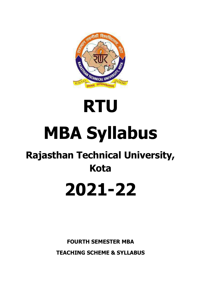

# **RTU MBA Syllabus**

# **Rajasthan Technical University, Kota**

# **2021-22**

**FOURTH SEMESTER MBA TEACHING SCHEME & SYLLABUS**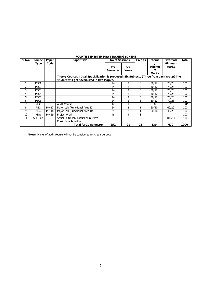|        | <b>FOURTH SEMESTER MBA TEACHING SCHEME</b> |       |                                                                                           |                       |                |                |                 |                         |        |
|--------|--------------------------------------------|-------|-------------------------------------------------------------------------------------------|-----------------------|----------------|----------------|-----------------|-------------------------|--------|
| S. No. | <b>Course</b>                              | Paper | <b>Paper Title</b>                                                                        | <b>No of Sessions</b> |                | <b>Credits</b> | <b>Internal</b> | External/               | Total  |
|        | <b>Type</b>                                | Code  |                                                                                           | Per                   | Per<br>Week    |                | Minimu<br>m     | <b>Minimum</b><br>Marks |        |
|        |                                            |       |                                                                                           | Semester              |                |                | Marks           |                         |        |
|        |                                            |       | Theory Courses: Dual Specialization is proposed: Six Subjects (Three from each group) The |                       |                |                |                 |                         |        |
|        |                                            |       | student will get specialized in two Majors.                                               |                       |                |                |                 |                         |        |
|        | PEC1                                       |       |                                                                                           | 24                    | $\mathcal{P}$  | 3              | 30/12           | 70/28                   | 100    |
| 2      | PEC <sub>2</sub>                           |       |                                                                                           | 24                    | $\overline{2}$ | 3              | 30/12           | 70/28                   | 100    |
| 3      | PEC <sub>3</sub>                           |       |                                                                                           | 24                    | 2              | 3              | 30/12           | 70/28                   | 100    |
| 4      | PEC <sub>4</sub>                           |       |                                                                                           | 24                    | $\overline{2}$ | 3              | 30/12           | 70/28                   | 100    |
| 5      | PEC5                                       |       |                                                                                           | 24                    | 2              | 3              | 30/12           | 70/28                   | 100    |
| 6      | PEC <sub>6</sub>                           |       |                                                                                           | 24                    | $\overline{2}$ | 3              | 30/12           | 70/28                   | 100    |
| 7      | <b>MCC</b>                                 |       | <b>Audit Course</b>                                                                       | 12                    |                | 0              | 30              | 70                      | $100*$ |
| 8      | PEC.                                       | M-417 | Major Lab (Functional Area I)                                                             | 24                    | 2              |                | 60/30           | 40/20                   | 100    |
| 9      | <b>PEC</b>                                 | M-418 | Major Lab (Functional Area II)                                                            | 24                    | 2              |                | 60/30           | 40/20                   | 100    |
| 10     | <b>REW</b>                                 | M-419 | Project Work                                                                              | 48                    | 4              | 3              |                 |                         | 100    |
| 11     | <b>SODECA</b>                              |       | Social Outreach, Discipline & Extra                                                       |                       |                |                |                 | 100/40                  | 100    |
|        |                                            |       | <b>Curriculum Activities</b>                                                              |                       |                |                |                 |                         |        |
|        |                                            |       | Total for IV Semester                                                                     | 252                   | 21             | 23             | 330             | 670                     | 1000   |

**FOURTH SEMESTER MBA TEACHING SCHEME**

**\*Note:** Marks of audit course will not be considered for credit purpose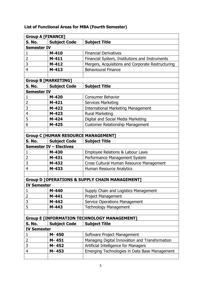| <b>Group A [FINANCE]</b>                                  |                                            |                                                   |  |  |
|-----------------------------------------------------------|--------------------------------------------|---------------------------------------------------|--|--|
| S. No.                                                    | <b>Subject Code</b>                        | <b>Subject Title</b>                              |  |  |
| <b>Semester IV</b>                                        |                                            |                                                   |  |  |
| 1                                                         | $M-410$                                    | <b>Financial Derivatives</b>                      |  |  |
| 2                                                         | $M-411$                                    | Financial System, Institutions and Instruments    |  |  |
| 3                                                         | $M-412$                                    | Mergers, Acquisitions and Corporate Restructuring |  |  |
| 4                                                         | $M-413$                                    | <b>Behavioural Finance</b>                        |  |  |
|                                                           |                                            |                                                   |  |  |
|                                                           | <b>Group B [MARKETING]</b>                 |                                                   |  |  |
| S. No.                                                    | <b>Subject Code</b>                        | <b>Subject Title</b>                              |  |  |
| <b>Semester IV</b>                                        |                                            |                                                   |  |  |
| 1                                                         | M-420                                      | <b>Consumer Behavior</b>                          |  |  |
| $\overline{2}$                                            | $M-421$                                    | <b>Services Marketing</b>                         |  |  |
| 3                                                         | M-422                                      | <b>International Marketing Management</b>         |  |  |
| 4                                                         | M-423                                      | <b>Rural Marketing</b>                            |  |  |
| 5                                                         | M-424                                      | Digital and Social Media Marketing                |  |  |
| 6                                                         | $M-425$                                    | <b>Customer Relationship Management</b>           |  |  |
|                                                           |                                            |                                                   |  |  |
|                                                           | <b>Group C [HUMAN RESOURCE MANAGEMENT]</b> |                                                   |  |  |
| S. No.                                                    | <b>Subject Code</b>                        | <b>Subject Title</b>                              |  |  |
|                                                           | <b>Semester IV - Electives</b>             |                                                   |  |  |
| 1                                                         | M-430                                      | Employee Relations & Labour Laws                  |  |  |
| 2                                                         | M-431                                      | Performance Management System                     |  |  |
| 3                                                         | M-432                                      | Cross Cultural Human Resource Management          |  |  |
| $\overline{4}$                                            | M-433                                      | Human Resource Analytics                          |  |  |
|                                                           |                                            |                                                   |  |  |
| <b>Group D [OPERATIONS &amp; SUPPLY CHAIN MANAGEMENT]</b> |                                            |                                                   |  |  |
| <b>IV Semester</b>                                        |                                            |                                                   |  |  |
| 1                                                         | M-440                                      | Supply Chain and Logistics Management             |  |  |
| 2                                                         | M-441                                      | Project Management                                |  |  |
| 3                                                         | M-442                                      | <b>Service Operations Management</b>              |  |  |
| 5                                                         | M-443                                      | <b>Technology Management</b>                      |  |  |
|                                                           |                                            |                                                   |  |  |
| <b>Group E [INFORMATION TECHNOLOGY MANAGEMENT]</b>        |                                            |                                                   |  |  |
| S. No.                                                    | <b>Subject Code</b>                        | <b>Subject Title</b>                              |  |  |
| <b>IV Semester</b>                                        |                                            |                                                   |  |  |
| 1                                                         | M-450                                      | Software Project Management                       |  |  |
| 2                                                         | M-451                                      | Managing Digital Innovation and Transformation    |  |  |
| 3                                                         | M-452                                      | Artificial Intelligence for Managers              |  |  |
| 4                                                         | M-453                                      | Emerging Technologies in Data Base Management     |  |  |
|                                                           |                                            |                                                   |  |  |

### **List of Functional Areas for MBA (Fourth Semester)**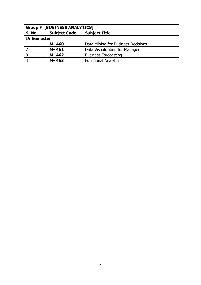| <b>Group F [BUSINESS ANALYTICS]</b> |                     |                                    |  |  |
|-------------------------------------|---------------------|------------------------------------|--|--|
| <b>S. No.</b>                       | <b>Subject Code</b> | <b>Subject Title</b>               |  |  |
| <b>IV Semester</b>                  |                     |                                    |  |  |
|                                     | M-460               | Data Mining for Business Decisions |  |  |
|                                     | M-461               | Data Visualization for Managers    |  |  |
| 3                                   | M-462               | <b>Business Forecasting</b>        |  |  |
| $\overline{4}$                      | M-463               | <b>Functional Analytics</b>        |  |  |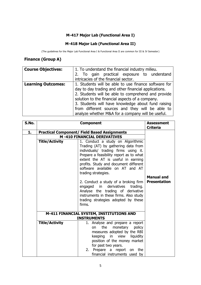#### **M-417 Major Lab (Functional Area I)**

#### **M-418 Major Lab (Functional Area II)**

(The guidelines for the Major Lab Functional Area I & Functional Area II are common for III & IV Semester)

#### **Finance (Group A)**

| <b>Course Objectives:</b> | 1. To understand the financial industry milieu.      |  |  |
|---------------------------|------------------------------------------------------|--|--|
|                           | 2. To gain practical exposure to understand          |  |  |
|                           | intricacies of the financial sector.                 |  |  |
| <b>Learning Outcomes:</b> | 1. Students will be able to use finance software for |  |  |
|                           | day to day trading and other financial applications. |  |  |
|                           | 2. Students will be able to comprehend and provide   |  |  |
|                           | solution to the financial aspects of a company.      |  |  |
|                           | 3. Students will have knowledge about fund raising   |  |  |
|                           | from different sources and they will be able to      |  |  |
|                           | analyze whether M&A for a company will be useful.    |  |  |

| S.No. |                                                     | <b>Assessment</b><br><b>Criteria</b>                                                                                                                                                                                                                                                                 |                                                                                                                                                                                                  |                     |
|-------|-----------------------------------------------------|------------------------------------------------------------------------------------------------------------------------------------------------------------------------------------------------------------------------------------------------------------------------------------------------------|--------------------------------------------------------------------------------------------------------------------------------------------------------------------------------------------------|---------------------|
| 1.    | <b>Practical Component/ Field Based Assignments</b> |                                                                                                                                                                                                                                                                                                      |                                                                                                                                                                                                  |                     |
|       |                                                     | <b>M-410 FINANCIAL DERIVATIVES</b>                                                                                                                                                                                                                                                                   |                                                                                                                                                                                                  |                     |
|       | <b>Title/Activity</b>                               | 1. Conduct a study on Algorithmic<br>Trading (AT) by gathering data from<br>individuals/ trading firms using it.<br>Prepare a feasibility report as to what<br>extent the AT is useful in earning<br>profits. Study and document different<br>software available on AT and AT<br>trading strategies. | <b>Manual and</b>                                                                                                                                                                                |                     |
|       |                                                     | firms.                                                                                                                                                                                                                                                                                               | 2. Conduct a study of a broking firm<br>engaged in derivatives<br>trading.<br>Analyse the trading of derivative<br>instruments in these firms. Also study<br>trading strategies adopted by these | <b>Presentation</b> |
|       |                                                     | M-411 FINANCIAL SYSTEM, INSTITUTIONS AND<br><b>INSTRUMENTS</b>                                                                                                                                                                                                                                       |                                                                                                                                                                                                  |                     |
|       | <b>Title/Activity</b>                               | 1. Analyse and prepare a report<br>the<br>monetary<br>policy<br>on<br>measures adopted by the RBI<br>keeping in view liquidity<br>position of the money market<br>for past two years.<br>Prepare a<br>2.<br>report on the<br>financial instruments used by                                           |                                                                                                                                                                                                  |                     |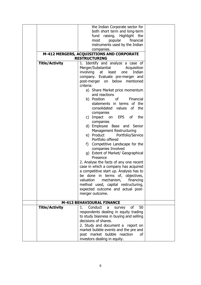|                       | the Indian Corporate sector for                                   |  |  |
|-----------------------|-------------------------------------------------------------------|--|--|
|                       | both short term and long-term                                     |  |  |
|                       | fund raising. Highlight the                                       |  |  |
|                       | popular<br>financial<br>most                                      |  |  |
|                       | instruments used by the Indian                                    |  |  |
|                       | companies.                                                        |  |  |
|                       |                                                                   |  |  |
|                       | M-412 MERGERS, ACQUISITIONS AND CORPORATE<br><b>RESTRUCTURING</b> |  |  |
|                       |                                                                   |  |  |
| <b>Title/Activity</b> | 1. Identify and analyze a case of                                 |  |  |
|                       | Merger/Substantial<br>Acquisition                                 |  |  |
|                       | involving<br>Indian<br>at least<br>one                            |  |  |
|                       | company. Evaluate pre-merger and                                  |  |  |
|                       | post-merger on below mentioned                                    |  |  |
|                       | criteria:                                                         |  |  |
|                       | a) Share Market price momentum                                    |  |  |
|                       | and reactions                                                     |  |  |
|                       | b) Position<br><sub>of</sub><br>Financial                         |  |  |
|                       | statements in terms of the                                        |  |  |
|                       | consolidated values of<br>the                                     |  |  |
|                       | companies                                                         |  |  |
|                       | c) Impact on EPS of<br>the                                        |  |  |
|                       | companies                                                         |  |  |
|                       | d) Employee Base and Senior                                       |  |  |
|                       | <b>Management Restructuring</b>                                   |  |  |
|                       | e) Product<br>Portfolio/Service                                   |  |  |
|                       | Portfolio offered                                                 |  |  |
|                       | f)                                                                |  |  |
|                       | Competitive Landscape for the                                     |  |  |
|                       | companies Involved                                                |  |  |
|                       | g) Extent of Market/ Geographical                                 |  |  |
|                       | Presence                                                          |  |  |
|                       | 2. Analyse the facts of any one recent                            |  |  |
|                       | case in which a company has acquired                              |  |  |
|                       | a competitive start up. Analysis has to                           |  |  |
|                       | be done in terms of, objectives,                                  |  |  |
|                       | mechanism,<br>valuation<br>financing                              |  |  |
|                       | method used, capital restructuring,                               |  |  |
|                       | expected outcome and actual post-                                 |  |  |
|                       | merger outcome.                                                   |  |  |
|                       |                                                                   |  |  |
|                       | M-413 BEHAVIOURAL FINANCE                                         |  |  |
| <b>Title/Activity</b> | Conduct<br>οf<br>$1_{-}$<br>a<br>survey<br>50                     |  |  |
|                       | respondents dealing in equity trading                             |  |  |
|                       | to study biasness in buying and selling                           |  |  |
|                       | decisions of shares.                                              |  |  |
|                       | 2. Study and document a report on                                 |  |  |
|                       | market bubble events and the pre and                              |  |  |
|                       | post market bubble reaction<br>Ωf                                 |  |  |
|                       |                                                                   |  |  |
|                       | investors dealing in equity.                                      |  |  |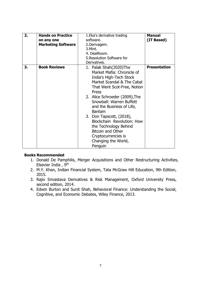| 2. | <b>Hands on Practice</b>  | 1. Eka's derivative trading    | <b>Manual</b>       |
|----|---------------------------|--------------------------------|---------------------|
|    | on any one                | software.                      | (IT Based)          |
|    | <b>Marketing Software</b> | 2.Derivagem.                   |                     |
|    |                           | 3.Mint.                        |                     |
|    |                           | 4. DealRoom.                   |                     |
|    |                           | 5. Resolution Software for     |                     |
|    |                           | Derivatives.                   |                     |
| 3. | <b>Book Reviews</b>       | 1. Palak Shah(2020)The         | <b>Presentation</b> |
|    |                           | Market Mafia: Chronicle of     |                     |
|    |                           | India's High-Tech Stock        |                     |
|    |                           | Market Scandal & The Cabal     |                     |
|    |                           | That Went Scot-Free, Notion    |                     |
|    |                           | Press                          |                     |
|    |                           | 2. Alice Schroeder (2009), The |                     |
|    |                           | Snowball: Warren Buffett       |                     |
|    |                           |                                |                     |
|    |                           | and the Business of Life,      |                     |
|    |                           | <b>Bantam</b>                  |                     |
|    |                           | 3. Don Tapscott, (2018),       |                     |
|    |                           | Blockchain Revolution: How     |                     |
|    |                           | the Technology Behind          |                     |
|    |                           | <b>Bitcoin and Other</b>       |                     |
|    |                           | Cryptocurrencies is            |                     |
|    |                           | Changing the World,            |                     |
|    |                           | Penguin                        |                     |

#### **Books Recommended**

- 1. Donald De Pamphilis, Merger Acquisitions and Other Restructuring Activities, Elsevier India , 9th
- 2. M.Y. Khan, Indian Financial System, Tata McGraw Hill Education, 9th Edition, 2015.
- 3. Rajiv Srivastava Derivatives & Risk Management, Oxford University Press, second edition, 2014.
- 4. Edwin Burton and Sunit Shah, Behavioral Finance: Understanding the Social, Cognitive, and Economic Debates, Wiley Finance, 2013.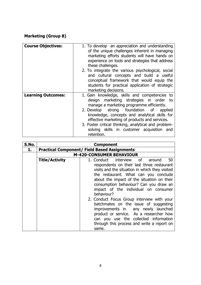#### **Marketing (Group B)**

| <b>Course Objectives:</b> | 1. To develop an appreciation and understanding<br>of the unique challenges inherent in managing<br>marketing efforts students will have hands on<br>experience on tools and strategies that address<br>these challenges.<br>2. To integrate the various psychological, social<br>and cultural concepts and build a useful<br>conceptual framework that would equip the<br>students for practical application of strategic<br>marketing decisions. |
|---------------------------|----------------------------------------------------------------------------------------------------------------------------------------------------------------------------------------------------------------------------------------------------------------------------------------------------------------------------------------------------------------------------------------------------------------------------------------------------|
| <b>Learning Outcomes:</b> | 1. Gain knowledge, skills and competencies to<br>design marketing strategies in order to<br>manage a marketing programme efficiently.<br>strong foundation of<br>2. Develop<br>applied<br>knowledge, concepts and analytical skills for<br>effective marketing of products and services.<br>3. Foster critical thinking, analytical and problem-<br>solving skills in customer acquisition and<br>retention.                                       |

| S.No. |                                                     | <b>Component</b>                               |  |  |
|-------|-----------------------------------------------------|------------------------------------------------|--|--|
|       | <b>Practical Component/ Field Based Assignments</b> |                                                |  |  |
|       |                                                     | <b>M-420-CONSUMER BEHAVIOUR</b>                |  |  |
|       | <b>Title/Activity</b>                               | 1. Conduct interview of<br>50<br>around        |  |  |
|       |                                                     | respondents on their last three restaurant     |  |  |
|       |                                                     | visits and the situation in which they visited |  |  |
|       |                                                     | the restaurant. What can you conclude          |  |  |
|       |                                                     | about the impact of the situation on their     |  |  |
|       |                                                     | consumption behaviour? Can you draw an         |  |  |
|       |                                                     | impact of the individual on consumer           |  |  |
|       |                                                     | behaviour?                                     |  |  |
|       |                                                     | 2. Conduct Focus Group interview with your     |  |  |
|       |                                                     | batchmates on the issue of suggesting          |  |  |
|       |                                                     | improvements in any newly launched             |  |  |
|       |                                                     | product or service. As a researcher how        |  |  |
|       |                                                     | can you use the collected information          |  |  |
|       |                                                     | through this process and write a report on     |  |  |
|       |                                                     | same.                                          |  |  |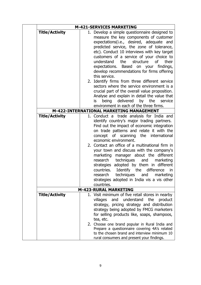|                       | <b>M-421-SERVICES MARKETING</b>                                                                                                                                                                                                                                                                                                                                                                                                                                                                                                                                                                                                                                                          |
|-----------------------|------------------------------------------------------------------------------------------------------------------------------------------------------------------------------------------------------------------------------------------------------------------------------------------------------------------------------------------------------------------------------------------------------------------------------------------------------------------------------------------------------------------------------------------------------------------------------------------------------------------------------------------------------------------------------------------|
| <b>Title/Activity</b> | 1. Develop a simple questionnaire designed to<br>measure the key components of customer<br>expectations(i.e., desired, adequate and<br>predicted service, the zone of tolerance,<br>etc). Conduct 10 interviews with key target<br>customers of a service of your choice to<br>understand<br>the<br>structure<br><b>of</b><br>their<br>expectations. Based on your findings,<br>develop recommendations for firms offering<br>this service.<br>2. Identify firms from three different service<br>sectors where the service environment is a                                                                                                                                              |
|                       | crucial part of the overall value proposition.<br>Analyse and explain in detail the value that<br>by the<br>being delivered<br>is<br>service<br>environment in each of the three firms.                                                                                                                                                                                                                                                                                                                                                                                                                                                                                                  |
|                       | M-422-INTERNATIONAL MARKETING MANAGEMENT                                                                                                                                                                                                                                                                                                                                                                                                                                                                                                                                                                                                                                                 |
| <b>Title/Activity</b> | 1. Conduct a trade analysis for India and<br>identify country's major trading partners.<br>Find out the impact of economic integration<br>on trade patterns and relate it with the<br>concept of scanning<br>the international<br>economic environment.<br>2. Contact an office of a multinational firm in<br>your town and discuss with the company's<br>marketing<br>manager about the different<br>research<br>techniques<br>and<br>marketing<br>strategies adopted by them in different<br>Identify the<br>countries.<br>difference<br>in<br>techniques<br>and<br>marketing<br>research<br>strategies adopted in India vis a vis other<br>countries.<br><b>M-423-RURAL MARKETING</b> |
|                       |                                                                                                                                                                                                                                                                                                                                                                                                                                                                                                                                                                                                                                                                                          |
| <b>Title/Activity</b> | 1. Visit minimum of five retail stores in nearby<br>understand the<br>and<br>product<br>villages<br>strategy, pricing strategy and distribution<br>strategy being adopted by FMCG marketers<br>for selling products like, soaps, shampoos,<br>tea, etc.                                                                                                                                                                                                                                                                                                                                                                                                                                  |
|                       | 2. Choose one brand popular in Rural India and<br>Prepare a questionnaire covering 4A's related<br>to the chosen brand and interview minimum 10<br>rural consumers and present your findings.                                                                                                                                                                                                                                                                                                                                                                                                                                                                                            |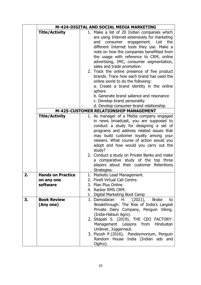|                |                          | M-424-DIGITAL AND SOCIAL MEDIA MARKETING                                        |  |  |
|----------------|--------------------------|---------------------------------------------------------------------------------|--|--|
|                | <b>Title/Activity</b>    | 1. Make a list of 20 Indian companies which                                     |  |  |
|                |                          | are using Internet extensively for marketing                                    |  |  |
|                |                          | consumer engagement. List the<br>and                                            |  |  |
|                |                          | different Internet tools they use. Make a                                       |  |  |
|                |                          | note on how the companies benefitted from                                       |  |  |
|                |                          | the usage with reference to CRM, online                                         |  |  |
|                |                          | advertising, IMC, consumer segmentation,                                        |  |  |
|                |                          | sales and trade promotion.                                                      |  |  |
|                |                          | 2. Track the online presence of five product                                    |  |  |
|                |                          | brands. Trace how each brand has used the                                       |  |  |
|                |                          | online world to do the following:<br>a. Create a brand identity in the online   |  |  |
|                |                          | sphere                                                                          |  |  |
|                |                          | b. Generate brand salience and resonance                                        |  |  |
|                |                          | c. Develop brand personality                                                    |  |  |
|                |                          | d. Develop consumer-brand relationship.                                         |  |  |
|                |                          | M-425-CUSTOMER RELATIONSHIP MANAGEMENT                                          |  |  |
|                | <b>Title/Activity</b>    | 1. As manager of a Media company engaged                                        |  |  |
|                |                          | in news broadcast, you are supposed to                                          |  |  |
|                |                          | conduct a study for designing a set of                                          |  |  |
|                |                          | programs and address related issues that                                        |  |  |
|                |                          | may build customer loyalty among your                                           |  |  |
|                |                          | viewers. What course of action would you                                        |  |  |
|                |                          | adopt and how would you carry out the                                           |  |  |
|                |                          | study?                                                                          |  |  |
|                |                          | 2. Conduct a study on Private Banks and make                                    |  |  |
|                |                          | a comparative study of the top three<br>players about their customer Retentions |  |  |
|                |                          | Strategies.                                                                     |  |  |
| 2 <sub>1</sub> | <b>Hands on Practice</b> | Marketo Lead Management.                                                        |  |  |
|                | on any one               | 2. Five9 Virtual Call Centre.                                                   |  |  |
|                | software                 | 3. Plan Plus Online.                                                            |  |  |
|                |                          | 4. Racker RMS CRM.                                                              |  |  |
|                |                          | 5. Digital Marketing Boot Camp                                                  |  |  |
| 3.             | <b>Book Review</b>       | <b>Broke</b><br>H. (2021),<br>1. Damodaran<br>to                                |  |  |
|                | (Any one)                | Breakthrough: The Rise of India's Largest                                       |  |  |
|                |                          | Private Dairy Company, Penguin Viking.                                          |  |  |
|                |                          | (India-Hatsun Agro).                                                            |  |  |
|                |                          | 2. Sitapati S. (2019), THE CEO FACTORY:                                         |  |  |
|                |                          | Management Lessons from Hindustan                                               |  |  |
|                |                          | Unilever, Juggernaut.                                                           |  |  |
|                |                          | 3. Piyush P.(2016), Pandeymonium, Penguin                                       |  |  |
|                |                          | Random House India (Indian ads and                                              |  |  |
|                |                          | Ogilvy).                                                                        |  |  |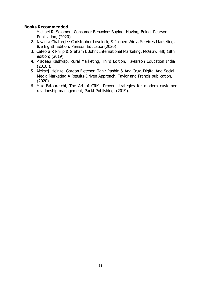#### **Books Recommended**

- 1. Michael R. Solomon, Consumer Behavior: Buying, Having, Being, Pearson Publication, (2020).
- 2. Jayanta Chatterjee Christopher Lovelock, & Jochen Wirtz, Services Marketing, 8/e Eighth Edition, Pearson Education(2020) .
- 3. Cateora R Philip & Graham L John: International Marketing, McGraw Hill; 18th edition; (2019).
- 4. Pradeep Kashyap, Rural Marketing, Third Edition, ,Pearson Education India (2016 ).
- 5. Aleksej Heinze, Gordon Fletcher, Tahir Rashid & Ana Cruz, Digital And Social Media Marketing A Results-Driven Approach, Taylor and Francis publication, (2020).
- 6. Max Fatouretchi, The Art of CRM: Proven strategies for modern customer relationship management, Packt Publishing, (2019).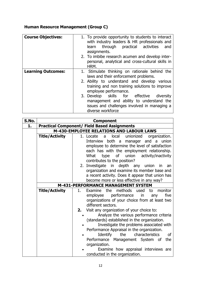#### **Human Resource Management (Group C)**

| <b>Course Objectives:</b> | 1. To provide opportunity to students to interact<br>with industry leaders & HR professionals and<br>through practical activities<br>learn<br>and<br>assignments.<br>2. To imbibe research acumen and develop inter-<br>personal, analytical and cross-cultural skills in<br>HRM. |
|---------------------------|-----------------------------------------------------------------------------------------------------------------------------------------------------------------------------------------------------------------------------------------------------------------------------------|
| <b>Learning Outcomes:</b> | 1. Stimulate thinking on rationale behind the                                                                                                                                                                                                                                     |
|                           | laws and their enforcement problems.                                                                                                                                                                                                                                              |
|                           | 2. Ability to understand and develop various                                                                                                                                                                                                                                      |
|                           | training and non training solutions to improve                                                                                                                                                                                                                                    |
|                           | employee performance.                                                                                                                                                                                                                                                             |
|                           | 3. Develop skills for effective diversity                                                                                                                                                                                                                                         |
|                           | management and ability to understand the                                                                                                                                                                                                                                          |
|                           | issues and challenges involved in managing a                                                                                                                                                                                                                                      |
|                           | diverse workforce                                                                                                                                                                                                                                                                 |

| S.No. |                       | <b>Component</b>                                         |
|-------|-----------------------|----------------------------------------------------------|
| 1.    |                       | <b>Practical Component/ Field Based Assignments</b>      |
|       |                       | M-430-EMPLOYEE RELATIONS AND LABOUR LAWS                 |
|       | <b>Title/Activity</b> | local<br>unionized organization.<br>1. Locate a          |
|       |                       | Interview<br>both a<br>manager and<br>union<br>a a       |
|       |                       | employee to determine the level of satisfaction          |
|       |                       | each has with the employment relationship.               |
|       |                       | union<br>activity/inactivity<br>What<br>of<br>type       |
|       |                       | contributes to the position?                             |
|       |                       | 2. Investigate in depth any union<br>in.<br>an           |
|       |                       | organization and examine its member base and             |
|       |                       | a recent activity. Does it appear that union has         |
|       |                       | become more or less effective in any way?                |
|       |                       | M-431-PERFORMANCE MANAGEMENT SYSTEM                      |
|       | <b>Title/Activity</b> | methods<br>monitor<br>Examine<br>the<br>used<br>1.<br>to |
|       |                       | performance<br>five<br>employee<br>in<br>any             |
|       |                       | organizations of your choice from at least two           |
|       |                       | different sectors.                                       |
|       |                       | Visit any organization of your choice to:<br>2.          |
|       |                       | Analyze the various performance criteria                 |
|       |                       | (standards) established in the organization.             |
|       |                       | Investigate the problems associated with                 |
|       |                       | Performance Appraisal in the organization.               |
|       |                       | Identify the characteristics<br>0f                       |
|       |                       | Performance Management System of<br>the                  |
|       |                       | organization.                                            |
|       |                       | Examine how appraisal interviews are                     |
|       |                       | conducted in the organization.                           |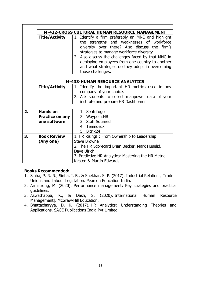| M-432-CROSS CULTURAL HUMAN RESOURCE MANAGEMENT |                                                           |                                                                                                                                                                                                                                                                                                                                                                                    |
|------------------------------------------------|-----------------------------------------------------------|------------------------------------------------------------------------------------------------------------------------------------------------------------------------------------------------------------------------------------------------------------------------------------------------------------------------------------------------------------------------------------|
|                                                | <b>Title/Activity</b>                                     | Identify a firm preferably an MNC and highlight<br>1.<br>the strengths and weaknesses of workforce<br>diversity over there? Also discuss the firm's<br>strategies to manage workforce diversity.<br>2. Also discuss the challenges faced by that MNC in<br>deploying employees from one country to another<br>and what strategies do they adopt in overcoming<br>those challenges. |
|                                                |                                                           |                                                                                                                                                                                                                                                                                                                                                                                    |
|                                                |                                                           | <b>M-433-HUMAN RESOURCE ANALYTICS</b>                                                                                                                                                                                                                                                                                                                                              |
|                                                | <b>Title/Activity</b>                                     | 1. Identify the important HR metrics used in any<br>company of your choice.<br>2. Ask students to collect manpower data of your<br>institute and prepare HR Dashboards.                                                                                                                                                                                                            |
|                                                |                                                           |                                                                                                                                                                                                                                                                                                                                                                                    |
| 2.                                             | <b>Hands on</b><br><b>Practice on any</b><br>one software | 1. Sentrifugo<br>2. WaypointHR<br>3. Staff Squared<br>4. Teamdeck<br>5. Bitrix24                                                                                                                                                                                                                                                                                                   |
| 3.                                             | <b>Book Review</b><br>(Any one)                           | 1. HR Rising!!: From Ownership to Leadership<br><b>Steve Browne</b><br>2. The HR Scorecard Brian Becker, Mark Huselid,<br>Dave Ulrich<br>3. Predictive HR Analytics: Mastering the HR Metric<br>Kirsten & Martin Edwards                                                                                                                                                           |

#### **Books Recommended:**

- 1. Sinha, P. R. N., Sinha, I. B., & Shekhar, S. P. (2017). Industrial Relations, Trade Unions and Labour Legislation. Pearson Education India.
- 2. Armstrong, M. (2020). Performance management: Key strategies and practical guidelines.
- 3. Aswathappa, K., & Dash, S. (2020). International Human Resource Management|. McGraw-Hill Education.
- 4. Bhattacharyya, D. K. (2017). HR Analytics: Understanding Theories and Applications. SAGE Publications India Pvt Limited.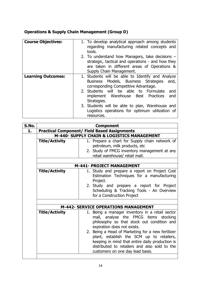#### **Operations & Supply Chain Management (Group D)**

| <b>Course Objectives:</b> | 1. To develop analytical approach among students<br>regarding manufacturing related concepts and<br>tools.                                                                                                                                                     |
|---------------------------|----------------------------------------------------------------------------------------------------------------------------------------------------------------------------------------------------------------------------------------------------------------|
|                           | 2. To understand how Managers, take decisions $-$<br>strategic, tactical and operations - and how they<br>are taken in different areas of Operations &<br>Supply Chain Management.                                                                             |
| <b>Learning Outcomes:</b> | 1. Students will be able to Identify and Analyze<br>Business Models, Business Strategies<br>and,<br>corresponding Competitive Advantage.<br>2. Students will be able to Formulate<br>and<br>implement Warehouse Best<br><b>Practices</b><br>and<br>Strategies. |
|                           | 3. Students will be able to plan, Warehouse and<br>Logistics operations for optimum utilization of<br>resources.                                                                                                                                               |

| <b>Practical Component/ Field Based Assignments</b><br>1.<br>M-440- SUPPLY CHAIN & LOGISTICS MANAGEMENT<br><b>Title/Activity</b><br>petroleum, milk products, etc<br>retail warehouse/ retail mall.<br>M-441- PROJECT MANAGEMENT<br><b>Title/Activity</b><br>Project.<br>for a Construction Project<br><b>M-442- SERVICE OPERATIONS MANAGEMENT</b><br><b>Title/Activity</b><br>expiration does not exists.<br>2. Being a Head of Marketing for a new fertilizer | S.No. |  | <b>Component</b>                                                                                                                                                                  |
|-----------------------------------------------------------------------------------------------------------------------------------------------------------------------------------------------------------------------------------------------------------------------------------------------------------------------------------------------------------------------------------------------------------------------------------------------------------------|-------|--|-----------------------------------------------------------------------------------------------------------------------------------------------------------------------------------|
|                                                                                                                                                                                                                                                                                                                                                                                                                                                                 |       |  |                                                                                                                                                                                   |
|                                                                                                                                                                                                                                                                                                                                                                                                                                                                 |       |  |                                                                                                                                                                                   |
|                                                                                                                                                                                                                                                                                                                                                                                                                                                                 |       |  | 1. Prepare a chart for Supply chain network of                                                                                                                                    |
|                                                                                                                                                                                                                                                                                                                                                                                                                                                                 |       |  |                                                                                                                                                                                   |
|                                                                                                                                                                                                                                                                                                                                                                                                                                                                 |       |  | 2. Study of FMCG inventory management at any                                                                                                                                      |
|                                                                                                                                                                                                                                                                                                                                                                                                                                                                 |       |  |                                                                                                                                                                                   |
|                                                                                                                                                                                                                                                                                                                                                                                                                                                                 |       |  |                                                                                                                                                                                   |
|                                                                                                                                                                                                                                                                                                                                                                                                                                                                 |       |  |                                                                                                                                                                                   |
|                                                                                                                                                                                                                                                                                                                                                                                                                                                                 |       |  | 1. Study and prepare a report on Project Cost                                                                                                                                     |
|                                                                                                                                                                                                                                                                                                                                                                                                                                                                 |       |  | Estimation Techniques for a manufacturing                                                                                                                                         |
|                                                                                                                                                                                                                                                                                                                                                                                                                                                                 |       |  |                                                                                                                                                                                   |
|                                                                                                                                                                                                                                                                                                                                                                                                                                                                 |       |  | 2. Study and prepare a report for Project                                                                                                                                         |
|                                                                                                                                                                                                                                                                                                                                                                                                                                                                 |       |  | Scheduling & Tracking Tools - An Overview                                                                                                                                         |
|                                                                                                                                                                                                                                                                                                                                                                                                                                                                 |       |  |                                                                                                                                                                                   |
|                                                                                                                                                                                                                                                                                                                                                                                                                                                                 |       |  |                                                                                                                                                                                   |
|                                                                                                                                                                                                                                                                                                                                                                                                                                                                 |       |  |                                                                                                                                                                                   |
|                                                                                                                                                                                                                                                                                                                                                                                                                                                                 |       |  | 1. Being a manager inventory in a retail sector<br>mall, analyse the FMCG items stocking<br>philosophy so that stock out condition and                                            |
|                                                                                                                                                                                                                                                                                                                                                                                                                                                                 |       |  | plant, establish the SCM up to retailers,<br>keeping in mind that entire daily production is<br>distributed to retailers and also sold to the<br>customers on one day lead basis. |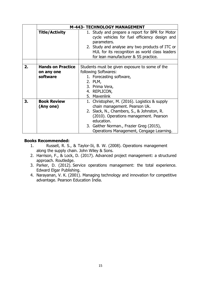|    |                                                    | M-443- TECHNOLOGY MANAGEMENT                                                                                                                                                                                                                                                 |
|----|----------------------------------------------------|------------------------------------------------------------------------------------------------------------------------------------------------------------------------------------------------------------------------------------------------------------------------------|
|    | <b>Title/Activity</b>                              | 1. Study and prepare a report for BPR for Motor<br>cycle vehicles for fuel efficiency design and<br>parameters.<br>2. Study and analyse any two products of ITC or<br>HUL for its recognition as world class leaders<br>for lean manufacturer & 5S practice.                 |
|    |                                                    |                                                                                                                                                                                                                                                                              |
| 2. | <b>Hands on Practice</b><br>on any one<br>software | Students must be given exposure to some of the<br>following Softwares:<br>1. Forecasting software,<br>2. PLM,<br>3. Prima Vera,<br>4. REPLICON,<br>5. Mavenlink                                                                                                              |
| 3. | <b>Book Review</b><br>(Any one)                    | 1. Christopher, M. (2016). Logistics & supply<br>chain management. Pearson Uk.<br>2. Slack, N., Chambers, S., & Johnston, R.<br>(2010). Operations management. Pearson<br>education.<br>3. Gaither Norman., Frazier Greg (2015),<br>Operations Management, Cengage Learning. |

#### **Books Recommended:**

- 1. Russell, R. S., & Taylor-Iii, B. W. (2008). Operations management along the supply chain. John Wiley & Sons.
- 2. Harrison, F., & Lock, D. (2017). Advanced project management: a structured approach. Routledge.
- 3. Parker, D. (2012). Service operations management: the total experience. Edward Elgar Publishing.
- 4. Narayanan, V. K. (2001). Managing technology and innovation for competitive advantage. Pearson Education India.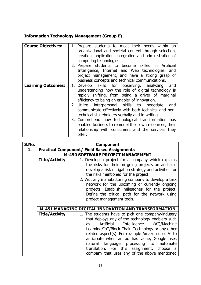### **Information Technology Management (Group E)**

| <b>Course Objectives:</b> | 1. Prepare students to meet their needs within an<br>organizational and societal context through selection,<br>creation, application, integration and administration of<br>computing technologies.<br>2. Prepare students to become skilled in Artificial<br>Intelligence, Internet and Web technologies, and<br>project management, and have a strong grasp of<br>business concepts and technical communications.                                                                                                                                              |
|---------------------------|-----------------------------------------------------------------------------------------------------------------------------------------------------------------------------------------------------------------------------------------------------------------------------------------------------------------------------------------------------------------------------------------------------------------------------------------------------------------------------------------------------------------------------------------------------------------|
| <b>Learning Outcomes:</b> | 1. Develop skills for observing, analyzing<br>and<br>understanding how the role of digital technology is<br>rapidly shifting, from being a driver of marginal<br>efficiency to being an enabler of innovation.<br>2. Utilize interpersonal skills to negotiate<br>and<br>communicate effectively with both technical and non-<br>technical stakeholders verbally and in writing.<br>3. Comprehend how technological transformation has<br>enabled business to remodel their own resources, their<br>relationship with consumers and the services they<br>offer. |

| S.No. |                                                     | <b>Component</b>                                                                                                                                                                                                                                                                                                                                                                                                                                                |
|-------|-----------------------------------------------------|-----------------------------------------------------------------------------------------------------------------------------------------------------------------------------------------------------------------------------------------------------------------------------------------------------------------------------------------------------------------------------------------------------------------------------------------------------------------|
| 1.    | <b>Practical Component/ Field Based Assignments</b> |                                                                                                                                                                                                                                                                                                                                                                                                                                                                 |
|       | <b>M-450 SOFTWARE PROJECT MANAGEMENT</b>            |                                                                                                                                                                                                                                                                                                                                                                                                                                                                 |
|       | <b>Title/Activity</b>                               | 1. Develop a project for a company which explains<br>the risks for their on going projects on and also<br>develop a risk mitigation strategy and activities for<br>the risks mentioned for the project.<br>2. Visit any manufacturing company to develop a task<br>network for the upcoming or currently ongoing<br>projects. Establish milestones for the project.<br>Define the critical path for the network using<br>project management tools.              |
|       |                                                     | <b>M-451 MANAGING DIGITAL INNOVATION AND TRANSFORMATION</b>                                                                                                                                                                                                                                                                                                                                                                                                     |
|       | <b>Title/Activity</b>                               | 1. The students have to pick one company/industry<br>that deploys any of the technology enablers such<br>Intelligence (AI)/Machine<br>Artificial<br>as<br>Learning/IoT/Block Chain Technology or any other<br>related aspect(s). For example Amazon uses AI to<br>anticipate when an ad has value; Google uses<br>language processing to automate<br>natural<br>translation. For this assignment, choose<br>a a<br>company that uses any of the above mentioned |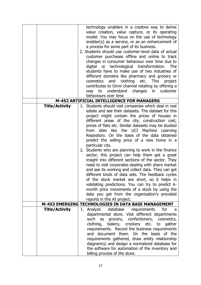| technology enablers in a creative way to derive<br>value creation, value capture, or its operating<br>model. You may focus on the use of technology<br>enabler(s) as a service, or as an enhancement of<br>a process for some part of its business.<br>2. Students should use customer-level data of actual<br>customer purchases offline and online to track<br>changes in consumer behaviour over time due to<br>digital or technological transformation.<br>The<br>students have to make use of two industries of<br>different domains like pharmacy and grocery or<br>clothing<br>etc.<br><b>This</b><br>cosmetics<br>and<br>project<br>contributes to Omni channel retailing by offering a<br>understand<br>changes in<br>customer<br>way to<br>behaviours over time<br>M-452 ARTIFICIAL INTELLIGENCE FOR MANAGERS<br><b>Title/Activity</b><br>1. Students should visit companies which deal in real<br>estate and see their datasets. The dataset for this<br>project might contain the prices of houses in<br>different areas of the city, construction cost,<br>prices of flats etc. Similar datasets may be studied<br>sites like the UCI Machine Learning<br>from<br>Repository. On the basis of the data obtained<br>predict the selling price of a new home in a<br>particular city.<br>2. Students who are planning to work in the finance<br>sector, this project can help them get a great<br>insight into different sections of the sector. They<br>need to visit corporates dealing with share market<br>and see its working and collect data. They can get<br>different kinds of data sets. The feedback cycles<br>of the stock market are short, so it helps in<br>validating predictions. You can try to predict 6-<br>month price movements of a stock by using the<br>data you get from the organization's provided<br>reports in this AI project.<br>M-453 EMERGING TECHNOLOGIES IN DATA BASE MANAGEMENT<br><b>Title/Activity</b><br>database requirements<br>Analyze<br>for<br>1.<br>a -<br>departmental store. Visit different departments<br>such<br>as grocery, confectionery, cosmetics,<br>clothing, bakery, crockery etc. to gather<br>requirements. Record the business requirements<br>and document them. On the basis of the<br>requirements gathered, draw entity relationship<br>diagram(s) and design a normalized database for<br>the software for automation of the inventory and |  |                               |
|-------------------------------------------------------------------------------------------------------------------------------------------------------------------------------------------------------------------------------------------------------------------------------------------------------------------------------------------------------------------------------------------------------------------------------------------------------------------------------------------------------------------------------------------------------------------------------------------------------------------------------------------------------------------------------------------------------------------------------------------------------------------------------------------------------------------------------------------------------------------------------------------------------------------------------------------------------------------------------------------------------------------------------------------------------------------------------------------------------------------------------------------------------------------------------------------------------------------------------------------------------------------------------------------------------------------------------------------------------------------------------------------------------------------------------------------------------------------------------------------------------------------------------------------------------------------------------------------------------------------------------------------------------------------------------------------------------------------------------------------------------------------------------------------------------------------------------------------------------------------------------------------------------------------------------------------------------------------------------------------------------------------------------------------------------------------------------------------------------------------------------------------------------------------------------------------------------------------------------------------------------------------------------------------------------------------------------------------------------------------------------------------------------------------------|--|-------------------------------|
|                                                                                                                                                                                                                                                                                                                                                                                                                                                                                                                                                                                                                                                                                                                                                                                                                                                                                                                                                                                                                                                                                                                                                                                                                                                                                                                                                                                                                                                                                                                                                                                                                                                                                                                                                                                                                                                                                                                                                                                                                                                                                                                                                                                                                                                                                                                                                                                                                         |  |                               |
|                                                                                                                                                                                                                                                                                                                                                                                                                                                                                                                                                                                                                                                                                                                                                                                                                                                                                                                                                                                                                                                                                                                                                                                                                                                                                                                                                                                                                                                                                                                                                                                                                                                                                                                                                                                                                                                                                                                                                                                                                                                                                                                                                                                                                                                                                                                                                                                                                         |  |                               |
|                                                                                                                                                                                                                                                                                                                                                                                                                                                                                                                                                                                                                                                                                                                                                                                                                                                                                                                                                                                                                                                                                                                                                                                                                                                                                                                                                                                                                                                                                                                                                                                                                                                                                                                                                                                                                                                                                                                                                                                                                                                                                                                                                                                                                                                                                                                                                                                                                         |  |                               |
|                                                                                                                                                                                                                                                                                                                                                                                                                                                                                                                                                                                                                                                                                                                                                                                                                                                                                                                                                                                                                                                                                                                                                                                                                                                                                                                                                                                                                                                                                                                                                                                                                                                                                                                                                                                                                                                                                                                                                                                                                                                                                                                                                                                                                                                                                                                                                                                                                         |  |                               |
|                                                                                                                                                                                                                                                                                                                                                                                                                                                                                                                                                                                                                                                                                                                                                                                                                                                                                                                                                                                                                                                                                                                                                                                                                                                                                                                                                                                                                                                                                                                                                                                                                                                                                                                                                                                                                                                                                                                                                                                                                                                                                                                                                                                                                                                                                                                                                                                                                         |  |                               |
|                                                                                                                                                                                                                                                                                                                                                                                                                                                                                                                                                                                                                                                                                                                                                                                                                                                                                                                                                                                                                                                                                                                                                                                                                                                                                                                                                                                                                                                                                                                                                                                                                                                                                                                                                                                                                                                                                                                                                                                                                                                                                                                                                                                                                                                                                                                                                                                                                         |  |                               |
|                                                                                                                                                                                                                                                                                                                                                                                                                                                                                                                                                                                                                                                                                                                                                                                                                                                                                                                                                                                                                                                                                                                                                                                                                                                                                                                                                                                                                                                                                                                                                                                                                                                                                                                                                                                                                                                                                                                                                                                                                                                                                                                                                                                                                                                                                                                                                                                                                         |  |                               |
|                                                                                                                                                                                                                                                                                                                                                                                                                                                                                                                                                                                                                                                                                                                                                                                                                                                                                                                                                                                                                                                                                                                                                                                                                                                                                                                                                                                                                                                                                                                                                                                                                                                                                                                                                                                                                                                                                                                                                                                                                                                                                                                                                                                                                                                                                                                                                                                                                         |  |                               |
|                                                                                                                                                                                                                                                                                                                                                                                                                                                                                                                                                                                                                                                                                                                                                                                                                                                                                                                                                                                                                                                                                                                                                                                                                                                                                                                                                                                                                                                                                                                                                                                                                                                                                                                                                                                                                                                                                                                                                                                                                                                                                                                                                                                                                                                                                                                                                                                                                         |  |                               |
|                                                                                                                                                                                                                                                                                                                                                                                                                                                                                                                                                                                                                                                                                                                                                                                                                                                                                                                                                                                                                                                                                                                                                                                                                                                                                                                                                                                                                                                                                                                                                                                                                                                                                                                                                                                                                                                                                                                                                                                                                                                                                                                                                                                                                                                                                                                                                                                                                         |  |                               |
|                                                                                                                                                                                                                                                                                                                                                                                                                                                                                                                                                                                                                                                                                                                                                                                                                                                                                                                                                                                                                                                                                                                                                                                                                                                                                                                                                                                                                                                                                                                                                                                                                                                                                                                                                                                                                                                                                                                                                                                                                                                                                                                                                                                                                                                                                                                                                                                                                         |  |                               |
|                                                                                                                                                                                                                                                                                                                                                                                                                                                                                                                                                                                                                                                                                                                                                                                                                                                                                                                                                                                                                                                                                                                                                                                                                                                                                                                                                                                                                                                                                                                                                                                                                                                                                                                                                                                                                                                                                                                                                                                                                                                                                                                                                                                                                                                                                                                                                                                                                         |  |                               |
|                                                                                                                                                                                                                                                                                                                                                                                                                                                                                                                                                                                                                                                                                                                                                                                                                                                                                                                                                                                                                                                                                                                                                                                                                                                                                                                                                                                                                                                                                                                                                                                                                                                                                                                                                                                                                                                                                                                                                                                                                                                                                                                                                                                                                                                                                                                                                                                                                         |  |                               |
|                                                                                                                                                                                                                                                                                                                                                                                                                                                                                                                                                                                                                                                                                                                                                                                                                                                                                                                                                                                                                                                                                                                                                                                                                                                                                                                                                                                                                                                                                                                                                                                                                                                                                                                                                                                                                                                                                                                                                                                                                                                                                                                                                                                                                                                                                                                                                                                                                         |  |                               |
|                                                                                                                                                                                                                                                                                                                                                                                                                                                                                                                                                                                                                                                                                                                                                                                                                                                                                                                                                                                                                                                                                                                                                                                                                                                                                                                                                                                                                                                                                                                                                                                                                                                                                                                                                                                                                                                                                                                                                                                                                                                                                                                                                                                                                                                                                                                                                                                                                         |  |                               |
|                                                                                                                                                                                                                                                                                                                                                                                                                                                                                                                                                                                                                                                                                                                                                                                                                                                                                                                                                                                                                                                                                                                                                                                                                                                                                                                                                                                                                                                                                                                                                                                                                                                                                                                                                                                                                                                                                                                                                                                                                                                                                                                                                                                                                                                                                                                                                                                                                         |  |                               |
|                                                                                                                                                                                                                                                                                                                                                                                                                                                                                                                                                                                                                                                                                                                                                                                                                                                                                                                                                                                                                                                                                                                                                                                                                                                                                                                                                                                                                                                                                                                                                                                                                                                                                                                                                                                                                                                                                                                                                                                                                                                                                                                                                                                                                                                                                                                                                                                                                         |  |                               |
|                                                                                                                                                                                                                                                                                                                                                                                                                                                                                                                                                                                                                                                                                                                                                                                                                                                                                                                                                                                                                                                                                                                                                                                                                                                                                                                                                                                                                                                                                                                                                                                                                                                                                                                                                                                                                                                                                                                                                                                                                                                                                                                                                                                                                                                                                                                                                                                                                         |  |                               |
|                                                                                                                                                                                                                                                                                                                                                                                                                                                                                                                                                                                                                                                                                                                                                                                                                                                                                                                                                                                                                                                                                                                                                                                                                                                                                                                                                                                                                                                                                                                                                                                                                                                                                                                                                                                                                                                                                                                                                                                                                                                                                                                                                                                                                                                                                                                                                                                                                         |  |                               |
|                                                                                                                                                                                                                                                                                                                                                                                                                                                                                                                                                                                                                                                                                                                                                                                                                                                                                                                                                                                                                                                                                                                                                                                                                                                                                                                                                                                                                                                                                                                                                                                                                                                                                                                                                                                                                                                                                                                                                                                                                                                                                                                                                                                                                                                                                                                                                                                                                         |  |                               |
|                                                                                                                                                                                                                                                                                                                                                                                                                                                                                                                                                                                                                                                                                                                                                                                                                                                                                                                                                                                                                                                                                                                                                                                                                                                                                                                                                                                                                                                                                                                                                                                                                                                                                                                                                                                                                                                                                                                                                                                                                                                                                                                                                                                                                                                                                                                                                                                                                         |  |                               |
|                                                                                                                                                                                                                                                                                                                                                                                                                                                                                                                                                                                                                                                                                                                                                                                                                                                                                                                                                                                                                                                                                                                                                                                                                                                                                                                                                                                                                                                                                                                                                                                                                                                                                                                                                                                                                                                                                                                                                                                                                                                                                                                                                                                                                                                                                                                                                                                                                         |  |                               |
|                                                                                                                                                                                                                                                                                                                                                                                                                                                                                                                                                                                                                                                                                                                                                                                                                                                                                                                                                                                                                                                                                                                                                                                                                                                                                                                                                                                                                                                                                                                                                                                                                                                                                                                                                                                                                                                                                                                                                                                                                                                                                                                                                                                                                                                                                                                                                                                                                         |  |                               |
|                                                                                                                                                                                                                                                                                                                                                                                                                                                                                                                                                                                                                                                                                                                                                                                                                                                                                                                                                                                                                                                                                                                                                                                                                                                                                                                                                                                                                                                                                                                                                                                                                                                                                                                                                                                                                                                                                                                                                                                                                                                                                                                                                                                                                                                                                                                                                                                                                         |  |                               |
|                                                                                                                                                                                                                                                                                                                                                                                                                                                                                                                                                                                                                                                                                                                                                                                                                                                                                                                                                                                                                                                                                                                                                                                                                                                                                                                                                                                                                                                                                                                                                                                                                                                                                                                                                                                                                                                                                                                                                                                                                                                                                                                                                                                                                                                                                                                                                                                                                         |  |                               |
|                                                                                                                                                                                                                                                                                                                                                                                                                                                                                                                                                                                                                                                                                                                                                                                                                                                                                                                                                                                                                                                                                                                                                                                                                                                                                                                                                                                                                                                                                                                                                                                                                                                                                                                                                                                                                                                                                                                                                                                                                                                                                                                                                                                                                                                                                                                                                                                                                         |  |                               |
|                                                                                                                                                                                                                                                                                                                                                                                                                                                                                                                                                                                                                                                                                                                                                                                                                                                                                                                                                                                                                                                                                                                                                                                                                                                                                                                                                                                                                                                                                                                                                                                                                                                                                                                                                                                                                                                                                                                                                                                                                                                                                                                                                                                                                                                                                                                                                                                                                         |  |                               |
|                                                                                                                                                                                                                                                                                                                                                                                                                                                                                                                                                                                                                                                                                                                                                                                                                                                                                                                                                                                                                                                                                                                                                                                                                                                                                                                                                                                                                                                                                                                                                                                                                                                                                                                                                                                                                                                                                                                                                                                                                                                                                                                                                                                                                                                                                                                                                                                                                         |  |                               |
|                                                                                                                                                                                                                                                                                                                                                                                                                                                                                                                                                                                                                                                                                                                                                                                                                                                                                                                                                                                                                                                                                                                                                                                                                                                                                                                                                                                                                                                                                                                                                                                                                                                                                                                                                                                                                                                                                                                                                                                                                                                                                                                                                                                                                                                                                                                                                                                                                         |  |                               |
|                                                                                                                                                                                                                                                                                                                                                                                                                                                                                                                                                                                                                                                                                                                                                                                                                                                                                                                                                                                                                                                                                                                                                                                                                                                                                                                                                                                                                                                                                                                                                                                                                                                                                                                                                                                                                                                                                                                                                                                                                                                                                                                                                                                                                                                                                                                                                                                                                         |  |                               |
|                                                                                                                                                                                                                                                                                                                                                                                                                                                                                                                                                                                                                                                                                                                                                                                                                                                                                                                                                                                                                                                                                                                                                                                                                                                                                                                                                                                                                                                                                                                                                                                                                                                                                                                                                                                                                                                                                                                                                                                                                                                                                                                                                                                                                                                                                                                                                                                                                         |  |                               |
|                                                                                                                                                                                                                                                                                                                                                                                                                                                                                                                                                                                                                                                                                                                                                                                                                                                                                                                                                                                                                                                                                                                                                                                                                                                                                                                                                                                                                                                                                                                                                                                                                                                                                                                                                                                                                                                                                                                                                                                                                                                                                                                                                                                                                                                                                                                                                                                                                         |  |                               |
|                                                                                                                                                                                                                                                                                                                                                                                                                                                                                                                                                                                                                                                                                                                                                                                                                                                                                                                                                                                                                                                                                                                                                                                                                                                                                                                                                                                                                                                                                                                                                                                                                                                                                                                                                                                                                                                                                                                                                                                                                                                                                                                                                                                                                                                                                                                                                                                                                         |  |                               |
|                                                                                                                                                                                                                                                                                                                                                                                                                                                                                                                                                                                                                                                                                                                                                                                                                                                                                                                                                                                                                                                                                                                                                                                                                                                                                                                                                                                                                                                                                                                                                                                                                                                                                                                                                                                                                                                                                                                                                                                                                                                                                                                                                                                                                                                                                                                                                                                                                         |  |                               |
|                                                                                                                                                                                                                                                                                                                                                                                                                                                                                                                                                                                                                                                                                                                                                                                                                                                                                                                                                                                                                                                                                                                                                                                                                                                                                                                                                                                                                                                                                                                                                                                                                                                                                                                                                                                                                                                                                                                                                                                                                                                                                                                                                                                                                                                                                                                                                                                                                         |  |                               |
|                                                                                                                                                                                                                                                                                                                                                                                                                                                                                                                                                                                                                                                                                                                                                                                                                                                                                                                                                                                                                                                                                                                                                                                                                                                                                                                                                                                                                                                                                                                                                                                                                                                                                                                                                                                                                                                                                                                                                                                                                                                                                                                                                                                                                                                                                                                                                                                                                         |  |                               |
|                                                                                                                                                                                                                                                                                                                                                                                                                                                                                                                                                                                                                                                                                                                                                                                                                                                                                                                                                                                                                                                                                                                                                                                                                                                                                                                                                                                                                                                                                                                                                                                                                                                                                                                                                                                                                                                                                                                                                                                                                                                                                                                                                                                                                                                                                                                                                                                                                         |  |                               |
|                                                                                                                                                                                                                                                                                                                                                                                                                                                                                                                                                                                                                                                                                                                                                                                                                                                                                                                                                                                                                                                                                                                                                                                                                                                                                                                                                                                                                                                                                                                                                                                                                                                                                                                                                                                                                                                                                                                                                                                                                                                                                                                                                                                                                                                                                                                                                                                                                         |  |                               |
|                                                                                                                                                                                                                                                                                                                                                                                                                                                                                                                                                                                                                                                                                                                                                                                                                                                                                                                                                                                                                                                                                                                                                                                                                                                                                                                                                                                                                                                                                                                                                                                                                                                                                                                                                                                                                                                                                                                                                                                                                                                                                                                                                                                                                                                                                                                                                                                                                         |  |                               |
|                                                                                                                                                                                                                                                                                                                                                                                                                                                                                                                                                                                                                                                                                                                                                                                                                                                                                                                                                                                                                                                                                                                                                                                                                                                                                                                                                                                                                                                                                                                                                                                                                                                                                                                                                                                                                                                                                                                                                                                                                                                                                                                                                                                                                                                                                                                                                                                                                         |  |                               |
|                                                                                                                                                                                                                                                                                                                                                                                                                                                                                                                                                                                                                                                                                                                                                                                                                                                                                                                                                                                                                                                                                                                                                                                                                                                                                                                                                                                                                                                                                                                                                                                                                                                                                                                                                                                                                                                                                                                                                                                                                                                                                                                                                                                                                                                                                                                                                                                                                         |  |                               |
|                                                                                                                                                                                                                                                                                                                                                                                                                                                                                                                                                                                                                                                                                                                                                                                                                                                                                                                                                                                                                                                                                                                                                                                                                                                                                                                                                                                                                                                                                                                                                                                                                                                                                                                                                                                                                                                                                                                                                                                                                                                                                                                                                                                                                                                                                                                                                                                                                         |  |                               |
|                                                                                                                                                                                                                                                                                                                                                                                                                                                                                                                                                                                                                                                                                                                                                                                                                                                                                                                                                                                                                                                                                                                                                                                                                                                                                                                                                                                                                                                                                                                                                                                                                                                                                                                                                                                                                                                                                                                                                                                                                                                                                                                                                                                                                                                                                                                                                                                                                         |  |                               |
|                                                                                                                                                                                                                                                                                                                                                                                                                                                                                                                                                                                                                                                                                                                                                                                                                                                                                                                                                                                                                                                                                                                                                                                                                                                                                                                                                                                                                                                                                                                                                                                                                                                                                                                                                                                                                                                                                                                                                                                                                                                                                                                                                                                                                                                                                                                                                                                                                         |  |                               |
|                                                                                                                                                                                                                                                                                                                                                                                                                                                                                                                                                                                                                                                                                                                                                                                                                                                                                                                                                                                                                                                                                                                                                                                                                                                                                                                                                                                                                                                                                                                                                                                                                                                                                                                                                                                                                                                                                                                                                                                                                                                                                                                                                                                                                                                                                                                                                                                                                         |  |                               |
|                                                                                                                                                                                                                                                                                                                                                                                                                                                                                                                                                                                                                                                                                                                                                                                                                                                                                                                                                                                                                                                                                                                                                                                                                                                                                                                                                                                                                                                                                                                                                                                                                                                                                                                                                                                                                                                                                                                                                                                                                                                                                                                                                                                                                                                                                                                                                                                                                         |  |                               |
|                                                                                                                                                                                                                                                                                                                                                                                                                                                                                                                                                                                                                                                                                                                                                                                                                                                                                                                                                                                                                                                                                                                                                                                                                                                                                                                                                                                                                                                                                                                                                                                                                                                                                                                                                                                                                                                                                                                                                                                                                                                                                                                                                                                                                                                                                                                                                                                                                         |  |                               |
|                                                                                                                                                                                                                                                                                                                                                                                                                                                                                                                                                                                                                                                                                                                                                                                                                                                                                                                                                                                                                                                                                                                                                                                                                                                                                                                                                                                                                                                                                                                                                                                                                                                                                                                                                                                                                                                                                                                                                                                                                                                                                                                                                                                                                                                                                                                                                                                                                         |  |                               |
|                                                                                                                                                                                                                                                                                                                                                                                                                                                                                                                                                                                                                                                                                                                                                                                                                                                                                                                                                                                                                                                                                                                                                                                                                                                                                                                                                                                                                                                                                                                                                                                                                                                                                                                                                                                                                                                                                                                                                                                                                                                                                                                                                                                                                                                                                                                                                                                                                         |  | billing process of the store. |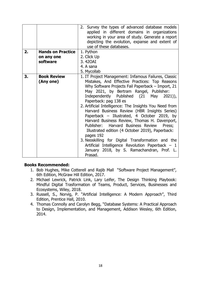|    |                          | 2. Survey the types of advanced database models<br>applied in different domains in organizations<br>working in your area of study. Generate a report<br>depicting the evolution, expanse and extent of<br>use of these databases.                                                                                                                                                                                                                                                                                                                                                                                                                                   |
|----|--------------------------|---------------------------------------------------------------------------------------------------------------------------------------------------------------------------------------------------------------------------------------------------------------------------------------------------------------------------------------------------------------------------------------------------------------------------------------------------------------------------------------------------------------------------------------------------------------------------------------------------------------------------------------------------------------------|
| 2. | <b>Hands on Practice</b> | 1. Python                                                                                                                                                                                                                                                                                                                                                                                                                                                                                                                                                                                                                                                           |
|    | on any one               | 2. Click Up                                                                                                                                                                                                                                                                                                                                                                                                                                                                                                                                                                                                                                                         |
|    | software                 | 3.420AI                                                                                                                                                                                                                                                                                                                                                                                                                                                                                                                                                                                                                                                             |
|    |                          | 4. A sana                                                                                                                                                                                                                                                                                                                                                                                                                                                                                                                                                                                                                                                           |
|    |                          | 5. Mycollab                                                                                                                                                                                                                                                                                                                                                                                                                                                                                                                                                                                                                                                         |
| 3. | <b>Book Review</b>       | 1. IT Project Management: Infamous Failures, Classic                                                                                                                                                                                                                                                                                                                                                                                                                                                                                                                                                                                                                |
|    | (Any one)                | Mistakes, And Effective Practices: Top Reasons                                                                                                                                                                                                                                                                                                                                                                                                                                                                                                                                                                                                                      |
|    |                          | Why Software Projects Fail Paperback - Import, 21<br>May 2021, by Bertram Rangel, Publisher:<br>Independently Published (21 May<br>$2021)$ ,<br>Paperback: pag 138 es<br>2. Artificial Intelligence: The Insights You Need from<br>Harvard Business Review (HBR Insights Series)<br>Paperback - Illustrated, 4 October 2019, by<br>Harvard Business Review, Thomas H. Davenport,<br>Publisher: Harvard Business Review<br>Press;<br>Illustrated edition (4 October 2019), Paperback:<br>pages 192<br>3. Neoskilling for Digital Transformation and the<br>Artificial Intelligence Revolution Paperback - 1<br>January 2018, by S. Ramachandran, Prof. L.<br>Prasad. |

#### **Books Recommended:**

- 1. Bob Hughes, Mike Cotterell and Rajib Mall "Software Project Management", 6th Edition, McGraw Hill Edition, 2017.
- 2. Michael Lewrick, Patrick Link, Lary Leifer, The Design Thinking Playbook: Mindful Digital Trasformation of Teams, Product, Services, Businesses and Ecosystems, Wiley, 2018.
- 3. Russell, S., Norvig, P. "Artificial Intelligence: A Modern Approach", Third Edition, Prentice Hall, 2010.
- 4. Thomas Connolly and Carolyn Begg, "Database Systems: A Practical Approach to Design, Implementation, and Management, Addison Wesley, 6th Edition, 2014.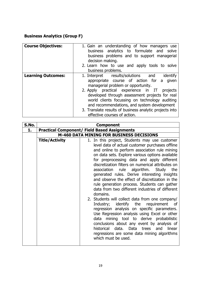#### **Business Analytics (Group F)**

| <b>Course Objectives:</b> | 1. Gain an understanding of how managers use<br>business analytics to formulate and solve<br>business problems and to support managerial<br>decision making.<br>2. Learn how to use and apply tools to solve<br>business problems.                                                                                                                                                                                                   |
|---------------------------|--------------------------------------------------------------------------------------------------------------------------------------------------------------------------------------------------------------------------------------------------------------------------------------------------------------------------------------------------------------------------------------------------------------------------------------|
| <b>Learning Outcomes:</b> | 1. Interpret results/solutions and<br>identify<br>appropriate course of action for a<br>given<br>managerial problem or opportunity.<br>2. Apply practical experience in IT<br>projects<br>developed through assessment projects for real<br>world clients focussing on technology auditing<br>and recommendations, and system development<br>3. Translate results of business analytic projects into<br>effective courses of action. |

| S.No. |                                                     | <b>Component</b>                                                                                                                                                                                                                                                                                                                                                                                                                                                                                                                                                                                                                                                                                                                                                                                                                                                                                                                                                                       |
|-------|-----------------------------------------------------|----------------------------------------------------------------------------------------------------------------------------------------------------------------------------------------------------------------------------------------------------------------------------------------------------------------------------------------------------------------------------------------------------------------------------------------------------------------------------------------------------------------------------------------------------------------------------------------------------------------------------------------------------------------------------------------------------------------------------------------------------------------------------------------------------------------------------------------------------------------------------------------------------------------------------------------------------------------------------------------|
| 1.    | <b>Practical Component/ Field Based Assignments</b> |                                                                                                                                                                                                                                                                                                                                                                                                                                                                                                                                                                                                                                                                                                                                                                                                                                                                                                                                                                                        |
|       | <b>M-460 DATA MINING FOR BUSINESS DECISIONS</b>     |                                                                                                                                                                                                                                                                                                                                                                                                                                                                                                                                                                                                                                                                                                                                                                                                                                                                                                                                                                                        |
|       | <b>Title/Activity</b>                               | 1. In this project, Students may use customer<br>level data of actual customer purchases offline<br>and online to perform association rule mining<br>on data sets. Explore various options available<br>for preprocessing data and apply different<br>discretization filters on numerical attributes on<br>association rule algorithm. Study the<br>generated rules. Derive interesting insights<br>and observe the effect of discretization in the<br>rule generation process. Students can gather<br>data from two different industries of different<br>domains.<br>2. Students will collect data from one company/<br>requirement<br>Industry; identify the<br>of<br>regression analysis on specific parameters.<br>Use Regression analysis using Excel or other<br>mining tool to derive probabilistic<br>data<br>conclusions about any event by analysis of<br>trees and<br>historical data. Data<br>linear<br>regressions are some data mining algorithms<br>which must be used. |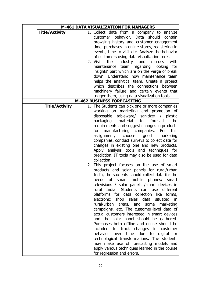|                       | <b>M-461 DATA VISUALIZATION FOR MANAGERS</b>                                                                                                                                                                                                                                                                                                                                                                                                                                                                                                                                                                                                                                                                                                                                                                                                                                                                                                                                                                                                                                                                                                                                                                                                                                                                                                                                                                                |
|-----------------------|-----------------------------------------------------------------------------------------------------------------------------------------------------------------------------------------------------------------------------------------------------------------------------------------------------------------------------------------------------------------------------------------------------------------------------------------------------------------------------------------------------------------------------------------------------------------------------------------------------------------------------------------------------------------------------------------------------------------------------------------------------------------------------------------------------------------------------------------------------------------------------------------------------------------------------------------------------------------------------------------------------------------------------------------------------------------------------------------------------------------------------------------------------------------------------------------------------------------------------------------------------------------------------------------------------------------------------------------------------------------------------------------------------------------------------|
| <b>Title/Activity</b> | 1. Collect data from a company to analyze<br>behavior.<br>Data should<br>contain<br>customer<br>browsing history and customer engagement<br>time, purchases in online stores, registering in<br>events, time to visit etc. Analyze the behavior<br>of customers using data visualization tools.<br>2. Visit the<br>industry and<br>discuss<br>with<br>maintenance team regarding 'looking<br>for<br>insights' part which are on the verge of break<br>down. Understand how maintenance team<br>helps the analytical team. Create a project<br>which describes the connections between<br>machinery failure and certain events that                                                                                                                                                                                                                                                                                                                                                                                                                                                                                                                                                                                                                                                                                                                                                                                          |
|                       | trigger them, using data visualization tools                                                                                                                                                                                                                                                                                                                                                                                                                                                                                                                                                                                                                                                                                                                                                                                                                                                                                                                                                                                                                                                                                                                                                                                                                                                                                                                                                                                |
|                       | <b>M-462 BUSINESS FORECASTING</b>                                                                                                                                                                                                                                                                                                                                                                                                                                                                                                                                                                                                                                                                                                                                                                                                                                                                                                                                                                                                                                                                                                                                                                                                                                                                                                                                                                                           |
| <b>Title/Activity</b> | 1. The Students can pick one or more companies<br>working on marketing and promotion of<br>disposable tableware/ sanitizer / plastic<br>packaging<br>the<br>material<br>to<br>forecast<br>requirements and suggest changes in products<br>manufacturing companies. For<br>this<br>for<br>assignment,<br>choose<br>good<br>marketing<br>companies, conduct surveys to collect data for<br>changes in existing one and new products.<br>Apply analysis tools and techniques for<br>prediction. IT tools may also be used for data<br>collection.<br>2. This project focuses on the use of smart<br>products and solar panels for rural/urban<br>India, the students should collect data for the<br>needs of smart mobile phones/ smart<br>televisions / solar panels / smart devices in<br>rural India. Students can use different<br>platforms for data collection like forms,<br>electronic shop sales data<br>situated<br>in<br>rural/urban areas, and some marketing<br>campaigns, etc. The customer-level data of<br>actual customers interested in smart devices<br>and the solar panel should be gathered.<br>Purchases both offline and online should be<br>included to track changes in customer<br>behavior over time due to digital<br>or<br>technological transformations. The students<br>may make use of forecasting models and<br>apply various techniques learned in the course<br>for regression and errors. |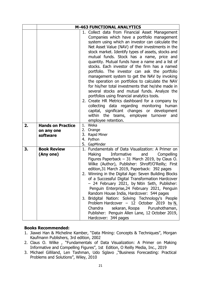|    |                                                    | <b>M-463 FUNCTIONAL ANALYTICS</b>                                                                                                                                                                                                                                                                                                                                                                                                                                                                                                                                                                                                                                                                                                                                                                                                                                                                                                                   |
|----|----------------------------------------------------|-----------------------------------------------------------------------------------------------------------------------------------------------------------------------------------------------------------------------------------------------------------------------------------------------------------------------------------------------------------------------------------------------------------------------------------------------------------------------------------------------------------------------------------------------------------------------------------------------------------------------------------------------------------------------------------------------------------------------------------------------------------------------------------------------------------------------------------------------------------------------------------------------------------------------------------------------------|
|    |                                                    | 1. Collect data from Financial Asset Management<br>Companies which have a portfolio management<br>system using which an investor can calculate the<br>Net Asset Value (NAV) of their investments in the<br>stock market. Identify types of assets, stocks and<br>mutual funds. Stock has a name, price and<br>quantity. Mutual funds have a name and a list of<br>stocks. Each investor of the firm has a named<br>portfolio. The investor can ask the portfolio<br>management system to get the NAV by invoking<br>the operation on portfolios to calculate the NAV<br>for his/her total investments that he/she made in<br>several stocks and mutual funds. Analyze the<br>portfolios using financial analytics tools.<br>2. Create HR Metrics dashboard for a company by<br>collecting data regarding monitoring<br>human<br>capital, significant changes or development<br>within<br>the teams, employee turnover<br>and<br>employee retention. |
| 2. | <b>Hands on Practice</b><br>on any one<br>software | 1. Weka<br>Orange<br>2.<br>3. Rapid Miner<br>4. Python<br>5. GapMinder                                                                                                                                                                                                                                                                                                                                                                                                                                                                                                                                                                                                                                                                                                                                                                                                                                                                              |
| 3. | <b>Book Review</b><br>(Any one)                    | 1. Fundamentals of Data Visualization: A Primer on<br>Making<br>Informative<br>Compelling<br>and<br>Figures Paperback $-31$ March 2019, by Claus O.<br>Wilke (Author), Publisher: Shroff/O'Reilly; First<br>edition, 31 March 2019, Paperback: 392 pages<br>2. Winning in the Digital Age: Seven Building Blocks<br>of a Successful Digital Transformation Hardcover<br>- 24 February 2021, by Nitin Seth, Publisher:<br>Penguin Enterprise, 24 February 2021, Penguin<br>Random House India, Hardcover: 544 pages<br>3. Bridgital Nation: Solving Technology's People<br>Problem Hardcover - 12 October 2019 by $N$ .<br>Chandra sekaran, Roopa Purushothaman,<br>Publisher: Penguin Allen Lane, 12 October 2019,<br>Hardcover: 344 pages                                                                                                                                                                                                          |

#### **Books Recommended:**

- 1. Jiawei Han & Micheline Kamber, "Data Mining: Concepts & Techniques", Morgan Kaufmann Publishers, 3rd edition, 2002
- 2. Claus O. Wilke , "Fundamentals of Data Visualization: A Primer on Making Informative and Compelling Figures", 1st Edition, O Reilly Media, Inc., 2019
- 3. Michael Gilliland, Len Tashman, Udo Sglavo ,"Business Forecasting: Practical Problems and Solutions", Wiley, 2010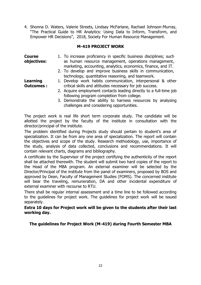4. Shonna D. Waters, Valerie Streets, Lindsay McFarlane, Rachael Johnson-Murray, "The Practical Guide to HR Analytics: Using Data to Inform, Transform, and Empower HR Decisions", 2018, Society For Human Resource Management.

#### **M-419 PROJECT WORK**

| <b>Course</b><br>objectives: | 1. To increase proficiency in specific business disciplines; such<br>as human resource management, operations management,<br>marketing, accounting, analytics, economics, finance, and IT. |
|------------------------------|--------------------------------------------------------------------------------------------------------------------------------------------------------------------------------------------|
|                              | 2. To develop and improve business skills in communication,                                                                                                                                |
|                              | technology, quantitative reasoning, and teamwork.                                                                                                                                          |
| Learning                     | 1. Develop work habits communication, interpersonal & other                                                                                                                                |
| <b>Outcomes:</b>             | critical skills and attitudes necessary for job success.                                                                                                                                   |
|                              | 2. Acquire employment contacts leading directly to a full-time job                                                                                                                         |
|                              | following program completion from college.                                                                                                                                                 |
|                              | 3. Demonstrate the ability to harness resources by analysing                                                                                                                               |

The project work is real life short term corporate study. The candidate will be allotted the project by the faculty of the institute in consultation with the director/principal of the institute.

challenges and considering opportunities.

The problem identified during Projects study should pertain to student's area of specialization. It can be from any one area of specialization. The report will contain the objectives and scope of the study. Research methodology, use, importance of the study, analysis of data collected, conclusions and recommendations. It will contain relevant charts, diagrams and bibliography.

A certificate by the Supervisor of the project certifying the authenticity of the report shall be attached therewith. The student will submit two hard copies of the report to the Head of the MBA program. An external examiner will be selected by the Director/Principal of the institute from the panel of examiners, proposed by BOS and approved by Dean, Faculty of Management Studies (FOMS). The concerned institute will bear the traveling, remuneration, DA and other incidental expenditure of external examiner with recourse to RTU.

There shall be regular internal assessment and a time line to be followed according to the guidelines for project work. The guidelines for project work will be issued separately.

#### **Extra 10 days for Project work will be given to the students after their last working day.**

**The guidelines for Project Work (M-419) during Fourth Semester MBA**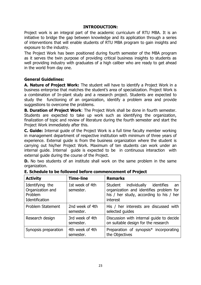#### **INTRODUCTION:**

Project work is an integral part of the academic curriculum of RTU MBA. It is an initiative to bridge the gap between knowledge and its application through a series of interventions that will enable students of RTU MBA program to gain insights and exposure to the industry.

The Project Work has been positioned during fourth semester of the MBA program as it serves the twin purpose of providing critical business insights to students as well providing industry with graduates of a high caliber who are ready to get ahead in the world from day one.

#### **General Guidelines:**

**A. Nature of Project Work:** The student will have to identify a Project Work in a business enterprise that matches the student's area of specialization. Project Work is a combination of In-plant study and a research project. Students are expected to study the functioning of an organization, identify a problem area and provide suggestions to overcome the problems.

**B. Duration of Project Work**: The Project Work shall be done in fourth semester. Students are expected to take up work such as identifying the organization, finalization of topic and review of literature during the fourth semester and start the Project Work immediately after this.

**C. Guide:** Internal guide of the Project Work is a full time faculty member working in management department of respective institution with minimum of three years of experience. External guide is from the business organization where the student is carrying out his/her Project Work. Maximum of ten students can work under an internal guide. Internal guide is expected to be in continuous interaction with external guide during the course of the Project.

**D.** No two students of an institute shall work on the same problem in the same organization.

| <b>Activity</b>                                                  | <b>Time-line</b>             | <b>Remarks</b>                                                                                                                          |  |
|------------------------------------------------------------------|------------------------------|-----------------------------------------------------------------------------------------------------------------------------------------|--|
| Identifying the<br>Organization and<br>Problem<br>Identification | 1st week of 4th<br>semester. | Student individually identifies<br>an<br>organization and identifies problem for<br>his / her study, according to his / her<br>interest |  |
| <b>Problem Statement</b>                                         | 2nd week of 4th<br>semester. | His / her interests are discussed with<br>selected guides                                                                               |  |
| Research design                                                  | 3rd week of 4th<br>semester. | Discussion with internal guide to decide<br>on suitable design for the research                                                         |  |
| Synopsis preparation                                             | 4th week of 4th<br>semester. | Preparation of synopsis <sup>*</sup> incorporating<br>the Objectives                                                                    |  |

**E. Schedule to be followed before commencement of Project**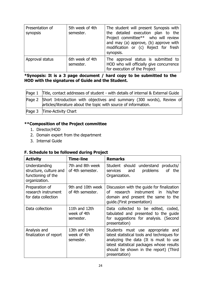| Presentation of<br>synopsis | 5th week of 4th<br>semester. | The student will present Synopsis with<br>the detailed execution plan to the<br>Project committee** who will review<br>and may (a) approve, (b) approve with<br>modification or (c) Reject for fresh<br>synopsis. |
|-----------------------------|------------------------------|-------------------------------------------------------------------------------------------------------------------------------------------------------------------------------------------------------------------|
| Approval status             | 6th week of 4th<br>semester. | The approval status is submitted to<br>HOD who will officially give concurrence<br>for execution of the Project                                                                                                   |

#### **\*Synopsis: It is a 3 page document / hard copy to be submitted to the HOD with the signatures of Guide and the Student.**

| Page 1 Title, contact addresses of student - with details of internal & External Guide                                                          |
|-------------------------------------------------------------------------------------------------------------------------------------------------|
| Page 2 Short Introduction with objectives and summary (300 words), Review of<br>articles/literature about the topic with source of information. |
| Page 3 Time-Activity Chart                                                                                                                      |

#### **\*\*Composition of the Project committee**

- 1. Director/HOD
- 2. Domain expert from the department
- 3. Internal Guide

#### **F. Schedule to be followed during Project**

| <b>Activity</b>                                                                | <b>Time-line</b>                          | <b>Remarks</b>                                                                                                                                                                                                                   |
|--------------------------------------------------------------------------------|-------------------------------------------|----------------------------------------------------------------------------------------------------------------------------------------------------------------------------------------------------------------------------------|
| Understanding<br>structure, culture and<br>functioning of the<br>organization. | 7th and 8th week<br>of 4th semester.      | Student should understand products/<br>problems<br>of the<br>services and<br>Organization.                                                                                                                                       |
| Preparation of<br>research instrument<br>for data collection                   | 9th and 10th week<br>of 4th semester.     | Discussion with the guide for finalization<br>of research instrument in<br>his/her<br>domain and present the same to the<br>guide.(First presentation)                                                                           |
| Data collection                                                                | 11th and 12th<br>week of 4th<br>semester. | Data collected to be edited, coded,<br>tabulated and presented to the guide<br>for suggestions for analysis. (Second<br>presentation)                                                                                            |
| Analysis and<br>finalization of report                                         | 13th and 14th<br>week of 4th<br>semester. | Students must use appropriate and<br>latest statistical tools and techniques for<br>analyzing the data (It is must to use<br>latest statistical packages whose results<br>should be shown in the report) (Third<br>presentation) |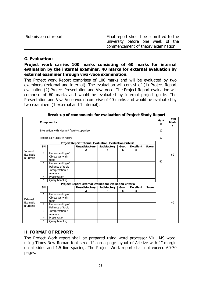| Submission of report | Final report should be submitted to the |  |  |  |
|----------------------|-----------------------------------------|--|--|--|
|                      | university before one week of the       |  |  |  |
|                      | commencement of theory examination.     |  |  |  |

#### **G. Evaluation:**

**Project work carries 100 marks consisting of 60 marks for internal evaluation by the internal examiner, 40 marks for external evaluation by external examiner through viva-voce examination.**

The Project work Report comprises of 100 marks and will be evaluated by two examiners (external and internal). The evaluation will consist of (1) Project Report evaluation (2) Project Presentation and Viva Voce. The Project Report evaluation will comprise of 60 marks and would be evaluated by internal project guide. The Presentation and Viva Voce would comprise of 40 marks and would be evaluated by two examiners (1 external and 1 internal).

|                                     |                                                         | <b>Components</b>                            |                                                         |                     |      |                  |              | <b>Mark</b><br>s | Total<br>Mark<br>s |
|-------------------------------------|---------------------------------------------------------|----------------------------------------------|---------------------------------------------------------|---------------------|------|------------------|--------------|------------------|--------------------|
|                                     | Interaction with Mentor/ faculty supervisor             |                                              |                                                         |                     |      |                  |              | 10               |                    |
|                                     | Project daily-activity record                           |                                              |                                                         |                     |      |                  |              |                  |                    |
|                                     |                                                         |                                              | Project Report Internal Evaluation: Evaluation Criteria |                     |      |                  |              |                  |                    |
|                                     | <b>SN</b>                                               |                                              | <b>Unsatisfactory</b>                                   | <b>Satisfactory</b> | Good | <b>Excellent</b> | <b>Score</b> |                  |                    |
| Internal                            |                                                         |                                              | $\overline{2}$                                          | 4                   | 6    | 8                |              |                  |                    |
| Evaluatio<br>n Criteria             | 1                                                       | Understanding of<br>Objectives with<br>topic |                                                         |                     |      |                  |              | 40               | 60                 |
|                                     | 2                                                       | Understanding of<br>Reliance of topic        |                                                         |                     |      |                  |              |                  |                    |
|                                     | 3                                                       | Interpretation &<br>Analysis                 |                                                         |                     |      |                  |              |                  |                    |
|                                     | 4                                                       | Presentation                                 |                                                         |                     |      |                  |              |                  |                    |
|                                     | 5                                                       | Query handling                               |                                                         |                     |      |                  |              |                  |                    |
|                                     | Project Report External Evaluation: Evaluation Criteria |                                              |                                                         |                     |      |                  |              |                  |                    |
|                                     | <b>SN</b>                                               |                                              | <b>Unsatisfactory</b>                                   | <b>Satisfactory</b> | Good | <b>Excellent</b> | <b>Score</b> |                  |                    |
|                                     |                                                         |                                              | $\mathbf{2}$                                            | 4                   | 6    | 8                |              |                  |                    |
| External<br>Evaluatio<br>n Criteria | $\mathbf{1}$                                            | Understanding of<br>Objectives with<br>topic |                                                         |                     |      |                  |              |                  | 40                 |
|                                     | $\overline{2}$                                          | Understanding of<br>Reliance of topic        |                                                         |                     |      |                  |              |                  |                    |
|                                     | 3                                                       | Interpretation &<br>Analysis                 |                                                         |                     |      |                  |              |                  |                    |
|                                     | 4                                                       | Presentation                                 |                                                         |                     |      |                  |              |                  |                    |
|                                     | 5                                                       | Query handling                               |                                                         |                     |      |                  |              |                  |                    |

#### **Break-up of components for evaluation of Project Study Report**

#### **H. FORMAT OF REPORT**:

The Project Work report shall be prepared using word processor Viz., MS word, using Times New Roman font sized 12, on a page layout of A4 size with 1" margin on all sides and 1.5 line spacing. The Project Work report shall not exceed 60-70 pages.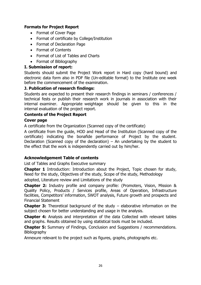#### **Formats for Project Report**

- Format of Cover Page
- Format of certificate by College/Institution
- Format of Declaration Page
- Format of Contents
- Format of List of Tables and Charts
- Format of Bibliography

#### **I. Submission of report:**

Students should submit the Project Work report in Hard copy (hard bound) and electronic data form also in PDF file (Un-editable format) to the Institute one week before the commencement of the examination.

#### **J. Publication of research findings:**

Students are expected to present their research findings in seminars / conferences / technical fests or publish their research work in journals in association with their internal examiner. Appropriate weightage should be given to this in the internal evaluation of the project report.

#### **Contents of the Project Report**

#### **Cover page**

A certificate from the Organization (Scanned copy of the certificate)

A certificate from the guide, HOD and Head of the Institution (Scanned copy of the certificate) indicating the bonafide performance of Project by the student. Declaration (Scanned copy of the declaration) – An undertaking by the student to the effect that the work is independently carried out by him/her.

#### **Acknowledgement Table of contents**

List of Tables and Graphs Executive summary

**Chapter 1** Introduction: Introduction about the Project, Topic chosen for study, Need for the study, Objectives of the study, Scope of the study, Methodology

adopted, Literature review and Limitations of the study

**Chapter 2:** Industry profile and company profile: (Promoters, Vision, Mission & Quality Policy, Products / Services profile, Areas of Operation, Infrastructure facilities, Competitors' information, SWOT analysis, Future growth and prospects and Financial Statement

**Chapter 3:** Theoretical background of the study – elaborative information on the subject chosen for better understanding and usage in the analysis.

**Chapter 4:** Analysis and interpretation of the data Collected with relevant tables and graphs. Results obtained by using statistical tools must be included.

**Chapter 5:** Summary of Findings, Conclusion and Suggestions / recommendations. **Bibliography** 

Annexure relevant to the project such as figures, graphs, photographs etc.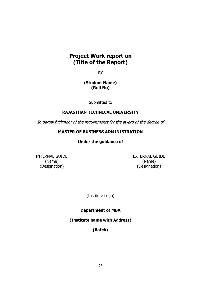#### **Project Work report on (Title of the Report)**

BY

#### **(Student Name) (Roll No)**

Submitted to

#### **RAJASTHAN TECHNICAL UNIVERSITY**

In partial fulfilment of the requirements for the award of the degree of

#### **MASTER OF BUSINESS ADMINISTRATION**

#### **Under the guidance of**

(Designation) (Designation)

INTERNAL GUIDE EXTERNAL GUIDE (Name) (Name)

(Institute Logo)

**Department of MBA** 

**(Institute name with Address)**

**(Batch)**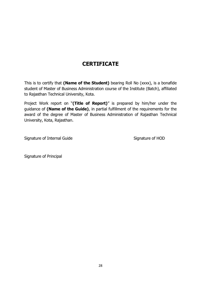### **CERTIFICATE**

This is to certify that **(Name of the Student)** bearing Roll No (xxxx), is a bonafide student of Master of Business Administration course of the Institute (Batch), affiliated to Rajasthan Technical University, Kota.

Project Work report on "**(Title of Report)**" is prepared by him/her under the guidance of **(Name of the Guide)**, in partial fulfillment of the requirements for the award of the degree of Master of Business Administration of Rajasthan Technical University, Kota, Rajasthan.

Signature of Internal Guide Signature of HOD

Signature of Principal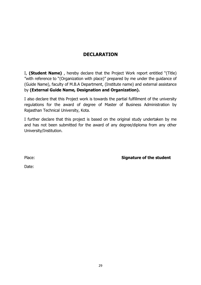#### **DECLARATION**

I, **(Student Name)** , hereby declare that the Project Work report entitled "(Title) "with reference to "(Organization with place)" prepared by me under the guidance of (Guide Name), faculty of M.B.A Department, (Institute name) and external assistance by **(External Guide Name, Designation and Organization).**

I also declare that this Project work is towards the partial fulfillment of the university regulations for the award of degree of Master of Business Administration by Rajasthan Technical University, Kota.

I further declare that this project is based on the original study undertaken by me and has not been submitted for the award of any degree/diploma from any other University/Institution.

Place: **Signature of the student**

Date: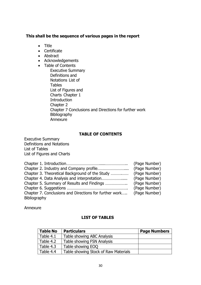#### **This shall be the sequence of various pages in the report**

- Title
- Certificate
- Abstract
- Acknowledgements
- Table of Contents
	- Executive Summary Definitions and Notations List of Tables List of Figures and Charts Chapter 1 **Introduction** Chapter 2 Chapter 7 Conclusions and Directions for further work Bibliography Annexure

#### **TABLE OF CONTENTS**

Executive Summary Definitions and Notations List of Tables List of Figures and Charts

|                                                        | (Page Number) |
|--------------------------------------------------------|---------------|
|                                                        | (Page Number) |
| Chapter 3. Theoretical Background of the Study         | (Page Number) |
|                                                        | (Page Number) |
| Chapter 5. Summary of Results and Findings             | (Page Number) |
|                                                        | (Page Number) |
| Chapter 7. Conclusions and Directions for further work | (Page Number) |
| Bibliography                                           |               |

Annexure

#### **LIST OF TABLES**

| <b>Table No</b> | <b>Particulars</b>                   | <b>Page Numbers</b> |
|-----------------|--------------------------------------|---------------------|
| Table 4.1       | Table showing ABC Analysis           |                     |
| Table 4.2       | <b>Table showing FSN Analysis</b>    |                     |
| Table 4.3       | Table showing EOQ                    |                     |
| Table 4.4       | Table showing Stock of Raw Materials |                     |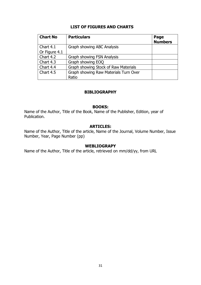#### **LIST OF FIGURES AND CHARTS**

| <b>Chart No</b> | <b>Particulars</b>                    | Page<br><b>Numbers</b> |
|-----------------|---------------------------------------|------------------------|
| Chart 4.1       | Graph showing ABC Analysis            |                        |
| Or Figure $4.1$ |                                       |                        |
| Chart 4.2       | <b>Graph showing FSN Analysis</b>     |                        |
| Chart 4.3       | Graph showing EOQ                     |                        |
| Chart 4.4       | Graph showing Stock of Raw Materials  |                        |
| Chart 4.5       | Graph showing Raw Materials Turn Over |                        |
|                 | Ratio                                 |                        |

#### **BIBLIOGRAPHY**

#### **BOOKS:**

Name of the Author, Title of the Book, Name of the Publisher, Edition, year of Publication.

#### **ARTICLES:**

Name of the Author, Title of the article, Name of the Journal, Volume Number, Issue Number, Year, Page Number (pp)

#### **WEBLIOGRAPY**

Name of the Author, Title of the article, retrieved on mm/dd/yy, from URL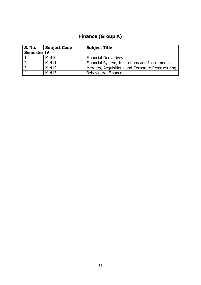## **Finance (Group A)**

| <b>S. No.</b>      | <b>Subject Code</b> | <b>Subject Title</b>                              |
|--------------------|---------------------|---------------------------------------------------|
| <b>Semester IV</b> |                     |                                                   |
|                    | $M-410$             | <b>Financial Derivatives</b>                      |
|                    | $M-411$             | Financial System, Institutions and Instruments    |
| $\mathbf{3}$       | $M-412$             | Mergers, Acquisitions and Corporate Restructuring |
|                    | $M-413$             | <b>Behavioural Finance</b>                        |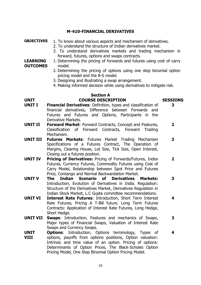#### **M-410-FINANCIAL DERIVATIVES**

#### **OBJECTIVES** 1. To know about various aspects and mechanism of derivatives.

- 2. To understand the structure of Indian derivatives market.
- 3. To understand derivatives markets and trading mechanism in forward, futures, options and swaps contracts.

#### **LEARNING OUTCOMES** 1. Determining the pricing of forwards and futures using cost of carry model.

- 2. Determining the pricing of options using one step binomial option pricing model and the B-S model.
- 3. Designing and illustrating a swap arrangement.
- 4. Making informed decision while using derivatives to mitigate risk.

#### **Section A UNIT COURSE DESCRIPTION SESSIONS**

**3**

**4**

- **UNIT I Financial Derivatives**: Definition, types and classification of financial derivatives, Difference between Forwards and Futures and Futures and Options, Participants in the Derivative Markets.
- **UNIT II Forward Market**: Forward Contracts, Concept and Features, Classification of Forward Contracts, Forward Trading Mechanism. **2**
- **UNIT III Futures Markets**: Futures Market Trading Mechanism Specifications of a Futures Contract, The Operation of Margins, Clearing House, Lot Size, Tick Size, Open Interest, Closing out a futures position. **3**
- **UNIT IV Pricing of Derivatives:** Pricing of Forwards/Futures, Index Futures, Currency Futures, Commodity Futures using Cost of Carry Model, Relationship between Spot Price and Futures Price, Contango and Normal Backwardation Market. **2**
- **UNIT V The Indian Scenario of Derivatives Markets:** Introduction, Evolution of Derivatives in India. Regulation: Structure of the Derivatives Market, Derivatives Regulation in Indian Stock Market, L.C Gupta committee recommendations. **3**
- **UNIT VI Interest Rate Futures**: Introduction, Short Term Interest Rate Futures, Pricing A T-Bill future. Long Term Futures Contracts: Application of Interest Rate Futures, Long Hedge, Short Hedge. **4**
- **UNIT VII Swaps**: Introduction, Features and mechanics of Swaps, Major types of Financial Swaps, Valuation of Interest Rate Swaps and Currency Swaps. **3**
- **UNIT VIII Options**: Introduction, Options terminology, Types of options, payoffs from options positions, Option valuation: Intrinsic and time value of an option. Pricing of options: Determinants of Option Prices, The Black-Scholes Option Pricing Model, One Step Binomial Option Pricing Model.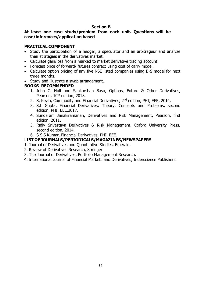#### **Section B**

#### **At least one case study/problem from each unit. Questions will be case/inferences/application based**

#### **PRACTICAL COMPONENT**

- Study the participation of a hedger, a speculator and an arbitrageur and analyze their strategies in the derivatives market.
- Calculate gain/loss from a marked to market derivative trading account.
- Forecast price of forward/ futures contract using cost of carry model.
- Calculate option pricing of any five NSE listed companies using B-S model for next three months.
- Study and illustrate a swap arrangement.

#### **BOOKS RECOMMENDED**

- 1. John C. Hull and Sankarshan Basu, Options, Future & Other Derivatives, Pearson, 10<sup>th</sup> edition, 2018.
- 2. S. Kevin, Commodity and Financial Derivatives, 2<sup>nd</sup> edition, PHI, EEE, 2014.
- 3. S.L Gupta, Financial Derivatives: Theory, Concepts and Problems, second edition, PHI, EEE,2017.
- 4. Sundaram Janakiramanan, Derivatives and Risk Management, Pearson, first edition, 2011.
- 5. Rajiv Srivastava Derivatives & Risk Management, Oxford University Press, second edition, 2014.
- 6. S S S Kumar, Financial Derivatives, PHI, EEE.

#### **LIST OF JOURNALS/PERIODICALS/MAGAZINES/NEWSPAPERS**

- 1. Journal of Derivatives and Quantitative Studies, Emerald.
- 2. Review of Derivatives Research, Springer.
- 3. The Journal of Derivatives, Portfolio Management Research.
- 4. International Journal of Financial Markets and Derivatives, Inderscience Publishers.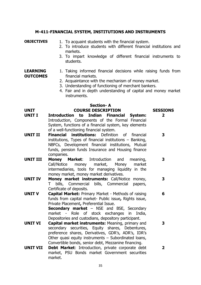#### **M-411-FINANCIAL SYSTEM, INSTITUTIONS AND INSTRUMENTS**

**OBJECTIVES** 1. To acquaint students with the financial system.

- 2. To introduce students with different financial institutions and markets.
- 3. To impart knowledge of different financial instruments to students.

#### **LEARNING OUTCOMES** 1. Taking informed financial decisions while raising funds from financial markets.

- 2. Acquaintance with the mechanism of money market.
- 3. Understanding of functioning of merchant bankers.
- 4. Fair and in depth understanding of capital and money market instruments.

#### **Section- A UNIT COURSE DESCRIPTION SESSIONS UNIT I Introduction to Indian Financial System:**  Introduction, Components of the Formal Financial System, functions of a financial system, key elements of a well-functioning financial system. **2 UNIT II Financial institutions:** Definition of financial institutions, Types of financial institutions – Banking, NBFCs, Development financial institutions, Mutual funds, pension funds Insurance and Housing finance companies. **3 UNIT III Money Market**: Introduction and meaning, Call/Notice money market, Money market intermediaries, tools for managing liquidity in the money market, money market derivatives. **3 UNIT IV Money market instruments:** Call/Notice money, T bills, Commercial bills, Commercial papers, Certificate of deposits. **3 UNIT V Capital Market:** Primary Market - Methods of raising funds from capital market- Public issue**,** Rights issue, Private Placement**,** Preferential Issue. **Secondary market** – NSE and BSE, Secondary market - Role of stock exchanges in India, Depositories and custodians, depository participant. **6 UNIT VI Capital market instruments:** Meaning, primary and secondary securities, Equity shares, Debentures, preference shares, Derivatives, GDR's, ADR's, IDR's Other quasi equity instruments – Subordinated loans, Convertible bonds, senior debt, Mezzanine financing. **3 UNIT VII Debt Market**: Introduction, private corporate debt market, PSU Bonds market Government securities **2**

market.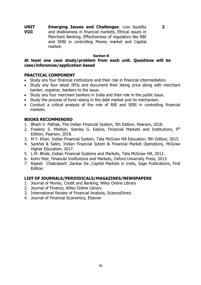**UNIT VIII Emerging Issues and Challenges**: Low liquidity and shallowness in financial markets, Ethical issues in Merchant Banking, Effectiveness of regulators like RBI and SEBI in controlling Money market and Capital market.

#### **Section B**

**2**

#### **At least one case study/problem from each unit. Questions will be case/inferences/application based**

#### **PRACTICAL COMPONENT**

- Study any four financial institutions and their role in financial intermediation.
- Study any four latest IPOs and document their listing price along with merchant banker, registrar, bankers to the issue.
- Study any four merchant bankers in India and their role in the public issue.
- Study the process of fund raising in the debt market and its mechanism.
- Conduct a critical analysis of the role of RBI and SEBI in controlling financial markets.

#### **BOOKS RECOMMENDED**

- 1. Bharti V. Pathak, The Indian Financial System, 5th Edition, Pearson, 2018.
- 2. Frederic S. Mishkin, Stanley G. Eakins, Financial Markets and Institutions, 9<sup>th</sup> Edition, Pearson, 2018.
- 3. M.Y. Khan, Indian Financial System, Tata McGraw Hill Education, 9th Edition, 2015.
- 4. Sarkhel & Salim, Indian Financial Sytem & Financial Market Operations, McGraw Higher Education, 2017.
- 5. L.M. Bhole, Indian Financial Systems and Markets, Tata McGraw Hill, 2012.
- 6. Kohn Meir, Financial Institutions and Markets, Oxford University Press, 2013.
- 7. Rajesh Chakrabarti ,Sankar De ,Capital Markets in India, Sage Publications, First Edition

#### **LIST OF JOURNALS/PERIODICALS/MAGAZINES/NEWSPAPERS**

- 1. Journal of Money, Credit and Banking, Wiley Online Library
- 2. Journal of Finance, Wiley Online Library
- 3. International Review of Financial Analysis, ScienceDirect.
- 4. Journal of Financial Economics, Elsevier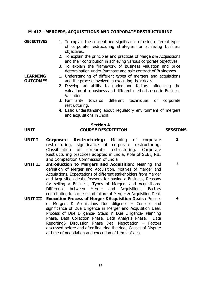### **M-412 - MERGERS, ACQUISITIONS AND CORPORATE RESTRUCTURING**

#### **OBJECTIVES** 1. To explain the concept and significance of using different types of corporate restructuring strategies for achieving business objectives.

- 2. To explain the principles and practices of Mergers & Acquisitions and their contribution in achieving various corporate objectives.
- 3. To explain the framework of business valuation and price determination under Purchase and sale contract of Businesses.

#### 1. Understanding of different types of mergers and acquisitions and the process involved in executing their deals.

- 2. Develop an ability to understand factors influencing the valuation of a business and different methods used in Business Valuation.
- 3. Familiarity towards different techniques of corporate restructuring.
- 4. Basic understanding about regulatory environment of mergers and acquisitions in India.

**LEARNING OUTCOMES**

#### **Section A UNIT COURSE DESCRIPTION SESSIONS**

- **UNIT I Corporate Restructuring:** Meaning of corporate restructuring, significance of corporate restructuring, Classification of corporate restructuring. Corporate Restructuring practices adopted in India, Role of SEBI, RBI and Competition Commission of India **2**
- **UNIT II Introduction to Mergers and Acquisition:** Meaning and definition of Merger and Acquisition, Motives of Merger and Acquisitions, Expectations of different stakeholders from Merger and Acquisition deals, Reasons for buying a Business, Reasons for selling a Business, Types of Mergers and Acquisitions, Difference between Merger and Acquisitions, Factors contributing to success and failure of Merger & Acquisition Deal. **3**
- **UNIT III Execution Process of Merger &Acquisition Deals :** Process of Mergers & Acquisitions Due diligence – Concept and significance of Due Diligence in Merger and Acquisition Deal. Process of Due Diligence- Steps in Due Diligence- Planning Phase, Data Collection Phase, Data Analysis Phase, Data Reporting& Discussion Phase Deal Negotiation – Factors discussed before and after finalizing the deal, Causes of Dispute at time of negotiation and execution of terms of deal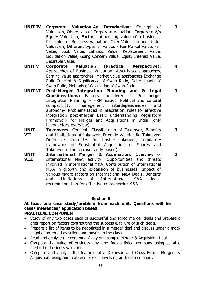**UNIT IV Corporate Valuation-An Introduction**: Concept of Valuation, Objectives of Corporate Valuation, Corporate V/s Equity Valuation, Factors influencing value of a business, Principles of Business Valuation, Over Valuation and Under Valuation, Different types of values - Fair Market Value, Fair Value, Book Value, Intrinsic Value, Replacement Value, Liquidation Value, Going Concern Value, Equity Interest Value, Insurable Value.

**3**

**4**

**2**

- **UNIT V Corporate Valuation (Practical Perspective)**: Approaches of Business Valuation- Asset-based approaches, Earning value approaches, Market value approaches Exchange Ratio-Concept & Significance of Swap Ratio, Determinants of Swap Ratio, Methods of Calculation of Swap Ratio.
- **UNIT VI Post-Merger Integration Planning and & Legal Considerations:** Factors considered in Post-merger Integration Planning – HRM issues, Political and cultural compatibility, management interdependencies and autonomy, Problems faced in integration, rules for effective integration post-merger Basic understanding Regulatory Framework for Merger and Acquisitions in India (only introductory overview). **3 3**
- **UNIT VII Takeovers**: Concept, Classification of Takeover, Benefits and Limitations of takeover, Friendly v/s Hostile Takeover, Defensive strategies for hostile takeover, regulatory framework of Substantial Acquisition of Shares and Takeover in India (case study based).
- **UNIT VIII International Merger & Acquisition:** Overview of International M&A activity, Opportunities and threats involved in International M&A, Contribution of International M&A in growth and expansion of businesses, Impact of various macro factors on International M&A Deals. Benefits and Limitations of International M&A deals, recommendation for effective cross-border M&A.

#### **Section B**

#### **At least one case study/problem from each unit. Questions will be case/ inferences/ application based PRACTICAL COMPONENT**

- Study of any two cases each of successful and failed merger deals and prepare a brief report on factors contributing the success & failure of such deals.
- Prepare a list of items to be negotiated in a merger deal and discuss under a mock negotiation round as sellers and buyers in the class
- Read and analyse the contents of any one sample Merger & Acquisition Deal.
- Compute the value of business any one Indian listed company using suitable method of business valuation.
- Compare and analyse the features of a Domestic and Cross Border Mergers & Acquisition using one real case of each involving an Indian company.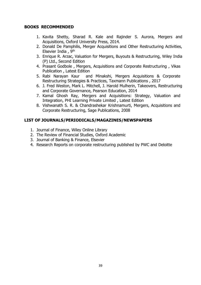#### **BOOKS RECOMMENDED**

- 1. Kavita Shetty, Sharad R. Kale and Rajinder S. Aurora, Mergers and Acquisitions, Oxford University Press, 2014.
- 2. Donald De Pamphilis, Merger Acquisitions and Other Restructuring Activities, Elsevier India , 9th
- 3. Enrique R. Arzac, Valuation for Mergers, Buyouts & Restructuring, Wiley India (P) Ltd., Second Edition
- 4. Prasant Godbole , Mergers, Acquisitions and Corporate Restructuring , Vikas Publication , Latest Edition
- 5. Rabi Narayan Kaur and Minakshi, Mergers Acquisitions & Corporate Restructuring Strategies & Practices, Taxmann Publications , 2017
- 6. J. Fred Weston, Mark L. Mitchell, J. Harold Mulherin, Takeovers, Restructuring and Corporate Governance, Pearson Education, 2014
- 7. Kamal Ghosh Ray, Mergers and Acquisitions: Strategy, Valuation and Integration, PHI Learning Private Limited , Latest Edition
- 8. Vishwanath S. R. & Chandrashekar Krishnamurti, Mergers, Acquisitions and Corporate Restructuring, Sage Publications, 2008

- 1. Journal of Finance, Wiley Online Library
- 2. The Review of Financial Studies, Oxford Academic
- 3. Journal of Banking & Finance, Elsevier
- 4. Research Reports on corporate restructuring published by PWC and Deloitte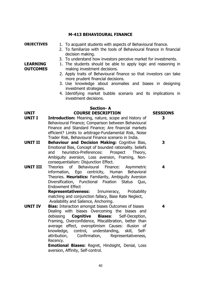#### **M-413 BEHAVIOURAL FINANCE**

**LEARNING OUTCOMES**

**OBJECTIVES** 1. To acquaint students with aspects of Behavioural finance.

- 2. To familiarize with the tools of Behavioural finance in financial decision making.
- 3. To understand how investors perceive market for investments.
- 1. The students should be able to apply logic and reasoning in making investment decisions.
	- 2. Apply traits of Behavioural finance so that investors can take more prudent financial decisions.
	- 3. Use knowledge about anomalies and biases in designing investment strategies.
	- 4. Identifying market bubble scenario and its implications in investment decisions.

#### **Section- A UNIT COURSE DESCRIPTION SESSIONS**

- **UNIT I Introduction:** Meaning, nature, scope and history of Behavioural Finance; Comparison between Behavioural Finance and Standard Finance; Are financial markets efficient? Limits to arbitrage-Fundamental Risk, Noise Trader Risk, Behavioural Finance scenario in India.
- **UNIT II Behaviour and Decision Making:** Cognitive Bias, Emotional Bias, Concept of bounded rationality. beliefs and heuristics-Preferences: Prospect Theory, Ambiguity aversion, Loss aversion, Framing, Nonconsequentialism: Disjunction Effect.
- **UNIT III** Theories of Behavioural Finance: Asymmetric information, Ego centricity, Human Behavioral Theories. **Heuristics:** Familiarity, Ambiguity Aversion Diversification, Functional Fixation Status Quo, Endowment Effect

**Representativeness:** Innumeracy, Probability matching and conjunction fallacy, Base Rate Neglect, Availability and Salience, Anchoring.

**UNIT IV Bias:** Interaction amongst biases Outcomes of biases Dealing with biases Overcoming the biases and debiasing **Cognitive Biases**: Self-Deception, Framing, Overconfidence, Miscalibration, better than average effect, overoptimism Causes: illusion of knowledge, control, understanding, skill, Selfattribution, Confirmation, Representativeness, Recency.

> **Emotional Biases:** Regret, Hindsight, Denial, Loss aversion, Affinity, Self-control.

**3**

**3**

**4**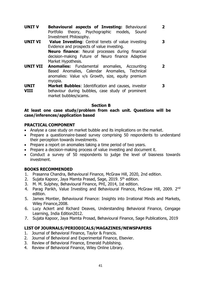**UNIT V Behavioural aspects of Investing:** Behavioural Portfolio theory, Psychographic models, Sound Investment Philosophy.

**2**

- **UNIT VI Value Investing**: Central tenets of value investing Evidence and prospects of value investing. **Neuro finance**: Neural processes during financial decision-making Future of Neuro finance Adaptive Market Hypothesis. **3**
- **UNIT VII Anomalies:** Fundamental anomalies, Accounting Based Anomalies, Calendar Anomalies, Technical anomalies: Value v/s Growth, size, equity premium myopia. **2**
- **UNIT VIII Market Bubbles**: Identification and causes, investor behaviour during bubbles, case study of prominent market bubbles/scams. **3**

#### **Section B**

#### **At least one case study/problem from each unit. Questions will be case/inferences/application based**

#### **PRACTICAL COMPONENT**

- Analyse a case study on market bubble and its implications on the market.
- Prepare a questionnaire-based survey comprising 50 respondents to understand their perception towards investments.
- Prepare a report on anomalies taking a time period of two years.
- Prepare a decision-making process of value investing and document it.
- Conduct a survey of 50 respondents to judge the level of biasness towards investment.

#### **BOOKS RECOMMENDED**

- 1. Prasanna Chandra, Behavioural Finance, McGraw Hill, 2020, 2nd edition.
- 2. Sujata Kapoor, Jaya Mamta Prasad, Sage, 2019. 5<sup>th</sup> edition.
- 3. M. M. Sulphey, Behavioural Finance, PHI, 2014, 1st edition.
- 4. Parag Parikh, Value Investing and Behavioural Finance, McGraw Hill, 2009. 2<sup>nd</sup> edition.
- 5. James Montier, Behavioural Finance: Insights into Irrational Minds and Markets, Wiley Finance,2008.
- 6. Lucy Ackert and Richard Deaves, Understanding Behavioral Finance, Cengage Learning, India Edition2012.
- 7. Sujata Kapoor, Jaya Mamta Prosad, Behavioural Finance, Sage Publications, 2019

- 1. Journal of Behavioral Finance, Taylor & Francis.
- 2. Journal of Behavioral and Experimental Finance, Elsevier.
- 3. Review of Behavioral Finance, Emerald Publishing.
- 4. Review of Behavioral Finance, Wiley Online Library.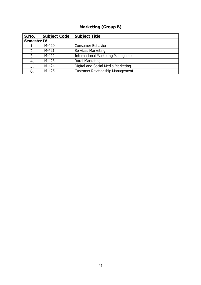# **Marketing (Group B)**

| S.No.              | <b>Subject Code</b> | <b>Subject Title</b>                      |  |  |
|--------------------|---------------------|-------------------------------------------|--|--|
| <b>Semester IV</b> |                     |                                           |  |  |
| 1.                 | $M-420$             | <b>Consumer Behavior</b>                  |  |  |
| 2.                 | $M-421$             | <b>Services Marketing</b>                 |  |  |
| 3.                 | M-422               | <b>International Marketing Management</b> |  |  |
| 4.                 | $M-423$             | <b>Rural Marketing</b>                    |  |  |
| 5.                 | M-424               | Digital and Social Media Marketing        |  |  |
| 6.                 | M-425               | <b>Customer Relationship Management</b>   |  |  |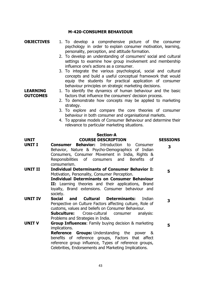#### **M-420-CONSUMER BEHAVIOUR**

#### **OBJECTIVES** 1. To develop a comprehensive picture of the consumer psychology in order to explain consumer motivation, learning, personality, perception, and attitude formation.

- 2. To develop an understanding of consumers' social and cultural settings to examine how group involvement and membership influence one's actions as a consumer.
- 3. To integrate the various psychological, social and cultural concepts and build a useful conceptual framework that would equip the students for practical application of consumer behaviour principles on strategic marketing decisions.

1. To identify the dynamics of human behaviour and the basic factors that influence the consumers' decision process.

- 2. To demonstrate how concepts may be applied to marketing strategy.
- 3. To explore and compare the core theories of consumer behaviour in both consumer and organisational markets.
- 4. To appraise models of Consumer Behaviour and determine their relevance to particular marketing situations.

#### **Section-A**

| <b>UNIT</b>    | <b>COURSE DESCRIPTION</b>                                       | <b>SESSIONS</b> |  |  |  |  |
|----------------|-----------------------------------------------------------------|-----------------|--|--|--|--|
| <b>UNIT I</b>  | <b>Consumer Behavior:</b> Introduction to Consumer              | 3               |  |  |  |  |
|                | Behavior, Nature & Psycho-Demographics of Indian                |                 |  |  |  |  |
|                | Consumers, Consumer Movement in India, Rights &                 |                 |  |  |  |  |
|                | Responsibilities of consumers and<br><b>Benefits</b><br>of      |                 |  |  |  |  |
|                | consumerism.                                                    |                 |  |  |  |  |
| <b>UNIT II</b> | <b>Individual Determinants of Consumer Behavior I:</b>          | 5               |  |  |  |  |
|                | Motivation, Personality, Consumer Perception.                   |                 |  |  |  |  |
|                | <b>Individual Determinants on Consumer Behaviour</b>            |                 |  |  |  |  |
|                | II: Learning theories and their applications, Brand             |                 |  |  |  |  |
|                | loyalty, Brand extensions. Consumer behaviour and               |                 |  |  |  |  |
|                | society.                                                        |                 |  |  |  |  |
| <b>UNIT IV</b> | <b>Social</b><br><b>Cultural Determinants:</b><br>Indian<br>and | 3               |  |  |  |  |
|                | Perspective on Culture Factors affecting culture, Role of       |                 |  |  |  |  |
|                | customs, values and beliefs on Consumer Behaviour.              |                 |  |  |  |  |
|                | Subculture:<br>Cross-cultural<br>consumer<br>analysis:          |                 |  |  |  |  |
|                | Problems and Strategies in India.                               |                 |  |  |  |  |
| <b>UNIT V</b>  | <b>Group Influences:</b> Family buying decision & marketing     | 5               |  |  |  |  |
|                | implications.                                                   |                 |  |  |  |  |
|                | <b>Groups:</b> Understanding the power &<br><b>Reference</b>    |                 |  |  |  |  |
|                | benefits of reference groups, Factors that affect               |                 |  |  |  |  |
|                | reference group influence, Types of reference groups,           |                 |  |  |  |  |
|                | Celebrities, Endorsements and Marketing Implications.           |                 |  |  |  |  |

**LEARNING OUTCOMES**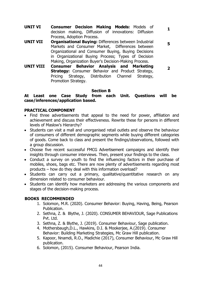**UNIT VI Consumer Decision Making Models:** Models of decision making, Diffusion of innovations: Diffusion Process, Adoption Process.

**1**

**5**

- **UNIT VII Organisational Buying:** Differences between Industrial Markets and Consumer Market, Differences between Organizational and Consumer Buying, Buying Decisions in Organizational Buying Process; Types of Decision Making, Organization Buyer's Decision-Making Process.
- **UNIT VIII Consumer Behavior Analysis and Marketing Strategy:** Consumer Behavior and Product Strategy, Pricing Strategy, Distribution Channel Strategy, Promotion Strategy. **2**

#### **Section B**

**At Least one Case Study from each Unit. Questions will be case/inferences/application based.**

#### **PRACTICAL COMPONENT**

- Find three advertisements that appeal to the need for power, affiliation and achievement and discuss their effectiveness. Rewrite these for persons in different levels of Maslow's Hierarchy?
- Students can visit a mall and unorganised retail outlets and observe the behaviour of consumers of different demographic segments while buying different categories of goods. Come back to class and present the findings/observations, followed with a group discussion.
- Choose five recent successful FMCG Advertisement campaigns and identify their insights through consumer interviews. Then, present your findings to the class.
- Conduct a survey on youth to find the influencing factors in their purchase of mobiles, shoes, bags etc. There are now plenty of advertisements regarding most products – how do they deal with this information overload?
- Students can carry out a primary, qualitative/quantitative research on any dimension related to consumer behaviour.
- Students can identify how marketers are addressing the various components and stages of the decision-making process.

#### **BOOKS RECOMMENDED**

- 1. Solomon, M.R. (2020). Consumer Behavior: Buying, Having, Being, Pearson Publication.
- 2. Sethna, Z. & Blythe, J. (2020). CONSUMER BEHAVIOUR, Sage Publications Pvt. Ltd.
- 3. Sethna, Z. & Blythe, J. (2019). Consumer Behaviour, Sage publication.
- 4. Mothersbaugh,D.L., Hawkins, D.I. & Mookerjee, A.(2019). Consumer Behavior: Building Marketing Strategies, Mc Graw Hill publication.
- 5. Kapoor, Nnamdi, R.O., Madichie (2017), Consumer Behaviour, Mc Graw Hill publication.
- 6. Solomon, (2015). Consumer Behaviour, Pearson India.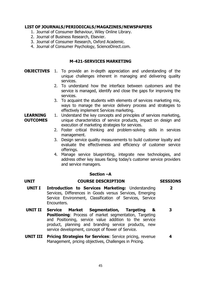#### **LIST OF JOURNALS/PERIODICALS/MAGAZINES/NEWSPAPERS**

- 1. Journal of Consumer Behaviour, Wiley Online Library.
- 2. Journal of Business Research, Elsevier.
- 3. Journal of Consumer Research, Oxford Academic.
- 4. Journal of Consumer Psychology, ScienceDirect.com.

#### **M-421-SERVICES MARKETING**

- **OBJECTIVES** 1. To provide an in-depth appreciation and understanding of the unique challenges inherent in managing and delivering quality services.
	- 2. To understand how the interface between customers and the service is managed, identify and close the gaps for improving the services.
	- 3. To acquaint the students with elements of services marketing mix, ways to manage the service delivery process and strategies to effectively implement Services marketing.

#### **LEARNING OUTCOMES** 1. Understand the key concepts and principles of services marketing, unique characteristics of service products, impact on design and execution of marketing strategies for services.

- 2. Foster critical thinking and problem-solving skills in services management.
- 3. Design service quality measurements to build customer loyalty and evaluate the effectiveness and efficiency of customer service offerings.
- 4. Manage service blueprinting, integrate new technologies, and address other key issues facing today's customer service providers and service managers.

#### **Section –A**

#### **UNIT COURSE DESCRIPTION SESSIONS**

- **UNIT I Introduction to Services Marketing:** Understanding Services, Differences in Goods versus Services, Emerging Service Environment, Classification of Services, Service Encounters. **2**
- **UNIT II Service Market Segmentation, Targeting & Positioning**: Process of market segmentation, Targeting and Positioning, service value addition to the service product, planning and branding service products, new service development, concept of flower of Service. **3**
- **UNIT III Pricing Strategies for Services**: Service pricing, revenue Management, pricing objectives, Challenges in Pricing. **4**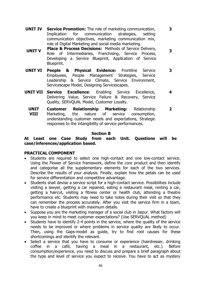**UNIT IV Service Promotion:** The role of marketing communication, Implication for communication strategies, setting communication objectives, marketing communication mix, role of Digital Marketing and social media marketing.

**3**

**3**

- **UNIT V Place & Process Decisions:** Methods of Service Delivery, Role of Intermediaries, Franchising, Service Process, Developing a Service Blueprint, Application of Service Blueprint.
- **UNIT VI People & Physical Evidence:** Frontline Service Employees, People Management Strategies, Service Leadership & Service Climate, Service Environment, Servicescape Model, Designing Servicescapes. **3**
- **UNIT VII Service Excellence**: Enabling Service Excellence, Delivering Value, Service Failure & Recovery, Service Quality, SERVQUAL Model, Customer Loyalty. **4**
	- **UNIT VIII Customer Relationship Marketing:** Relationship Marketing, the nature of service consumption, understanding customer needs and expectations, Strategic responses to the intangibility of service performances. **2**

#### **Section B**

#### **At Least one Case Study from each Unit. Questions will be case/inferences/application based.**

#### **PRACTICAL COMPONENT**

- Students are required to select one high-contact and one low-contact service. Using the Flower of Service framework, define the core product and then identify and categorise all the supplementary elements for each of the two services. Describe the results of your analysis. Finally, explain how the petals can be used for service differentiation and competitive advantage.
- Students shall devise a service script for a high-contact service. Possibilities include visiting a lawyer, getting a car repaired, eating a restaurant meal, renting a car, getting a haircut, visiting a fitness center or health club, attending a theatre performance etc. Students may need to take notes during their visit so that they can remember the process accurately. After you visit the service firm in a team, have to create a blueprint with maximum details.
- Suppose you are the marketing manager of a social club in Jaipur. What factors will you keep in mind to meet customer expectations? (Use SERVQUAL method)
- Students have to identify 2-4 points in the service, where the quality of the service needs to be improved or where problems in service quality are likely to occur. Then, using the Gaps-model as guide, try to find root causes for these shortcomings and identify the relevant.
- Select a service that you have to consume or experience (hairdresser, drinking coffee in a café, having a meal in a restaurant, etc.). Before consumption/experience, you need to discuss and prepare a brief paragraph about the type and level of service you expect to receive. You have to act as mystery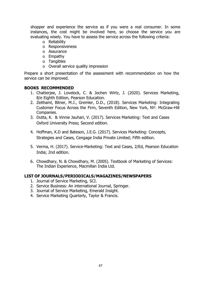shopper and experience the service as if you were a real consumer. In some instances, the cost might be involved here, so choose the service you are evaluating wisely. You have to assess the service across the following criteria:

- o Reliability
- o Responsiveness
- o Assurance
- o Empathy
- o Tangibles
- o Overall service quality impression

Prepare a short presentation of the assessment with recommendation on how the service can be improved.

### **BOOKS RECOMMENDED**

- 1. Chatterjee, J. Lovelock, C. & Jochen Wirtz, J. (2020). Services Marketing, 8/e Eighth Edition, Pearson Education.
- 2. Zeithaml, Bitner, M.J., Gremler, D.D., (2018). Services Marketing: Integrating Customer Focus Across the Firm, Seventh Edition, New York, NY: McGraw-Hill Companies.
- 3. Dutta, K. & Vinnie Jauhari, V. (2017). Services Marketing: Text and Cases Oxford University Press; Second edition.
- 4. Hoffman, K.D and Bateson, J.E.G. (2017). Services Marketing: Concepts, Strategies and Cases, Cengage India Private Limited; Fifth edition.
- 5. Verma, H. (2017). Service-Marketing: Text and Cases, 2/Ed, Pearson Education India; 2nd edition.
- 6. Chowdhary, N. & Chowdhary, M. (2005). Textbook of Marketing of Services: The Indian Experience, Macmillan India Ltd.

- 1. Journal of Service Marketing, SCI.
- 2. Service Business: An international Journal, Springer.
- 3. Journal of Service Marketing, Emerald Insight.
- 4. Service Marketing Quarterly, Taylor & Francis.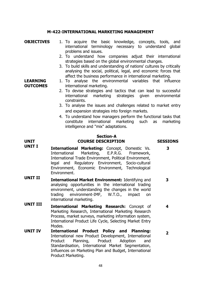#### **M-422-INTERNATIONAL MARKETING MANAGEMENT**

- **OBJECTIVES** 1. To acquire the basic knowledge, concepts, tools, and international terminology necessary to understand global problems and issues.
	- 2. To understand how companies adjust their international strategies based on the global environmental changes.
	- 3. To build skills and understanding of nations' cultures by critically analysing the social, political, legal, and economic forces that affect the business performance in international marketing.
	- 1. To analyse the environmental variables that influence international marketing.
	- 2. To devise strategies and tactics that can lead to successful international marketing strategies given environmental constraints.
	- 3. To analyse the issues and challenges related to market entry and expansion strategies into foreign markets.
	- 4. To understand how managers perform the functional tasks that constitute international marketing such as marketing intelligence and "mix" adaptations.

#### **Section-A UNIT COURSE DESCRIPTION SESSIONS**

# **3**

**2**

**UNIT I International Marketing:** Concept, Domestic Vs. International Marketing, E.P.R.G. Framework, International Trade Environment, Political Environment, legal and Regulatory Environment, Socio-cultural Environment, Economic Environment, Technological Environment.

**LEARNING OUTCOMES**

- **UNIT II International Market Environment:** Identifying and analysing opportunities in the international trading environment, understanding the changes in the world trading environment-IMF, W.T.O., impact on international marketing. **3**
- **UNIT III International Marketing Research:** Concept of Marketing Research, International Marketing Research Process, market surveys, marketing information system, International Product Life Cycle, Selecting Market Entry Modes. **4**
- **UNIT IV International Product Policy and Planning:**  International new Product Development, International Product Planning, Product Adoption and Standardisation, International Market Segmentation, Influences on Marketing Plan and Budget, International Product Marketing.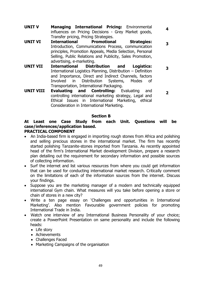- **UNIT V Managing International Pricing:** Environmental influences on Pricing Decisions - Grey Market goods, Transfer pricing, Pricing Strategies. **4**
- **UNIT VI International Promotional Strategies:**  Introduction, Communications Process, communication principles, Promotion Appeals, Media Selection, Personal Selling, Public Relations and Publicity, Sales Promotion, advertising, e-marketing. **3**
- **UNIT VII International Distribution and Logistics:** International Logistics Planning, Distribution – Definition and Importance, Direct and Indirect Channels, factors Involved in Distribution Systems, Modes of Transportation, International Packaging. **3**
- **UNIT VIII Evaluating and Controlling:** Evaluating and controlling international marketing strategy, Legal and Ethical Issues in International Marketing, ethical Consideration in International Marketing. **2**

#### **Section B**

### **At Least one Case Study from each Unit. Questions will be case/inferences/application based.**

#### **PRACTICAL COMPONENT**

- An India-based firm is engaged in importing rough stones from Africa and polishing and selling precious stones in the international market. The firm has recently started polishing Tanzanite-stones imported from Tanzania. As recently appointed head of the firm's International Market development Division, prepare a research plan detailing out the requirement for secondary information and possible sources of collecting information.
- Surf the internet and list various resources from where you could get information that can be used for conducting international market research. Critically comment on the limitations of each of the information sources from the internet. Discuss your findings.
- Suppose you are the marketing manager of a modern and technically equipped international Gym chain. What measures will you take before opening a store or chain of stores in a new city?
- Write a ten page essay on 'Challenges and opportunities in International Marketing'. Also mention Favourable government policies for promoting International Trade in India.
- Watch one interview of any International Business Personality of your choice; create a PowerPoint Presentation on same personality and include the following heads:
	- Life story
	- Achievements
	- Challenges Faced
	- Marketing Campaigns of the organisation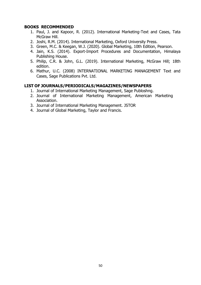#### **BOOKS RECOMMENDED**

- 1. Paul, J. and Kapoor, R. (2012). International Marketing-Text and Cases, Tata McGraw Hill.
- 2. Joshi, R.M. (2014). International Marketing, Oxford University Press.
- 3. Green, M.C. & Keegan, W.J. (2020). Global Marketing, 10th Edition, Pearson.
- 4. Jain, K.S. (2014). Export-Import Procedures and Documentation, Himalaya Publishing House.
- 5. Philip, C.R. & John, G.L. (2019). International Marketing, McGraw Hill; 18th edition.
- 6. Mathur, U.C. (2008) INTERNATIONAL MARKETING MANAGEMENT Text and Cases, Sage Publications Pvt. Ltd.

- 1. Journal of International Marketing Management, Sage Publoshng.
- 2. Journal of International Marketing Management, American Marketing Association.
- 3. Journal of International Marketing Management. JSTOR
- 4. Journal of Global Marketing, Taylor and Francis.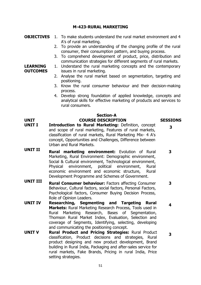#### **M-423-RURAL MARKETING**

#### **OBJECTIVES** 1. To make students understand the rural market environment and 4 A's of rural marketing.

- 2. To provide an understanding of the changing profile of the rural consumer, their consumption pattern, and buying process.
- 3. To comprehend development of product, price, distribution and communication strategies for different segments of rural markets.
- **LEARNING OUTCOMES** 1. Understand the rural marketing concepts and the contemporary issues in rural marketing.
	- 2. Analyse the rural market based on segmentation, targeting and positioning.
	- 3. Know the rural consumer behaviour and their decision-making process.
	- 4. Develop strong foundation of applied knowledge, concepts and analytical skills for effective marketing of products and services to rural consumers.

#### **Section-A UNIT COURSE DESCRIPTION SESSIONS**

- **UNIT I Introduction to Rural Marketing:** Definition, concept and scope of rural marketing, Features of rural markets, classification of rural markets, Rural Marketing Mix- 4 A's concept, Opportunities and Challenges, Difference between Urban and Rural Markets.
- **UNIT II Rural marketing environment:** Evolution of Rural Marketing, Rural Environment: Demographic environment, Social & Cultural environment, Technological environment, Physical environment, political environment, Rural economic environment and economic structure, Rural Development Programme and Schemes of Government. **3**
- **UNIT III Rural Consumer behaviour:** Factors affecting Consumer Behaviour, Cultural factors, social factors, Personal Factors, Psychological factors, Consumer Buying Decision Process, Role of Opinion Leaders. **3**
- **UNIT IV Researching, Segmenting and Targeting Rural Markets:** Rural Marketing Research Process, Tools used in Rural Marketing Research, Bases of Segmentation, Thomson Rural Market Index, Evaluation, Selection and coverage of Segments, Identifying, selecting, developing and communicating the positioning concept. **4**
- **UNIT V Rural Product and Pricing Strategies:** Rural Product classification, Product decisions and strategies, Rural product designing and new product development, Brand building in Rural India, Packaging and after-sales service for rural markets, Fake Brands, Pricing in rural India, Price setting strategies. **3**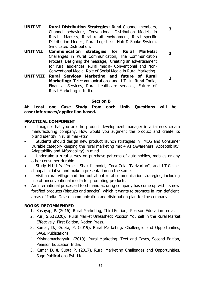**UNIT VI Rural Distribution Strategies:** Rural Channel members, Channel behaviour, Conventional Distribution Models in Rural Markets, Rural retail environment, Rural specific Distribution Models, Rural Logistics: Hub & Spoke System, Syndicated Distribution.

**3**

- **UNIT VII Communication strategies for Rural Markets:**  Challenges in Rural Communication, The Communication Process, Designing the message, Creating an advertisement for rural audiences, Rural media- Conventional and Non-Conventional Media, Role of Social Media in Rural Marketing. **3**
- **UNIT VIII Rural Services Marketing and future of Rural Marketing:** Telecommunications and I.T. in Rural India, Financial Services, Rural healthcare services, Future of Rural Marketing in India. **2**

#### **Section B**

#### **At Least one Case Study from each Unit. Questions will be case/inferences/application based.**

#### **PRACTICAL COMPONENT**

- Imagine that you are the product development manager in a fairness cream manufacturing company. How would you augment the product and create its brand identity in rural markets?
- Students should design new product launch strategies in FMCG and Consumer Durable category keeping the rural marketing mix 4 As (Awareness, Acceptability, Adaptability and Affordability) in mind.
- Undertake a rural survey on purchase patterns of automobiles, mobiles or any other consumer durable.
- Study H.U.L.'s "Project Shakti" model, Coca-Cola "Parivartan", and I.T.C.'s echoupal initiative and make a presentation on the same.
- Visit a rural village and find out about rural communication strategies, including use of unconventional media for promoting products.
- An international processed food manufacturing company has come up with its new fortified products (biscuits and snacks), which it wants to promote in iron-deficient areas of India. Devise communication and distribution plan for the company.

### **BOOKS RECOMMENDED**

- 1. Kashyap, P. (2016). Rural Marketing, Third Edition, Pearson Education India.
- 2. Puri, S.S.(2020). Rural Market Unleashed: Position Yourself in the Rural Market Effectively, First Edition, Notion Press.
- 3. Kumar, D., Gupta, P. (2019). Rural Marketing: Challenges and Opportunities, SAGE Publications.
- 4. Krishnamacharyulu. (2010). Rural Marketing: Text and Cases, Second Edition, Pearson Education India.
- 5. Kumar D. & Gupta P. (2017). Rural Marketing Challenges and Opportunities, Sage Publications Pvt. Ltd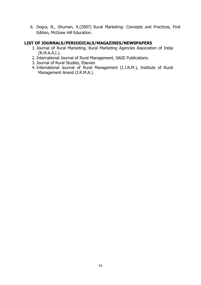6. Dogra, B., Ghuman, K.(2007) Rural Marketing: Concepts and Practices, First Edition, McGraw Hill Education .

- 1. Journal of Rural Marketing, Rural Marketing Agencies Association of India (R.M.A.A.I.).
- 2. International Journal of Rural Management, SAGE Publications.
- 3. Journal of Rural Studies, Elsevier.
- 4. International Journal of Rural Management (I.J.R.M.), Institute of Rural Management Anand (I.R.M.A.).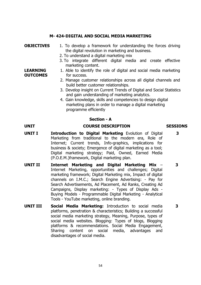#### **M- 424-DIGITAL AND SOCIAL MEDIA MARKETING**

#### **OBJECTIVES** 1. To develop a framework for understanding the forces driving the digital revolution in marketing and business.

- 2. To understand a digital marketing mix
- 3. To integrate different digital media and create effective marketing content.
- 1. Able to identify the role of digital and social media marketing for success.
- 2. Manage customer relationships across all digital channels and build better customer relationships.
- 3. Develop insight on Current Trends of Digital and Social Statistics and gain understanding of marketing analytics.
- 4. Gain knowledge, skills and competencies to design digital marketing plans in order to manage a digital marketing programme efficiently

#### **Section - A**

#### **UNIT COURSE DESCRIPTION SESSIONS**

- **UNIT I Introduction to Digital Marketing** Evolution of Digital Marketing from traditional to the modern era, Role of Internet; Current trends, Info-graphics, implications for business & society; Emergence of digital marketing as a tool; Digital marketing strategy; Paid, Owned, Earned Media (P.O.E.M.)framework, Digital marketing plan.
- **UNIT II Internet Marketing and Digital Marketing Mix** Internet Marketing, opportunities and challenges; Digital marketing framework; Digital Marketing mix, Impact of digital channels on I.M.C.; Search Engine Advertising: - Pay for Search Advertisements, Ad Placement, Ad Ranks, Creating Ad Campaigns, Display marketing: - Types of Display Ads - Buying Models - Programmable Digital Marketing - Analytical Tools - YouTube marketing, online branding. **3**
- **UNIT III Social Media Marketing:** Introduction to social media platforms, penetration & characteristics; Building a successful social media marketing strategy, Meaning, Purpose, types of social media websites. Blogging: Types of blogs, Blogging platforms & recommendations. Social Media Engagement, Sharing content on social media, advantages and disadvantages of social media. **3**

#### **LEARNING OUTCOMES**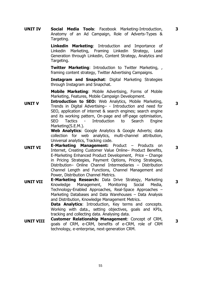**UNIT IV Social Media Tools**: Facebook Marketing-Introduction, Anatomy of an Ad Campaign, Role of Adverts-Types & Targeting.

> **Linkedin Marketing**: Introduction and Importance of Linkedin Marketing, Framing Linkedin Strategy, Lead Generation through Linkedin, Content Strategy, Analytics and Targeting.

> **Twitter Marketing**: Introduction to Twitter Marketing, , framing content strategy, Twitter Advertising Campaigns.

> **Instagram and Snapchat**: Digital Marketing Strategies through Instagram and Snapchat.

> **Mobile Marketing**: Mobile Advertising, Forms of Mobile Marketing, Features, Mobile Campaign Development.

**UNIT V Introduction to SEO:** Web Analytics, Mobile Marketing, Trends in Digital Advertising– - Introduction and need for SEO, application of internet & search engines; search engine and its working pattern, On-page and off-page optimisation, SEO Tactics - Introduction to Search Engine Marketing(S.E.M.).

**Web Analytics**: Google Analytics & Google Adverts; data collection for web analytics, multi-channel attribution, Universal analytics, Tracking code.

- **UNIT VI E-Marketing Management:** Product Products on Internet, Creating Customer Value Online– Product Benefits, E-Marketing Enhanced Product Development, Price – Change in Pricing Strategies, Payment Options, Pricing Strategies, Distribution– Online Channel Intermediaries – Distribution Channel Length and Functions, Channel Management and Power, Distribution Channel Metrics.
- **UNIT VII E-Marketing Research:** Data Drive Strategy, Marketing Management, Technology-Enabled Approaches, Real-Space Approaches – Marketing Databases and Data Warehouses – Data Analysis and Distribution, Knowledge Management Metrics. **Data Analytics**: Introduction, Key terms and concepts. Working with data., setting objectives, goals and KPIs, tracking and collecting data. Analysing data.
- **UNIT VIII Customer Relationship Management**: Concept of CRM, goals of CRM, e-CRM, benefits of e-CRM, role of CRM technology, e-enterprise, next-generation CRM.

**3**

**3**

**3**

**3**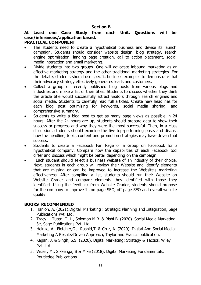#### **Section B**

## **At Least one Case Study from each Unit. Questions will be case/inferences/application based.**

#### **PRACTICAL COMPONENT**

- The students need to create a hypothetical business and devise its launch campaign. Students should consider website design, blog strategy, search engine optimisation, landing page creation, call to action placement, social media interaction and email marketing.
- Divide students into two groups. One will advocate inbound marketing as an effective marketing strategy and the other traditional marketing strategies. For the debate, students should use specific business examples to demonstrate that their advocacy strategy effectively generates leads and customers.
- Collect a group of recently published blog posts from various blogs and industries and make a list of their titles. Students to discuss whether they think the article title would successfully attract visitors through search engines and social media. Students to carefully read full articles. Create new headlines for each blog post optimising for keywords, social media sharing, and comprehensive summary.
- Students to write a blog post to get as many page views as possible in 24 hours. After the 24 hours are up, students should prepare data to show their success or progress and why they were the most successful. Then, in a class discussion, students should examine the five top-performing posts and discuss how the headline, topic, content and promotion strategies may have driven that success.
- Students to create a Facebook Fan Page or a Group on Facebook for a hypothetical company. Compare how the capabilities of each Facebook tool differ and discuss which might be better depending on the campaign.
- Each student should select a business website of an industry of their choice. Next, students in each group will review their Website and identify elements that are missing or can be improved to increase the Website's marketing effectiveness. After compiling a list, students should run their Website on Website Grader and compare elements they identified with those they identified. Using the feedback from Website Grader, students should propose for the company to improve its on-page SEO, off-page SEO and overall website quality.

### **BOOKS RECOMMENDED**

- 1. Hanlon, A. (2021).Digital Marketing : Strategic Planning and Integration, Sage Publications Pvt. Ltd.
- 2. Tracy L. Tuten, T. L., Solomon M.R. & Rishi B. (2020). Social Media Marketing, 3e, Sage Publications Pvt. Ltd.
- 3. Heinze, A., Fletcher,G., Rashid,T. & Cruz, A. (2020). Digital And Social Media Marketing A Results-Driven Approach, Taylor and Francis publication.
- 4. Kagan, J. & Singh, S.S. (2020). Digital Marketing: Strategy & Tactics, Wiley Pvt. Ltd.
- 5. Visser, M., Sikkenga, B & Mike (2018). Digital Marketing Fundamentals, Routledge Publications.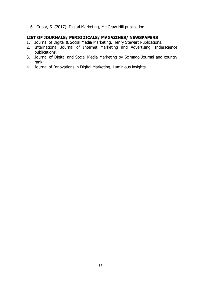6. Gupta, S. (2017). Digital Marketing, Mc Graw Hill publication.

- 1. Journal of Digital & Social Media Marketing, Henry Stewart Publications.
- 2. International Journal of Internet Marketing and Advertising, Inderscience publications.
- 3. Journal of Digital and Social Media Marketing by Scimago Journal and country rank.
- 4. [Journal of Innovations in Digital Marketing,](https://luminousinsights.net/journals/jidm/index) Luminious insights.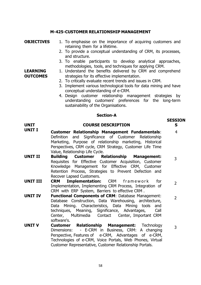#### **M-425-CUSTOMER RELATIONSHIP MANAGEMENT**

#### **OBJECTIVES** 1. To emphasise on the importance of acquiring customers and retaining them for a lifetime.

- 2. To provide a conceptual understanding of CRM, its processes, and structure.
- 3. To enable participants to develop analytical approaches, methodologies, tools, and techniques for applying CRM.

#### 1. Understand the benefits delivered by CRM and comprehend strategies for its effective implementation.

- 2. To critically evaluate recent trends and issues in CRM.
- 3. Implement various technological tools for data mining and have conceptual understanding of e-CRM.
- 4. Design customer relationship management strategies by understanding customers' preferences for the long-term sustainability of the Organisations.

#### **Section-A**

### **UNIT COURSE DESCRIPTION**

- **UNIT I Customer Relationship Management Fundamentals**: Definition and Significance of Customer Relationship Marketing, Purpose of relationship marketing, Historical Perspectives, CRM cycle, CRM Strategy, Customer Life Time Value, Relationship Life Cycle. 4
- **UNIT II Building Customer Relationship Management:**  Requisites for Effective Customer Acquisition, Customer Knowledge Management for Effective CRM, Customer Retention Process, Strategies to Prevent Defection and Recover Lapsed Customers. 3
- **UNIT III CRM Implementation:** CRM framework for Implementation, Implementing CRM Process, Integration of CRM with ERP System, Barriers to effective CRM . 2
- **UNIT IV Functional Components of CRM**: Database Management: Database Construction, Data Warehousing, architecture, Data Mining. Characteristics, Data Mining tools and techniques, Meaning, Significance, Advantages, Call Center, Multimedia Contact Center, Important CRM software's. 2
- **UNIT V Customer Relationship Management:** Technology Dimensions: - E-CRM in Business, CRM: A changing Perspective, Features of e-CRM, Advantages of e-CRM, Technologies of e-CRM, Voice Portals, Web Phones, Virtual Customer Representative, Customer Relationship Portals. 3

#### **LEARNING OUTCOMES**

**SESSION**

**S**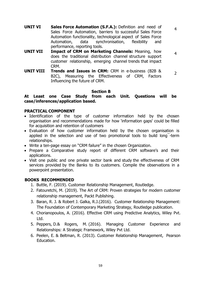4

4

- **UNIT VI Sales Force Automation (S.F.A.):** Definition and need of Sales Force Automation, barriers to successful Sales Force Automation functionality, technological aspect of Sales Force Automation, data synchronisation, flexibility and performance, reporting tools.
- **UNIT VII Impact of CRM on Marketing Channels:** Meaning, how does the traditional distribution channel structure support customer relationship, emerging channel trends that impact CRM.
- **UNIT VIII Trends and Issues in CRM:** CRM in e-business (B2B & B2C), Measuring the Effectiveness of CRM, Factors Influencing the future of CRM.  $\overline{2}$

#### **Section B**

**At Least one Case Study from each Unit. Questions will be case/inferences/application based.**

#### **PRACTICAL COMPONENT**

- Identification of the type of customer information held by the chosen organisation and recommendations made for how 'information gaps' could be filled for acquisition and retention of customers
- Evaluation of how customer information held by the chosen organisation is applied in the selection and use of two promotional tools to build long¯-term relationships.
- Write a ten-page essay on "CRM failure" in the chosen Organization.
- Prepare a Comparative study report of different CRM software's and their applications.
- Visit one public and one private sector bank and study the effectiveness of CRM services provided by the Banks to its customers. Compile the observations in a powerpoint presentation.

#### **BOOKS RECOMMENDED**

- 1. Buttle, F. (2019). Customer Relationship Management, Routledge.
- 2. Fatouretchi, M. (2019). The Art of CRM: Proven strategies for modern customer relationship management, Packt Publishing.
- 3. Baran, R. J. & Robert J. Galka, R.J.(2016). Customer Relationship Management: The Foundation of Contemporary Marketing Strategy, Routledge publication.
- 4. Chorianopoulos, A. (2016). Effective CRM using Predictive Analytics, Wiley Pvt. Ltd.
- 5. Peppers, D.& Rogers, M. (2016). Managing Customer Experience and Relationships: A Strategic Framework, Wiley Pvt Ltd.
- 6. Peelen, E. & Beltman, R. (2013). Customer Relationship Management, Pearson Education.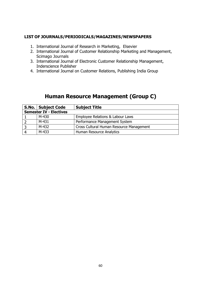#### **LIST OF JOURNALS/PERIODICALS/MAGAZINES/NEWSPAPERS**

- 1. International Journal of Research in Marketing, Elsevier
- 2. International Journal of Customer Relationship Marketing and Management, Scimago Journals
- 3. International Journal of Electronic Customer Relationship Management, Inderscience Publisher
- 4. International Journal on Customer Relations, Publishing India Group

# **Human Resource Management (Group C)**

|                                | S.No.   Subject Code | <b>Subject Title</b>                     |  |  |
|--------------------------------|----------------------|------------------------------------------|--|--|
| <b>Semester IV - Electives</b> |                      |                                          |  |  |
|                                | M-430                | Employee Relations & Labour Laws         |  |  |
| $\overline{2}$                 | M-431                | Performance Management System            |  |  |
| -3                             | M-432                | Cross Cultural Human Resource Management |  |  |
|                                | M-433                | Human Resource Analytics                 |  |  |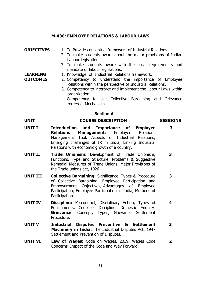#### **M-430: EMPLOYEE RELATIONS & LABOUR LAWS**

#### **OBJECTIVES** 1. To Provide conceptual framework of Industrial Relations.

- 2. To make students aware about the major provisions of Indian Labour legislations.
- 3. To make students aware with the basic requirements and mandate of labour legislations.

#### 1. Knowledge of Industrial Relations framework.

- 2. Competency to understand the importance of Employee Relations within the perspective of Industrial Relations.
	- 3. Competency to interpret and implement the Labour Laws within organization.
	- 4. Competency to use Collective Bargaining and Grievance redressal Mechanism.

**3**

#### **Section A**

#### **UNIT COURSE DESCRIPTION SESSIONS**

- **UNIT I Introduction and Importance of Employee Relations Management:** Employee Relations Management Tool, Aspects of Industrial Relations, Emerging challenges of IR in India, Linking Industrial Relations with economic growth of a country.
- **UNIT II Trade Unionism:** Development of Trade Unionism, Functions, Type and Structure, Problems & Suggestive Remedial Measures of Trade Unions, Major Provisions of the Trade unions act, 1926. **3**
- **UNIT III Collective Bargaining:** Significance, Types & Procedure of Collective Bargaining, Employee Participation and Empowerment- Objectives, Advantages of Employee Participation, Employee Participation in India, Methods of Participation. **3**
- **UNIT IV Discipline:** Misconduct, Disciplinary Action, Types of Punishments, Code of Discipline, Domestic Enquiry. **Grievance:** Concept, Types, Grievance Settlement Procedure. **4**
- **UNIT V Industrial Disputes Preventive & Settlement Machinery in India:** The Industrial Disputes Act, 1947 Settlement and Prevention of Disputes. **3**
- **UNIT VI Law of Wages:** Code on Wages, 2019, Wages Code Concerns, Impact of the Code and Way Forward. **2**

#### **LEARNING OUTCOMES**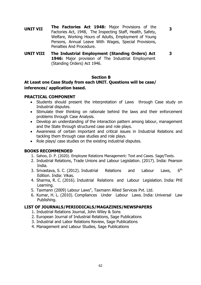**3**

**3**

- **UNIT VII The Factories Act 1948:** Major Provisions of the Factories Act, 1948, The Inspecting Staff, Health, Safety, Welfare, Working Hours of Adults, Employment of Young Persons, Annual Leave With Wages, Special Provisions, Penalties And Procedure.
- **UNIT VIII The Industrial Employment (Standing Orders) Act 1946:** Major provision of The Industrial Employment (Standing Orders) Act 1946.

#### **Section B**

### **At Least one Case Study from each UNIT. Questions will be case/ inferences/ application based.**

#### **PRACTICAL COMPONENT**

- Students should present the interpretation of Laws through Case study on Industrial disputes.
- Stimulate their thinking on rationale behind the laws and their enforcement problems through Case Analysis.
- Develop an understanding of the interaction pattern among labour, management and the State through structured case and role plays.
- Awareness of certain important and critical issues in Industrial Relations and tackling them through case studies and role plays.
- Role plays/ case studies on the existing industrial disputes.

### **BOOKS RECOMMENDED**

- 1. Sahoo, D. P. (2020). Employee Relations Management: Text and Cases. Sage/Texts.
- 2. Industrial Relations, Trade Unions and Labour Legislation. (2017). India: Pearson India.
- 3. Srivastava, S. C. (2012). Industrial Relations and Labour Laws, 6<sup>th</sup> Edition. India: Vikas.
- 4. Sharma, R. C. (2016). Industrial Relations and Labour Legislation. India: PHI Learning.
- 5. Taxmann (2009) Labour Laws", Taxmann Allied Services Pvt. Ltd.
- 6. Kumar, H. L. (2010). Compliances Under Labour Laws. India: Universal Law Publishing.

- 1. Industrial Relations Journal, John Wiley & Sons
- 2. European Journal of Industrial Relations, Sage Publications
- 3. Industrial and Labor Relations Review, Sage Publications
- 4. Management and Labour Studies, Sage Publications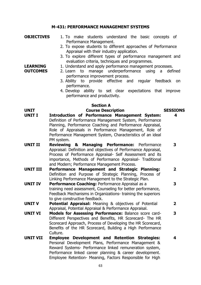#### **M-431: PERFORMANCE MANAGEMENT SYSTEMS**

**OBJECTIVES** 1. To make students understand the basic concepts of Performance Management. 2. To expose students to different approaches of Performance

**LEARNING OUTCOMES**

- Appraisal with their industry application.
- 3. To explore different types of performance management and evaluation criteria, techniques and programmes.
- 1. Understand and apply performance management processes.
	- 2. Learn to manage underperformance using a defined performance improvement process.
	- 3. Ability to provide effective and regular feedback on performance.
	- 4. Develop ability to set clear expectations that improve performance and productivity.

#### **Section A**

#### **UNIT Course Description SESSIONS**

# **4**

**3**

**2**

- **UNIT I Introduction of Performance Management System:**  Definition of Performance Management System, Performance Planning, Performance Coaching and Performance Appraisal, Role of Appraisals in Performance Management, Role of Performance Management System, Characteristics of an ideal PM system.
- **UNIT II Reviewing & Managing Performance:** Performance Appraisal: Definition and objectives of Performance Appraisal, Process of Performance Appraisal- Self Assessment and its importance, Methods of Performance Appraisal- Traditional and Modern; Performance Management Process. **3**
- **UNIT III Performance Management and Strategic Planning:**  Definition and Purpose of Strategic Planning, Process of Linking Performance Management to the Strategic Plan. **2**
- **UNIT IV Performance Coaching: Performance Appraisal as a** training need assessment, Counseling for better performance, Feedback Mechanisms in Organizations- training the superiors to give constructive feedback.
- **UNIT V Potential Appraisal:** Meaning & objectives of Potential Appraisal, Potential Appraisal & Performance Appraisal.
- **UNIT VI Models for Assessing Performance:** Balance score card-Different Perspectives and Benefits, HR Scorecard- The HR Scorecard Approach, Process of Developing the HR Scorecard, Benefits of the HR Scorecard, Building a High Performance Culture. **3**
- **UNIT VII Employee Development and Retention Strategies:**  Personal Development Plans, Performance Management & Reward Systems- Performance linked remuneration system, Performance linked career planning & career development. Employee Retention- Meaning, Factors Responsible for High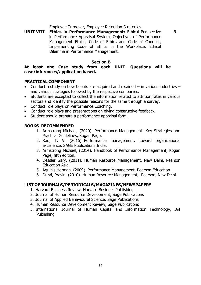Employee Turnover, Employee Retention Strategies.

**UNIT VIII Ethics in Performance Management:** Ethical Perspective in Performance Appraisal System, Objectives of Performance Management Ethics, Code of Ethics and Code of Conduct, Implementing Code of Ethics in the Workplace, Ethical Dilemma in Performance Management. **3**

#### **Section B**

#### **At least one Case study from each UNIT. Questions will be case/inferences/application based.**

#### **PRACTICAL COMPONENT**

- Conduct a study on how talents are acquired and retained in various industries and various strategies followed by the respective companies.
- Students are excepted to collect the information related to attrition rates in various sectors and identify the possible reasons for the same through a survey.
- Conduct role plays on Performance Coaching.
- Conduct role plays and presentations on giving constructive feedback.
- Student should prepare a performance appraisal form.

#### **BOOKS RECOMMENDED**

- 1. Armstrong Michael, (2020). Performance Management: Key Strategies and Practical Guidelines, Kogan Page.
- 2. Rao, T. V. (2016). Performance management: toward organizational excellence. SAGE Publications India.
- 3. Armstrong Michael, (2014). Handbook of Performance Management, Kogan Page, fifth edition.
- 4. Dessler Gary, (2011). Human Resource Management, New Delhi, Pearson Education Asia.
- 5. Aguinis Herman, (2009). Performance Management, Pearson Education.
- 6. Durai, Pravin, (2010). Human Resource Management, Pearson, New Delhi.

- 1. Harvard Business Review, Harvard Business Publishing
- 2. Journal of Human Resource Development, Sage Publications
- 3. Journal of Applied Behavioural Science, Sage Publications
- 4. Human Resource Development Review, Sage Publications
- 5. International Journal of Human Capital and Information Technology, IGI Publishing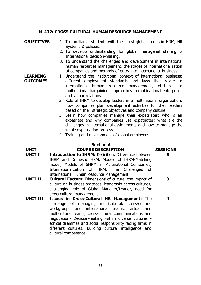#### **M-432: CROSS CULTURAL HUMAN RESOURCE MANAGEMENT**

#### **OBJECTIVES** 1. To familiarize students with the latest global trends in HRM, HR Systems & policies.

- 2. To develop understanding for global managerial staffing & International decision-making.
- 3. To understand the challenges and development in international human resources management, the stages of internationalization of companies and methods of entry into international business.
- **LEARNING OUTCOMES** 1. Understand the institutional context of international business; different employment standards and laws that relate to international human resource management; obstacles to multinational bargaining; approaches to multinational enterprises and labour relations.
	- 2. Role of IHRM to develop leaders in a multinational organization; how companies plan development activities for their leaders based on their strategic objectives and company culture.
	- 3. Learn how companies manage their expatriates; who is an expatriate and why companies use expatriates; what are the challenges in international assignments and how to manage the whole expatriation process.
	- 4. Training and development of global employees.

#### **Section A UNIT COURSE DESCRIPTION SESSIONS**

**3**

**3**

- **UNIT I Introduction to IHRM:** Definition, Difference between IHRM and Domestic HRM, Models of IHRM-Matching model, Models of SHRM in Multinational Companies, Internationalization of HRM. The Challenges of International Human Resource Management.
- **UNIT II Cultural Factors:** Dimensions of culture, the impact of culture on business practices, leadership across cultures, challenging role of Global Manager/Leader, need for cross-cultural management.
- **UNIT III Issues in Cross-Cultural HR Management:** The challenge of managing multicultural/ cross-cultural workgroups and international teams, virtual and multicultural teams, cross-cultural communications and negotiation- Decision-making within diverse cultures ethical dilemmas and social responsibility facing firms in different cultures, Building cultural intelligence and cultural competence.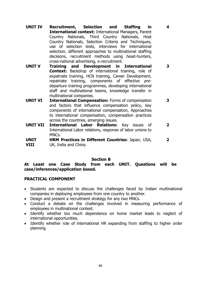**UNIT IV Recruitment, Selection and Staffing in International context:** International Managers, Parent Country Nationals, Third Country Nationals, Host Country Nationals, Selection Criteria and Techniques, use of selection tests, interviews for international selection, different approaches to multinational staffing decisions, recruitment methods using head-hunters, cross-national advertising, e-recruitment.

**4**

**3**

**3**

- **UNIT V Training and Development in International Context:** Backdrop of international training, role of expatriate training, HCN training, Career Development, repatriate training, components of effective predeparture training programmes, developing international staff and multinational teams, knowledge transfer in multinational companies.
- **UNIT VI International Compensation:** Forms of compensation and factors that influence compensation policy, key components of international compensation, Approaches to international compensation, compensation practices across the countries, emerging issues.
- **UNIT VII International Labor Relations:** Key issues of International Labor relations, response of labor unions to MNC<sub>S</sub>. **2**
- **UNIT VIII HRM Practices in Different Countries:** Japan, USA, UK, India and China. **2**

#### **Section B**

**At Least one Case Study from each UNIT. Questions will be case/inferences/application based.**

#### **PRACTICAL COMPONENT**

- Students are expected to discuss the challenges faced by Indian multinational companies in deploying employees from one country to another.
- Design and present a recruitment strategy for any two MNCs.
- Conduct a debate on the challenges involved in measuring performance of employees in multinational context.
- Identify whether too much dependence on home market leads to neglect of international opportunities.
- Identify whether role of international HR expanding from staffing to higher order planning.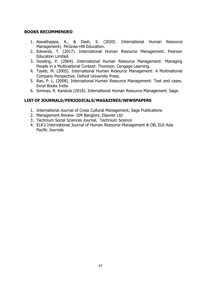### **BOOKS RECOMMENDED**

- 1. Aswathappa, K., & Dash, S. (2020). International Human Resource Managementl, McGraw-Hill Education.
- 2. Edwards, T. (2017). International Human Resource Management. Pearson Education Limited.
- 3. Dowling, P. (2004). International Human Resource Management: Managing People in a Multinational Context: Thomson, Cengage Learning.
- 4. Tayeb, M. (2005). International Human Resource Management: A Multinational Company Perspective. Oxford University Press.
- 5. Rao, P. L. (2008). International Human Resource Management: Text and cases. Excel Books India.
- 6. Srinivas, R. Kandula (2018). International Human Resource Management. Sage.

- 1. International Journal of Cross Cultural Management, Sage Publications
- 2. Management Review- IIM Banglore, Elsevier Ltd
- 3. Technium Social Sciences Journal, Technium Science
- 4. ELK's International Journal of Human Resource Management & OB, ELK Asia Pacific Journals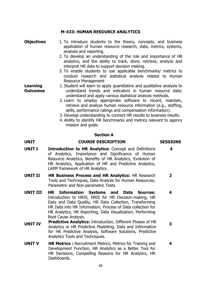#### **M-433: HUMAN RESOURCE ANALYTICS**

#### **Objectives** 1. To introduce students to the theory, concepts, and business application of human resource research, data, metrics, systems, analysis and reporting.

- 2. To develop an understanding of the role and importance of HR analytics, and the ability to track, store, retrieve, analyze and interpret HR data to support decision making.
- 3. To enable students to use applicable benchmarks/ metrics to conduct research and statistical analysis related to Human Resource Management
- 1. Student will learn to apply quantitative and qualitative analysis to understand trends and indicators in human resource data; understand and apply various statistical analysis methods.
	- 2. Learn to employ appropriate software to record, maintain, retrieve and analyze human resource information (e.g., staffing, skills, performance ratings and compensation information).
	- 3. Develop understanding to connect HR results to business results.
	- 4. Ability to identify HR benchmarks and metrics relevant to agency mission and goals.

#### **Section A**

#### **UNIT COURSE DESCRIPTION SESSIONS**

**Learning Outcomes**

**4**

**4**

- **UNIT I Introduction to HR Analytics:** Concept and Definitions of Analytics, Importance and Significance of Human Resource Analytics, Benefits of HR Analytics, Evolution of HR Analytics, Application of HR and Predictive Analytics, LAMP framework of HR Analytics.
- **UNIT II HR Business Process and HR Analytics:** HR Research Tools and Techniques, Data Analysis for Human Resources, Parametric and Non-parametric Tests. **2**
- **UNIT III HR Information Systems and Data Sources:**  Introduction to HRIS, HRIS for HR Decision-making, HR Data and Data Quality, HR Data Collection, Transforming HR Data into HR Information, Process of Data collection for HR Analytics, HR Reporting, Data Visualization, Performing Root Cause Analysis.
- **UNIT IV Predictive Analytics:** Introduction, Different Phases of HR Analytics or HR Predictive Modelling, Data and Information for HR Predictive Analysis, Software Solutions, Predictive Analytics Tools and Techniques. **3**
- **UNIT V HR Metrics :** Recruitment Metrics, Metrics for Training and Development Function, HR Analytics as a Better Tool for HR Decisions, Compelling Reasons for HR Analytics, HR Dashboards.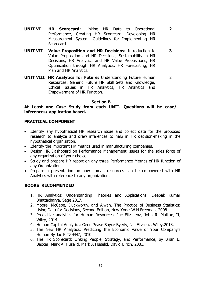**UNIT VI HR Scorecard:** Linking HR Data to Operational Performance, Creating HR Scorecard, Developing HR Measurement System, Guidelines for Implementing HR Scorecard.

**2**

**3**

- **UNIT VII Value Proposition and HR Decisions:** Introduction to Value Proposition and HR Decisions, Sustainability in HR Decisions, HR Analytics and HR Value Propositions, HR Optimization through HR Analytics; HR Forecasting, HR Plan and HR Analytics.
- **UNIT VIII HR Analytics for Future:** Understanding Future Human Resources, Generic Future HR Skill Sets and Knowledge, Ethical Issues in HR Analytics, HR Analytics and Empowerment of HR Function. 2

#### **Section B**

#### **At Least one Case Study from each UNIT. Questions will be case/ inferences/ application based.**

#### **PRACTICAL COMPONENT**

- Identify any hypothetical HR research issue and collect data for the proposed research to analyze and draw inferences to help in HR decision-making in the hypothetical organization.
- Identify the important HR metrics used in manufacturing companies.
- Design HR Dashboard on Performance Management issues for the sales force of any organization of your choice.
- Study and prepare HR report on any three Performance Metrics of HR function of any Organization.
- Prepare a presentation on how human resources can be empowered with HR Analytics with reference to any organization.

#### **BOOKS RECOMMENDED**

- 1. HR Analytics: Understanding Theories and Applications: Deepak Kumar Bhattacharya, Sage 2017.
- 2. Moore, McCabe, Duckworth, and Alwan. The Practice of Business Statistics: Using Data for Decisions, Second Edition, New York: W.H.Freeman, 2008.
- 3. Predictive analytics for Human Resources, Jac Fitz- enz, John R. Mattox, II, Wiley, 2014.
- 4. Human Capital Analytics: Gene Pease Boyce Byerly, Jac Fitz-enz, Wiley,2013.
- 5. The New HR Analytics: Predicting the Economic Value of Your Company's Human By Jac FITZ-ENZ, 2010.
- 6. The HR Scorecard: Linking People, Strategy, and Performance, by Brian E. Becker, Mark A. Huselid, Mark A Huselid, David Ulrich, 2001.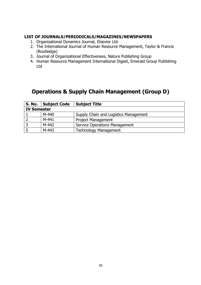#### **LIST OF JOURNALS/PERIODICALS/MAGAZINES/NEWSPAPERS**

- 1. Organizational Dynamics Journal, Elsevier Ltd.
- 2. The International Journal of Human Resource Management, Taylor & Francis (Routledge)
- 3. Journal of Organizational Effectiveness, Nature Publishing Group
- 4. Human Resource Management International Digest, Emerald Group Publishing Ltd

# **Operations & Supply Chain Management (Group D)**

|                    | S. No.   Subject Code | <b>Subject Title</b>                  |  |  |
|--------------------|-----------------------|---------------------------------------|--|--|
| <b>IV Semester</b> |                       |                                       |  |  |
|                    | $M-440$               | Supply Chain and Logistics Management |  |  |
|                    | $M-441$               | <b>Project Management</b>             |  |  |
|                    | M-442                 | <b>Service Operations Management</b>  |  |  |
|                    | $M-443$               | <b>Technology Management</b>          |  |  |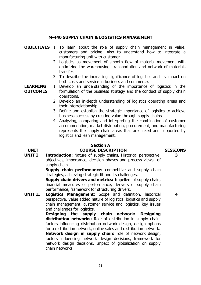#### **M-440 SUPPLY CHAIN & LOGISTICS MANAGEMENT**

- **OBJECTIVES** 1. To learn about the role of supply chain management in value, customers and pricing. Also to understand how to integrate a manufacturing unit with customer.
	- 2. Logistics as movement of smooth flow of material movement with optimizing the warehousing, transportation and network of materials transfer.
	- 3. To describe the increasing significance of logistics and its impact on both costs and service in business and commerce.

**LEARNING OUTCOMES** 1. Develop an understanding of the importance of logistics in the formulation of the business strategy and the conduct of supply chain operations.

- 2. Develop an in-depth understanding of logistics operating areas and their interrelationship.
- 3. Define and establish the strategic importance of logistics to achieve business success by creating value through supply chains.
- 4. Analyzing, comparing and interpreting the combination of customer accommodation, market distribution, procurement, and manufacturing represents the supply chain areas that are linked and supported by logistics and lean management.

# **Section A**

#### **UNIT COURSE DESCRIPTION SESSIONS**

#### **UNIT I Introduction:** Nature of supply chains, Historical perspective, objectives, importance, decision phases and process views of supply chain.

**Supply chain performance:** competitive and supply chain strategies, achieving strategic fit and its challenges.

**Supply chain drivers and metrics: Impellers of supply chain,** financial measures of performance, derivers of supply chain performance, framework for structuring drivers.

**UNIT II Logistics Management:** Scope and definition, historical perspective, Value added nature of logistics, logistics and supply chain management, customer service and logistics, key issues and challenges for logistics.

**Designing the supply chain network: Designing distribution networks:** Role of distribution in supply chain, factors influencing distribution network design, design options for a distribution network, online sales and distribution network. **Network design in supply chain:** role of network design, factors influencing network design decisions, framework for network design decisions. Impact of globalization on supply chain networks.

**3**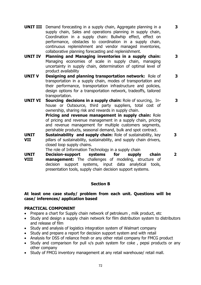**UNIT III** Demand forecasting in a supply chain, Aggregate planning in a supply chain, Sales and operations planning in supply chain, Coordination in a supply chain: Bullwhip effect, effect on performance, obstacles to coordination in a supply chain, continuous replenishment and vendor managed inventories, collaborative planning forecasting and replenishment.

**3**

**3**

**3**

**3**

**3**

- **UNIT IV Planning and Managing inventories in a supply chain:** Managing economies of scale in supply chain, managing uncertainty in supply chain, determination of optimal level of product availability
- **UNIT V Designing and planning transportation network:** Role of transportation in a supply chain, modes of transportation and their performance, transportation infrastructure and policies, design options for a transportation network, tradeoffs, tailored transportation.
- **UNIT VI Sourcing decisions in a supply chain:** Role of sourcing, Inhouse or Outsource, third party suppliers, total cost of ownership, sharing risk and rewards in supply chain. **Pricing and revenue management in supply chain:** Role of pricing and revenue management in a supply chain, pricing and revenue management for multiple customers segments,
- perishable products, seasonal demand, bulk and spot contract. **UNIT VII Sustainability and supply chain:** Role of sustainability, key pillars of sustainability, sustainability, and supply chain drivers, closed loop supply chains.

The role of Information Technology in a supply chain

**UNIT VIII Decision-support systems for supply chain management:** The challenges of modeling, structure of decision support systems, input data analytical tools, presentation tools, supply chain decision support systems. **2**

#### **Section B**

#### **At least one case study/ problem from each unit. Questions will be case/ inferences/ application based**

#### **PRACTICAL COMPONENT**

- Prepare a chart for Supply chain network of petroleum, milk product, etc
- Study and design a supply chain network for film distribution system to distributors and release of film
- Study and analysis of logistics integration system of Walmart company
- Study and prepare a report for decision support system and with retail
- Analysis for DSS of reliance fresh or any other retail company for FMCG product
- Study and comparison for pull v/s push system for coke, pepsi products or any other company
- Study of FMCG inventory management at any retail warehouse/ retail mall.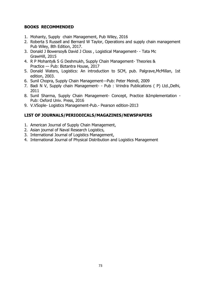### **BOOKS RECOMMENDED**

- 1. Mohanty, Supply chain Management, Pub Wiley, 2016
- 2. Roberta S Russell and Bernard W Taylor, Operations and supply chain management Pub Wiley, 8th Edition, 2017.
- 3. Donald J Bowersoy& David J Closs , Logistical Management- Tata Mc GrawHill, 2015
- 4. R P Mohanty& S G Deshmukh, Supply Chain Management- Theories & Practice –- Pub: Biztantra House, 2017
- 5. Donald Waters, Logistics: An introduction to SCM, pub. Palgrave,McMillan, 1st edition, 2003.
- 6. Sunil Chopra, Supply Chain Management-–Pub: Peter Meindi, 2009
- 7. Badi N V, Supply chain Management- Pub : Vrindra Publications ( P) Ltd.,Delhi, 2011
- 8. Sunil Sharma, Supply Chain Management- Concept, Practice &Implementation Pub: Oxford Univ. Press, 2016
- 9. V.VSople- Logistics Management-Pub.- Pearson edition-2013

- 1. American Journal of Supply Chain Management,
- 2. Asian journal of Naval Research Logistics,
- 3. International Journal of Logistics Management,
- 4. International Journal of Physical Distribution and Logistics Management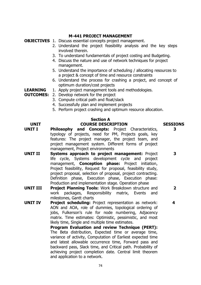#### **M-441 PROJECT MANAGEMENT**

**OBJECTIVES** 1. Discuss essential concepts project management.

- 2. Understand the project feasibility analysis and the key steps involved therein.
- 3. To understand fundamentals of project costing and Budgeting.
- 4. Discuss the nature and use of network techniques for project management.
- 5. Understand the importance of scheduling / allocating resources to a project & concept of time and resource constraints
- 6. Understand the process for crashing a project, and concept of optimum duration/cost projects
- **LEARNING**  1. Apply project management tools and methodologies.
- **OUTCOMES:** 2. Develop network for the project
	- 3. Compute critical path and float/slack
	- 4. Successfully plan and implement projects
	- 5. Perform project crashing and optimum resource allocation.

## **Section A**

#### **UNIT COURSE DESCRIPTION SESSIONS**

- **UNIT I Philosophy and Concepts:** Project Characteristics, typology of projects, need for PM, Projects goals, key features: The project manager, the project team, and project management system. Different forms of project management, Project environments
- **UNIT II Systems approach to project management:** Project life cycle, Systems development cycle and project management, **Conception phase:** Project initiation, Project feasibility, Request for proposal, feasibility study, project proposal, selection of proposal, project contracting. Definition phase, Execution phase, Execution phase: Production and implementation stage. Operation phase
- **UNIT III Project Planning Tools:** Work Breakdown structure and work packages, Responsibility matrix, Events and milestones, Gantt charts
- **UNIT IV Project scheduling:** Project representation as network: AON and AOA, role of dummies, topological ordering of jobs, Fulkerson's rule for node numbering, Adjacency matrix. Time estimates: Optimistic, pessimistic, and most likely time, Single and multiple time estimates.

**Program Evaluation and review Technique (PERT):** The Beta distribution, Expected time or average time, variance of activity, Computation of Earliest expected time and latest allowable occurrence time, Forward pass and backward pass, Slack time, and Critical path. Probability of achieving project completion date. Central limit theorem and application to a network.

**3**

**3**

**2**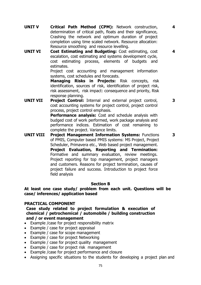**4**

**4**

- **UNIT V Critical Path Method (CPM):** Network construction, determination of critical path, floats and their significance, Crashing the network and optimum duration of project completion using time scaled network. Resource allocation: Resource smoothing and resource levelling.
- **UNIT VI Cost Estimating and Budgeting:** Cost estimating, cost escalation, cost estimating and systems development cycle, cost estimating process, elements of budgets and estimates.

Project cost accounting and management information systems, cost schedules and forecasts.

**Managing Risks in Projects:** Risk concepts, risk identification, sources of risk, identification of project risk, risk assessment, risk impact: consequence and priority, Risk response planning.

**UNIT VII Project Control:** Internal and external project control, cost accounting systems for project control, project control process, project control emphasis.

**Performance analysis:** Cost and schedule analysis with budged cost of work performed, work package analysis and performance indices. Estimation of cost remaining to complete the project. Variance limits.

**UNIT VIII Project Management Information Systems:** Functions of PMIS, Computer based PMIS systems: MS Project, Project Scheduler, Primavera etc., Web based project management. **Project Evaluation, Reporting and Termination:** Formative and summary evaluation, review meetings. Project reporting for top management, project managers and customers. Reasons for project termination, causes of project failure and success. Introduction to project force field analysis

#### **Section B**

**At least one case study/ problem from each unit. Questions will be case/ inferences/ application based**

#### **PRACTICAL COMPONENT**

#### **Case study related to project formulation & execution of chemical / petrochemical / automobile / building construction and / or event management**

- Example /case for project responsibility matrix
- Example / case for project appraisal
- Example / case for scope management
- Example / case for project Networking
- Example / case for project quality management
- Example / case for project risk management
- Example /case for project performance and closure
- Assigning specific situations to the students for developing a project plan and

**3**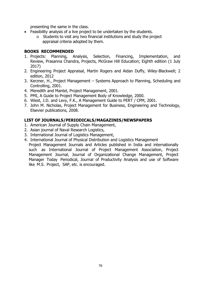presenting the same in the class.

- Feasibility analysis of a live project to be undertaken by the students.
	- o Students to visit any two financial institutions and study the project appraisal criteria adopted by them.

#### **BOOKS RECOMMENDED**

- 1. Projects: Planning, Analysis, Selection, Financing, Implementation, and Review, Prasanna Chandra, Projects, McGraw Hill Education; Eighth edition (1 July 2017)
- 2. Engineering Project Appraisal, Martin Rogers and Aidan Duffy, Wiley-Blackwell; 2 edition, 2012
- 3. Kerzner, H., Project Management Systems Approach to Planning, Scheduling and Controlling, 2001.
- 4. Meredith and Mantel, Project Management, 2001.
- 5. PMI, A Guide to Project Management Body of Knowledge, 2000.
- 6. Wiest, J.D. and Levy, F.K., A Management Guide to PERT / CPM, 2001.
- 7. John M. Nicholas, Project Management for Business, Engineering and Technology, Elsevier publications, 2008.

- 1. American Journal of Supply Chain Management,
- 2. Asian journal of Naval Research Logistics,
- 3. International Journal of Logistics Management,
- 4. International Journal of Physical Distribution and Logistics Management Project Management Journals and Articles published in India and internationally such as International Journal of Project Management Association, Project Management Journal, Journal of Organizational Change Management, Project Manager Today Periodical, Journal of Productivity Analysis and use of Software like M.S. Project, SAP, etc. is encouraged.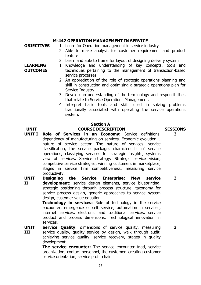#### **M-442 OPERATION MANAGEMENT IN SERVICE**

**LEARNING OUTCOMES**

- **OBJECTIVES** 1. Learn for Operation management in service industry
	- 2. Able to make analysis for customer requirement and product feature
	- 3. Learn and able to frame for layout of designing delivery system
	- 1. Knowledge and understanding of key concepts, tools and techniques pertaining to the management of transaction-based service processes.
		- 2. An appreciation of the role of strategic operations planning and skill in constructing and optimising a strategic operations plan for Service Industry.
		- 3. Develop an understanding of the terminology and responsibilities that relate to Service Operations Management.
		- 4. Interpret basic tools and skills used in solving problems traditionally associated with operating the service operations system.

#### **Section A**

#### **UNIT COURSE DESCRIPTION SESSIONS**

- **UNIT I Role of Services in an Economy:** Service definitions, dependency of manufacturing on services, Economic evolution, , nature of service sector. The nature of services: service classification, the service package, characteristics of service operations, classifying services for strategic insights, systems view of services. Service strategy: Strategic service vision, competitive service strategies, winning customers in marketplace, stages in service firm competitiveness, measuring service productivity**.**
- **UNIT II Designing the Service Enterprise: New service development:** service design elements, service blueprinting, strategic positioning through process structure, taxonomy for service process design, generic approaches to service system design, customer value equation. **3**

**Technology in services:** Role of technology in the service encounter, emergence of self service, automation in services, internet services, electronic and traditional services, service product and process dimensions. Technological innovation in services.

**UNIT III Service Quality:** dimensions of service quality, measuring service quality, quality service by design, walk through audit, achieving service quality, service recovery, stages in quality development.

> **The service encounter:** The service encounter triad, service organization, contact personnel, the customer, creating customer service orientation, service profit chain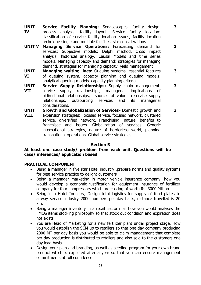**UNIT IV Service Facility Planning:** Servicescapes, facility design, process analysis, facility layout. Service facility location: classification of service facility location issues, facility location technique-single and multiple facilities, site considerations

**3**

**3**

**3**

- **UNIT V Managing Service Operations:** Forecasting demand for services: Subjective models: Delphi method, cross impact analysis, historical analogy. Causal Models and time series models. Managing capacity and demand: strategies for managing demand, strategies for managing capacity, yield management
- **UNIT VI Managing waiting lines:** Queuing systems, essential features of queuing system, capacity planning and queuing models: analytical queuing models, capacity planning criteria.
- **UNIT VII Service Supply Relationships:** Supply chain management, service supply relationships, managerial implications of bidirectional relationships, sources of value in service supply relationships, outsourcing services and its managerial considerations. **3**
- **UNIT VIII Growth and Globalization of Services-** Domestic growth and expansion strategies: Focused service, focused network, clustered service, diversified network. Franchising: nature, benefits to franchisee and issues. Globalization of services: Generic international strategies, nature of borderless world, planning transnational operations. Global service strategies. **3**

#### **Section B**

#### **At least one case study/ problem from each unit. Questions will be case/ inferences/ application based**

#### **PRACTICAL COMPONENT**

- Being a manager in five star Hotel industry ,prepare norms and quality systems for best service practice to delight customers
- Being a manager marketing in motor vehicle insurance company, how you would develop a economic justification for equipment insurance of fertilizer company for four compressors which are costing of worth Rs. 3000 Million.
- Being in a Hotel Industry, Design total logistics for supply of food plates to airway service industry 2000 numbers per day basis, distance travelled is 20 km.
- Being a manager inventory in a retail sector mall how you would analyses the FMCG items stocking philosophy so that stock out condition and expiration does not exists
- You are Head of Marketing for a new fertilizer plant under project stage, How you would establish the SCM up to retailers,so that one day company producing 2000 MT per day basis you would be able to claim management that complete per day production is distributed to retailers and also sold to the customers one day lead basis.
- Design your plan and branding, as well as seeding program for your own brand product which is expected after a year so that you can ensure management commitments at full confidence.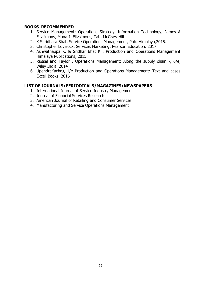#### **BOOKS RECOMMENDED**

- 1. Service Management: Operations Strategy, Information Technology, James A Fitzsimons, Mona J. Fitzsimons, Tata McGraw Hill
- 2. K Shridhara Bhat, Service Operations Management, Pub. Himalaya,2015.
- 3. Christopher Lovelock, Services Marketing, Pearson Education. 2017
- 4. Ashwathappa K, & Sridhar Bhat K , Production and Operations Management Himalaya Publications, 2015
- 5. Russel and Taylor , Operations Management: Along the supply chain -, 6/e, Wiley India. 2014
- 6. UpendraKachru, 1/e Production and Operations Management: Text and cases Excell Books. 2016

- 1. International Journal of Service Industry Management
- 2. Journal of Financial Services Research
- 3. American Journal of Retailing and Consumer Services
- 4. Manufacturing and Service Operations Management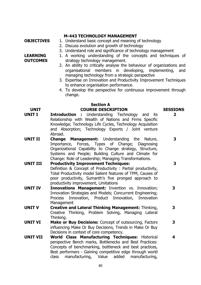## **M-443 TECHNOLOGY MANAGEMENT**

- **OBJECTIVES** 1. Understand basic concept and meaning of technology
	- 2. Discuss evolution and growth of technology
	- 3. Understand role and significance of technology management
	- 1. A working understanding of the concepts and techniques of strategy technology management.
	- 2. An ability to critically analyse the behaviour of organizations and organisational members in developing, implementing, and managing technology from a strategic perspective
	- 3. Expertise on Innovation and Productivity Improvement Techniques to enhance organisation performance.
	- 4. To develop the perspective for continuous improvement through change.

## **Section A UNIT COURSE DESCRIPTION SESSIONS**

- **UNIT I Introduction :** Understanding Technology and its Relationship with Wealth of Nations and Firms Specific Knowledge; Technology Life Cycles, Technology Acquisition and Absorption; Technology Exports / Joint venture Abroad.
- **UNIT II Change Management:** Understanding the Nature, Importance, Forces, Types of Change; Diagnosing Organizational Capability to Change strategy, Structure, Systems and People; Building Culture and Climate for Change: Role of Leadership; Managing Transformations.

#### **UNIT III Productivity Improvement Techniques:** Definition & Concept of Productivity : Partial productivity, Total Productivity model Salient features of TPM, Causes of poor productivity, Sumanth's five pronged approach to productivity improvement, Limitations

- **UNIT IV Innovations Management:** Invention vs. Innovation; Innovation Strategies and Models; Concurrent Engineering; Process Innovation, Product Innovation, Innovation Management
- **UNIT V Creative and Lateral Thinking Management:** Thinking, Creative Thinking, Problem Solving, Managing Lateral Thinking.
- **UNIT VI Make or Buy Decisions:** Concept of outsourcing, Factors influencing Make Or Buy Decisions, Trends in Make Or Buy Decisions in context of core competency. **3**
- **UNIT VII World Class Manufacturing Techniques:** Historical perspective Bench marks, Bottlenecks and Best Practices: Concepts of benchmarking, bottleneck and best practices, Best performers - Gaining competitive edge through world class manufacturing, Value added manufacturing,

#### **LEARNING OUTCOMES**

**2**

**3**

**3**

**3**

**3**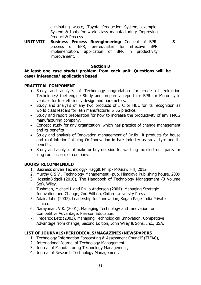eliminating waste, Toyota Production System, example. System & tools for world class manufacturing: Improving Product & Process

**3**

**UNIT VIII Business Process Reengineering:** Concept of BPR, process of BPR, prerequisites for effective BPR implementation, application of BPR in productivity improvement.

#### **Section B**

#### **At least one case study/ problem from each unit. Questions will be case/ inferences/ application based**

#### **PRACTICAL COMPONENT**

- Study and analysis of Technology upgradation for crude oil extraction Techniques/ fuel engine Study and prepare a report for BPR for Motor cycle vehicles for fuel efficiency design and parameters.
- Study and analysis of any two products of ITC or HUL for its recognition as world class leaders for lean manufacturer & 5S practice.
- Study and report preparation for how to increase the productivity of any FMCG manufacturing company.
- Concept study for any organization ,which has practice of change management and its benefits
- Study and analysis of Innovation management of Dr.fix –it products for house and roof interior finishing Or Innovation in tyre industry as radial tyre and its benefits.
- Study and analysis of make or buy decision for washing mc electronic parts for long run success of company.

#### **BOOKS RECOMMENDED**

- 1. Business driven Technology- Hagg& Philip- McGraw Hill, 2012
- 2. Murthy C S V , Technology Management –pub. Himalaya Publishing house, 2009
- 3. HosseinBidgoli (2010), The Handbook of Technology Management (3 Volume Set), Wiley.
- 4. Tushman, Michael L and Philip Anderson (2004). Managing Strategic Innovation and Change, 2nd Edition, Oxford University Press.
- 5. Adair, John (2007). Leadership for Innovation, Kogan Page India Private Limited.
- 6. Narayanan, V K. (2001). Managing Technology and Innovation for Competitive Advantage. Pearson Education.
- 7. Frederick Betz (2003), Managing Technological Innovation, Competitive Advantage from change, Second Edition, John Wiley & Sons, Inc., USA.

- 1. Technology Information Forecasting & Assessment Council" (TIFAC),
- 2. International Journal of Technology Management,
- 3. Journal of Manufacturing Technology Management,
- 4. Journal of Research Technology Management.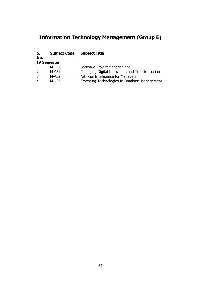# **Information Technology Management (Group E)**

| S.                 | <b>Subject Code</b> | <b>Subject Title</b>                           |  |  |  |
|--------------------|---------------------|------------------------------------------------|--|--|--|
| No.                |                     |                                                |  |  |  |
| <b>IV Semester</b> |                     |                                                |  |  |  |
|                    | M-450               | Software Project Management                    |  |  |  |
|                    | M-451               | Managing Digital Innovation and Transformation |  |  |  |
|                    | M-452               | Artificial Intelligence for Managers           |  |  |  |
|                    | M-453               | Emerging Technologies In Database Management   |  |  |  |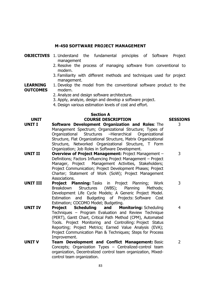## **M-450 SOFTWARE PROJECT MANAGEMENT**

| <b>OBJECTIVES</b> 1. Understand the fundamental principles of Software Project |  |  |  |
|--------------------------------------------------------------------------------|--|--|--|
| management                                                                     |  |  |  |

- 2. Resolve the process of managing software from conventional to modern.
- 3. Familiarity with different methods and techniques used for project management.

3

3

3

2

**LEARNING OUTCOMES** 1. Develop the model from the conventional software product to the modern.

- 2. Analyze and design software architecture.
- 3. Apply, analyze, design and develop a software project.
- 4. Design various estimation levels of cost and effort.

## **Section A UNIT COURSE DESCRIPTION SESSIONS**

- **UNIT I Software Development Organization and Roles**: The Management Spectrum; Organizational Structure; Types of Organizational Structures –Hierarchical Organizational Structure, Flat Organizational Structure, Matrix Organizational Structure, Networked Organizational Structure, T Form Organization; Job Roles in Software Development.
- **UNIT II Overview of Project Management:** Project Management Definitions; Factors Influencing Project Management – Project Manager, Project Management Activities, Stakeholders; Project Communication; Project Development Phases; Project Charter; Statement of Work (SoW); Project Management Associations.
- **UNIT III Project Planning:** Tasks in Project Planning; Work Breakdown Structures (WBS); Planning Methods; Development Life Cycle Models; A Generic Project Model. Estimation and Budgeting of Projects: Software Cost Estimation; COCOMO Model; Budgeting.
- **UNIT IV Project Scheduling and Monitoring:** Scheduling Techniques – Program Evaluation and Review Technique (PERT), Gantt Chart, Critical Path Method (CPM), Automated Tools. Project Monitoring and Controlling: Project Status Reporting; Project Metrics; Earned Value Analysis (EVA); Project Communication Plan & Techniques; Steps for Process Improvement. 4
- **UNIT V Team Development and Conflict Management:** Basic Concepts; Organization Types – Centralized-control team organization, Decentralized control team organization, Mixedcontrol team organization.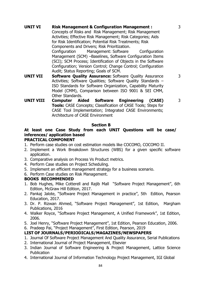**UNIT VI Risk Management & Configuration Management :** Concepts of Risks and Risk Management; Risk Management Activities; Effective Risk Management; Risk Categories; Aids for Risk Identification; Potential Risk Treatments; Risk Components and Drivers; Risk Prioritization. Configuration Management: Software Configuration Management (SCM) –Baselines, Software Configuration Items (SCI); SCM Process; Identification of Objects in the Software Configuration; Version Control; Change Control; Configuration Audit; Status Reporting; Goals of SCM. **UNIT VII Software Quality Assurance:** Software Quality Assurance 3

3

3

- Activities; Software Qualities; Software Quality Standards ISO Standards for Software Organization, Capability Maturity Model (CMM), Comparison between ISO 9001 & SEI CMM, Other Standards.
- **UNIT VIII Computer Aided Software Engineering (CASE) Tools:** CASE Concepts; Classification of CASE Tools; Steps for CASE Tool Implementation; Integrated CASE Environments; Architecture of CASE Environment

#### **Section B**

## **At least one Case Study from each UNIT Questions will be case/ inferences/ application based**

#### **PRACTICAL COMPONENT**

- 1. Perform case studies on cost estimation models like COCOMO, COCOMO II.
- 2. Implement a Work Breakdown Structures (WBS) for a given specific software application.
- 3. Comparative analysis on Process Vs Product metrics.
- 4. Perform Case studies on Project Scheduling.
- 5. Implement an efficient management strategy for a business scenario.
- 6. Perform Case studies on Risk Management.

#### **BOOKS RECOMMENDED**

- 1. Bob Hughes, Mike Cotterell and Rajib Mall "Software Project Management", 6th Edition, McGraw Hill Edition, 2017.
- 2. Pankaj Jalote, "Software Project Management in practice", 5th Edition, Pearson Education, 2017.
- 3. Dr. P. Rizwan Ahmed, "Software Project Management", 1st Edition, Margham Publications, 2016
- 4. Walker Royce, "Software Project Management, A Unified Framework", 1st Edition, 2006.
- 5. Joel Henry, "Software Project Management", 1st Edition, Pearson Education, 2006.
- 6. Pradeep Pai, "Project Management", First Edition, Pearson, 2019

- 1. Journal Of Software Project Management And Quality Assurance, Serial Publications
- 2. International Journal of Project Management, Elsevier
- 3. Indian Journal of Software Engineering & Project Management, Lattice Science **Publication**
- 4. International Journal of Information Technology Project Management, IGI Global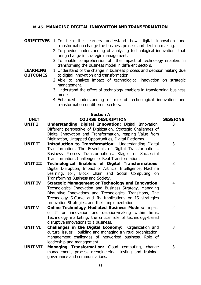#### **M-451 MANAGING DIGITAL INNOVATION AND TRANSFORMATION**

- **OBJECTIVES** 1. To help the learners understand how digital innovation and transformation change the business process and decision making.
	- 2. To provide understanding of analyzing technological innovations that bring change in strategic management.
	- 3. To enable comprehension of the impact of technology enablers in transforming the Business model in different sectors.
- **LEARNING OUTCOMES** 1. Understand of the change in business process and decision making due to digital innovation and transformation.
	- 2. Able to analyze impact of technological innovation on strategic management.
	- 3. Understand the effect of technology enablers in transforming business model.
	- 4. Enhanced understanding of role of technological innovation and transformation on different sectors.

#### **Section A UNIT COURSE DESCRIPTION SESSIONS**

3

3

4

- **UNIT I Understanding Digital Innovation:** Digital Innovation, Different perspective of Digitization, Strategic Challenges of Digital Innovation and Transformation, reaping Value from Digitization, Untapped Opportunities, Digital Platforms.
- **UNIT II Introduction to Transformation:** Understanding Digital Transformation, The Essentials of Digital Transformations, Business Process Transformations, Stages of Successful Transformation, Challenges of Real Transformation.
- **UNIT III Technological Enablers of Digital Transformations:** Digital Disruption, Impact of Artificial Intelligence, Machine Learning, IoT, Block Chain and Social Computing on Transforming Business and Society. 3
- **UNIT IV Strategic Management or Technology and Innovation:** Technological Innovation and Business Strategy, Managing Disruptive Innovations and Technological Transitions, The Technology S-Curve and Its Implications on IS strategies Innovation Strategies, and their Implementation.
- **UNIT V Online Technology Mediated Business Models:** Impact of IT on innovation and decision-making within firms, Technology marketing, the critical role of technology-based disruptive innovations to a business. 2
- **UNIT VI Challenges in the Digital Economy:** Organization and cultural issues – building and managing a virtual organization, Management challenges of networked business, Role of leadership and management. 3
- **UNIT VII Managing Transformation:** Cloud computing, change management, process reengineering, testing and training, governance and communications.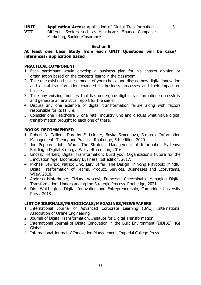**UNIT VIII Application Areas:** Application of Digital Transformation in Different Sectors such as Healthcare, Finance Companies, Marketing, Banking/Insurance.

#### **Section B**

3

#### **At least one Case Study from each UNIT Questions will be case/ inferences/ application based**

#### **PRACTICAL COMPONENT**

- 1. Each participant would develop a business plan for his chosen division or organisation based on the concepts learnt in the classroom.
- 2. Take one existing business model of your choice and discuss how digital innovation and digital transformation changed its business processes and their impact on business.
- 3. Take any existing Industry that has undergone digital transformation successfully and generate an analytical report for the same.
- 4. Discuss any one example of digital transformation failure along with factors responsible for its failure.
- 5. Consider one Healthcare & one retail industry unit and discuss what value digital transformation brought to each one of these.

#### **BOOKS RECOMMENDED**

- 1. Robert D. Galliers, Dorothy E. Leidner, Boyka Simeonova, Strategic Information Management: Theory and Practise, Routledge, 5th edition, 2020.
- 2. Joe Peppard, John Ward, The Strategic Management of Information Systems: Building a Digital Strategy, Wiley, 4th edition, 2016.
- 3. Lindsey Herbert, Digital Transformation: Build your Organization's Future for the Innovation Age, Bloomsbury Business; 1st edition, 2017.
- 4. Michael Lewrick, Patrick Link, Lary Leifer, The Design Thinking Playbook: Mindful Digital Trasformation of Teams, Product, Services, Businesses and Ecosystems, Wiley, 2018.
- 5. Andreas Hinterhuber, Tiziano Vescovi, Francesca Checchinato, Managing Digital Transformation: Understanding the Strategic Process, Routledge, 2021
- 6. Dick Whittington, Digital Innovation and Entrepreneurship, Cambridge University Press, 2018

- 1. International Journal of Advanced Corporate Learning (iJAC), International Association of Online Engineering
- 2. Journal of Digital Transformation, Institute for Digital Transformation
- 3. International Journal of Digital Innovation in the Built Environment (IJDIBE), IGI Global.
- 4. International Journal of Innovation Management, Imperial College Press.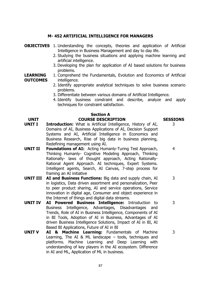#### **M- 452 ARTIFICIAL INTELLIGENCE FOR MANAGERS**

- **OBJECTIVES** 1. Understanding the concepts, theories and application of Artificial Intelligence in Business Management and day to day life.
	- 2. Studying the business situations and applying machine learning and artificial intelligence.
	- 3. Developing the plan for application of AI based solutions for business problems.

#### **LEARNING OUTCOMES** 1. Comprehend the Fundamentals, Evolution and Economics of Artificial intelligence.

- 2. Identify appropriate analytical techniques to solve business scenario problems.
- 3. Differentiate between various domains of Artificial Intelligence.
- 4. Identify business constraint and describe, analyze and apply techniques for constraint satisfaction.

#### **Section A UNIT COURSE DESCRIPTION SESSIONS**

- **UNIT I Introduction:** What is Artificial Intelligence, History of AI, Domains of AI, Business Applications of AI, Decision Support Systems and AI, Artificial Intelligence in Economics and Business Research, Rise of big data in business planning, Redefining management using AI.
- **UNIT II Foundations of AI:** Acting Humanly-Turing Test Approach, Thinking Humanly- Cognitive Modeling Approach, Thinking Rationally- laws of thought approach, Acting Rationally-Rational Agent Approach. AI techniques, Expert Systems. Intelligent agents, Search, AI Canvas, 7-step process for framing an AI initiative
- **UNIT III AI and Business Functions:** Big data and supply chain, AI in logistics, Data driven assortment and personalization, Peer to peer product sharing, AI and service operations, Service innovation in digital age, Consumer and object experience in the Internet of things and digital data streams.
- **UNIT IV AI Powered Business Intelligence:** Introduction to Business Intelligence, Advantages, Disadvantages and Trends, Role of AI in Business Intelligence, Components of AI in BI Tools, Adoption of AI in Business, Advantages of AI driven Business Intelligence Solutions, Impact of AI in BI, AI Based BI Applications, Future of AI in BI
- **UNIT V AI & Machine Learning:** Fundamentals of Machine Learning, The AI & ML landscape – tools, techniques and platforms. Machine Learning and Deep Learning with understanding of key players in the AI ecosystem. Difference in AI and ML, Application of ML in business.

87

3

4

3

3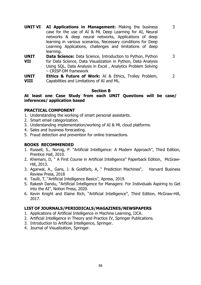- **UNIT VI AI Applications in Management:** Making the business case for the use of AI & ML Deep Learning for AI, Neural networks & deep neural networks, Applications of deep learning in various scenarios, Necessary conditions for Deep Learning Applications, challenges and limitations of deep learning.
- **UNIT VII Data Science:** Data Science, Introduction to Python, Python for Data Science, Data Visualization in Python, Data Analysis Using SQL, Data Analysis in Excel , Analytics Problem Solving – CRISP-DM framework 3

3

**UNIT VIII Ethics & Future of Work:** AI & Ethics, Trolley Problem, Capabilities and Limitations of AI and ML. 2

#### **Section B**

**At least one Case Study from each UNIT Questions will be case/ inferences/ application based**

#### **PRACTICAL COMPONENT**

- 1. Understanding the working of smart personal assistants.
- 2. Smart email categorization.
- 3. Understanding implementation/working of AI & ML cloud platforms.
- 4. Sales and business forecasting.
- 5. Fraud detection and prevention for online transactions.

#### **BOOKS RECOMMENDED**

- 1. Russell, S., Norvig, P. "Artificial Intelligence: A Modern Approach", Third Edition, Prentice Hall, 2010.
- 2. Khemani, D, " A First Course in Artificial Intelligence" Paperback Edition, McGraw-Hill, 2013.
- 3. Agarwal, A., Gans, J. & Goldfarb, A, " Prediction Machines", Harvard Business Review Press, 2018
- 4. Taulli, T, "Artificial Intelligence Basics", Apress, 2019.
- 5. Rakesh Dandu, "Artificial Intelligence for Managers: For Individuals Aspiring to Get into the AI", Notion Press, 2020.
- 6. Kevin Knight and Elaine Rich, "Artificial Intelligence", Third Edition, McGraw-Hill, 2017.

- 1. Applications of Artificial Intelligence in Machine Learning, IJCA.
- 2. Artificial Intelligence in Theory and Practice IV, Springer Publications.
- 3. Introduction to Artificial Intelligence, Springer.
- 4. Journal of Visualization, Springer.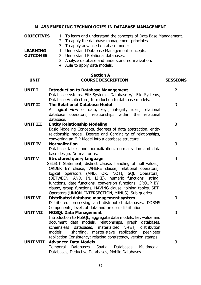| <b>OBJECTIVES</b><br><b>LEARNING</b><br><b>OUTCOMES</b> | 1. To learn and understand the concepts of Data Base Management.<br>2. To apply the database management principles.<br>3. To apply advanced database models.<br>1. Understand Database Management concepts.<br>2. Understand Relational databases.<br>3. Analyze database and understand normalization.<br>4. Able to apply data models.                                                                                                                  |                 |
|---------------------------------------------------------|-----------------------------------------------------------------------------------------------------------------------------------------------------------------------------------------------------------------------------------------------------------------------------------------------------------------------------------------------------------------------------------------------------------------------------------------------------------|-----------------|
| <b>UNIT</b>                                             | <b>Section A</b><br><b>COURSE DESCRIPTION</b>                                                                                                                                                                                                                                                                                                                                                                                                             | <b>SESSIONS</b> |
| <b>UNIT I</b>                                           | <b>Introduction to Database Management</b><br>Database systems, File Systems, Database v/s File Systems,                                                                                                                                                                                                                                                                                                                                                  | $\overline{2}$  |
| <b>UNIT II</b>                                          | Database Architecture, Introduction to database models.<br><b>The Relational Database Model</b><br>A Logical view of data, keys, integrity rules, relational<br>database operators, relationships within the relational                                                                                                                                                                                                                                   | 3               |
| <b>UNIT III</b>                                         | database.<br><b>Entity Relationship Modeling</b><br>Basic Modeling Concepts, degrees of data abstraction, entity<br>relationship model, Degree and Cardinality of relationships,<br>converting an E-R Model into a database structure.                                                                                                                                                                                                                    | 3               |
| <b>UNIT IV</b>                                          | <b>Normalization</b><br>Database tables and normalization, normalization and data<br>base design. Normal forms.                                                                                                                                                                                                                                                                                                                                           | 3               |
| <b>UNIT V</b>                                           | <b>Structured query language</b><br>SELECT Statement, distinct clause, handling of null values,<br>ORDER BY clause, WHERE clause, relational operators,<br>operators (AND, OR, NOT), SQL Operators,<br>logical<br>(BETWEEN, AND, IN, LIKE), numeric functions, string<br>functions, date functions, conversion functions, GROUP BY<br>clause, group functions, HAVING clause, joining tables, SET<br>Operators (UNION, INTERSECTION, MINUS), Sub queries. | 4               |
| <b>UNIT VI</b>                                          | Distributed database management system<br>Distributed processing and distributed databases, DDBMS<br>Components, levels of data and process distribution.                                                                                                                                                                                                                                                                                                 | 3               |
| <b>UNIT VII</b>                                         | <b>NOSQL Data Management</b><br>Introduction to NoSQL, aggregate data models, key-value and<br>document data models, relationships, graph databases,<br>schemaless<br>databases,<br>materialized views, distribution<br>models,<br>sharding, master-slave replication, peer-peer<br>replication Consistency: relaxing consistency, version stamps.                                                                                                        | 3               |
| <b>UNIT VIII</b>                                        | <b>Advanced Data Models</b><br>Temporal Databases, Spatial Databases, Multimedia<br>Databases, Deductive Databases, Mobile Databases.                                                                                                                                                                                                                                                                                                                     | 3               |

**M- 453 EMERGING TECHNOLOGIES IN DATABASE MANAGEMENT**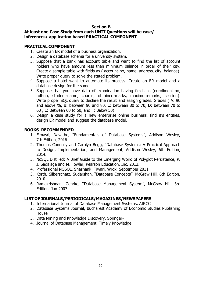#### **Section B**

#### **At least one Case Study from each UNIT Questions will be case/ inferences/ application based PRACTICAL COMPONENT**

#### **PRACTICAL COMPONENT**

- 1. Create an ER model of a business organization.
- 2. Design a database schema for a university system.
- 3. Suppose that a bank has account table and want to find the list of account holders who have amount less than minimum balance in order of their city. Create a sample table with fields as ( account-no, name, address, city, balance). Write proper query to solve the stated problem.
- 4. Suppose a hotel want to automate its process. Create an ER model and a database design for the same.
- 5. Suppose that you have data of examination having fields as (enrollment-no, roll-no, student-name, course, obtained-marks, maximum-marks, session). Write proper SQL query to declare the result and assign grades. Grades ( A: 90 and above %, B: between 90 and 80, C: between 80 to 70, D: between 70 to 60 , E: Between 60 to 50, and F: Below 50)
- 6. Design a case study for a new enterprise online business, find it's entities, design ER model and suggest the database model.

### **BOOKS RECOMMENDED**

- 1. Elmasri, Navathe, "Fundamentals of Database Systems", Addison Wesley, 7th Edition, 2016.
- 2. Thomas Connolly and Carolyn Begg, "Database Systems: A Practical Approach to Design, Implementation, and Management, Addison Wesley, 6th Edition, 2014.
- 3. NoSQL Distilled: A Brief Guide to the Emerging World of Polyglot Persistence, P. J. Sadalage and M. Fowler, Pearson Education, Inc. 2012.
- 4. Professional NOSQL, Shashank Tiwari, Wrox, September 2011.
- 5. Korth, Silberschatz, Sudarshan, "Database Concepts", McGraw Hill, 6th Edition, 2010.
- 6. Ramakrishnan, Gehrke, "Database Management System", McGraw Hill, 3rd Edition, Jan 2007

- 1. International Journal of Database Management Systems, AIRCC
- 2. Database Systems Journal, Bucharest Academy of Economic Studies Publishing House
- 3. Data Mining and Knowledge Discovery, Springer-
- 4. Journal of Database Management, Timely Knowledge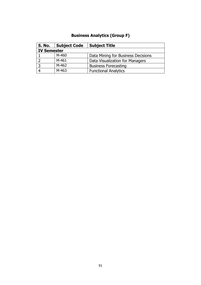## **Business Analytics (Group F)**

| S. No.             | Subject Code | <b>Subject Title</b>               |  |  |  |
|--------------------|--------------|------------------------------------|--|--|--|
| <b>IV Semester</b> |              |                                    |  |  |  |
|                    | M-460        | Data Mining for Business Decisions |  |  |  |
|                    | M-461        | Data Visualization for Managers    |  |  |  |
|                    | M-462        | <b>Business Forecasting</b>        |  |  |  |
|                    | M-463        | <b>Functional Analytics</b>        |  |  |  |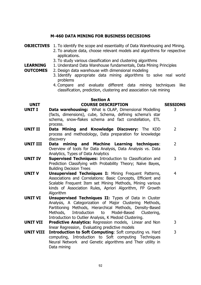#### **M-460 DATA MINING FOR BUSINESS DECISIONS**

- **OBJECTIVES** 1. To identify the scope and essentiality of Data Warehousing and Mining.
	- 2. To analyze data, choose relevant models and algorithms for respective applications.
	- 3. To study various classification and clustering algorithms
- **LEARNING**  1. Understand Data Warehouse fundamentals, Data Mining Principles
- **OUTCOMES** 2. Design data warehouse with dimensional modeling
	- 3. Identify appropriate data mining algorithms to solve real world problems
	- 4. Compare and evaluate different data mining techniques like classification, prediction, clustering and association rule mining

# **Section A**

## **UNIT COURSE DESCRIPTION SESSIONS**

- **UNIT I Data warehousing:** What is OLAP, Dimensional Modelling (facts, dimensions), cube, Schema, defining schema's star schema, snow-flakes schema and fact constellation, ETL process.
- **UNIT II Data Mining and Knowledge Discovery:** The KDD process and methodology, Data preparation for knowledge discovery  $\mathcal{P}$
- **UNIT III Data mining and Machine Learning techniques**: Overview of tools for Data Analysis, Data Analysis vs. Data Analytics, Types of Data Analytics
- **UNIT IV Supervised Techniques:** Introduction to Classification and Prediction Classifying with Probability Theory; Naïve Bayes, Building Decision Trees 3
- **UNIT V Unsupervised Techniques I:** Mining Frequent Patterns, Associations and Correlations: Basic Concepts, Efficient and Scalable Frequent Item set Mining Methods, Mining various kinds of Association Rules, Apriori Algorithm, FP Growth Algorithm 4
- **UNIT VI Unsupervised Techniques II:** Types of Data in Cluster Analysis, A Categorization of Major Clustering Methods, Partitioning Methods, Hierarchical Methods, Density-Based Methods, Introduction to Model-Based Clustering, Introduction to Outlier Analysis, K Medoid Clustering.
- **UNIT VII Predictive Analytics:** Regression models, Linear and Non linear Regression, Evaluating predictive models 3
- **UNIT VIII Introduction to Soft Computing**: Soft computing vs. Hard computing, Introduction to Soft computing Techniques Neural Network and Genetic algorithms and Their utility in Data mining 3

3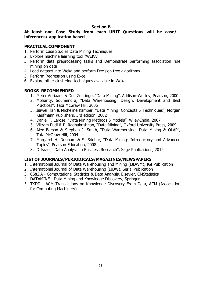#### **Section B**

#### **At least one Case Study from each UNIT Questions will be case/ inferences/ application based**

#### **PRACTICAL COMPONENT**

- 1. Perform Case Studies Data Mining Techniques.
- 2. Explore machine learning tool "WEKA"
- 3. Perform data preprocessing tasks and Demonstrate performing association rule mining on data
- 4. Load dataset into Weka and perform Decision tree algorithms
- 5. Perform Regression using Excel
- 6. Explore other clustering techniques available in Weka.

### **BOOKS RECOMMENDED**

- 1. Pieter Adriaans & Dolf Zentinge, "Data Mining", Addison-Wesley, Pearson, 2000.
- 2. Mohanty, Soumendra, "Data Warehousing: Design, Development and Best Practices", Tata McGraw Hill, 2006
- 3. Jiawei Han & Micheline Kamber, "Data Mining: Concepts & Techniques", Morgan Kaufmann Publishers, 3rd edition, 2002
- 4. Daniel T. Larose, "Data Mining Methods & Models", Wiley-India, 2007.
- 5. Vikram Pudi & P. Radhakrishnan, "Data Mining", Oxford University Press, 2009
- 6. Alex Berson & Stephen J. Smith, "Data Warehousing, Data Mining & OLAP", Tata McGraw-Hill, 2004
- 7. Margaret H. Dunham & S. Sridhar, "Data Mining: Introductory and Advanced Topics", Pearson Education, 2008.
- 8. D Israel, "Data Analysis in Business Research", Sage Publications, 2012

- 1. International Journal of Data Warehousing and Mining (IJDWM), IGI Publication
- 2. International Journal of Data Warehousing (IJDW), Serial Publication
- 3. CS&DA Computational Statistics & Data Analysis, Elsevier, CMStatistics
- 4. DATAMINE Data Mining and Knowledge Discovery, Springer
- 5. TKDD ACM Transactions on Knowledge Discovery From Data, ACM (Association for Computing Machinery)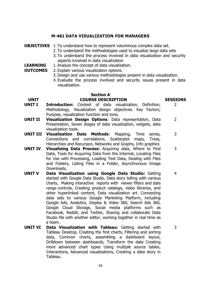#### **M-461 DATA VISUALIZATION FOR MANAGERS**

#### **OBJECTIVES** 1. To understand how to represent voluminous complex data set.

- 2. To understand the methodologies used to visualize large data sets
- 3. To understand the process involved in data visualization and security aspects involved in data visualization
- **LEARNING**  1. Analyze the concept of data visualization.
- **OUTCOMES** 2. Explain various visualization options.
	- 3. Design and use various methodologies present in data visualization.
		- 4. Evaluate the process involved and security issues present in data visualization.

### **Section A**

#### **UNIT COURSE DESCRIPTION SESSIONS**

- **UNIT I Introduction:** Context of data visualization, Definition, Methodology, Visualization design objectives. Key Factors, Purpose, visualization function and tone,
- **UNIT II Visualization Design Options**: Data representation, Data Presentation, Seven stages of data visualization, widgets, data visualization tools. 2
- **UNIT III Visualization Data Methods**: Mapping, Time series, Connections and correlations, Scatterplot maps, Trees, Hierarchies and Recursion, Networks and Graphs, Info graphics 3
- **UNIT IV Visualizing Data Process:** Acquiring data, Where to Find Data, Tools for Acquiring Data from the Internet, Locating Files for Use with Processing, Loading Text Data, Dealing with Files and Folders, Listing Files in a Folder, Asynchronous Image Downloads,
- **UNIT V Data Visualization using Google Data Studio:** Getting started with Google Data Studio, Data story telling with various charts, Making interactive reports with viewer filters and date range controls, Creating product catalogs, video libraries, and other hyperlinked content, Data visualization art. Connecting data sets to various Google Marketing Platform, including Google Ads, Analytics, Display & Video 360, Search Ads 360, Google Cloud Storage, Social media platforms such as Facebook, Reddit, and Twitter, Sharing and collaborate Data Studio file with another editor, working together in real time as a team. 4
- **UNIT VI Data Visualization with Tableau:** Getting started with Tableau Desktop, Creating the first charts, Filtering and sorting data, Common charts, assembling a dashboard layout, Drilldown between dashboards, Transform the data Creating more advanced chart types Using multiple source tables, Interactions, Advanced visualizations, Creating a data story in Tableau.

2

3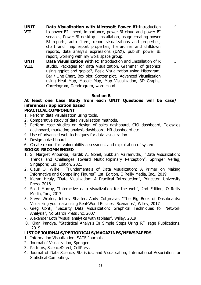**UNIT VII Data Visualization with Microsoft Power BI:**Introduction to power BI - need, importance, power BI cloud and power BI services, Power BI desktop - installation, usage creating power BI reports, auto filters, report visualizations and properties, chart and map report properties, hierarchies and drilldown reports, data analysis expressions (DAX), publish power BI report, working with my work space group.

4

3

**UNIT VIII Data Visualization with R:** Introduction and Installation of R studio, Packages for data Visualization, Grammar of graphics using ggplot and ggplot2, Basic Visualization using Histogram, Bar / Line Chart, Box plot, Scatter plot. Advanced Visualization using Heat Map, Mosaic Map, Map Visualization, 3D Graphs, Correlogram, Dendrogram, word cloud.

#### **Section B**

## **At least one Case Study from each UNIT Questions will be case/ inferences/ application based**

#### **PRACTICAL COMPONENT**

- 1. Perform data visualization using tools.
- 2. Comparative study of data visualization methods.
- 3. Perform case studies on design of sales dashboard, CIO dashboard, Telesales dashboard, marketing analysis dashboard, HR dashboard etc.
- 4. Use of advanced web techniques for data visualization.
- 5. Design a dashboard.
- 6. Create report for vulnerability assessment and exploitation of system.

### **BOOKS RECOMMENDED**

- 1. S. Margret Anouncia, Hardik A. Gohel, Subbiah Vairamuthu, "Data Visualization: Trends and Challenges Toward Multidisciplinary Perception", Springer Verlag, Singapore; 1st Edition, 2021
- 2. Claus O. Wilke , "Fundamentals of Data Visualization: A Primer on Making Informative and Compelling Figures", 1st Edition, O Reilly Media, Inc., 2019
- 3. Kieran Healy, "Data Viualization: A Practical Introduction", Princeton University Press, 2018
- 4. Scott Murray, "Interactive data visualization for the web", 2nd Edition, O Reilly Media, Inc., 2017.
- 5. Steve Wexler, Jeffrey Shaffer, Andy Cotgreave, "The Big Book of Dashboards: Visualizing your data using Real-World Business Scenarios", Willey, 2017
- 6. Greg Conti, "Security Data Visualization: Graphical Techniques for Network Analysis", No Starch Press Inc, 2007
- 7. Alexander Loth "Visual analytics with tableau", Willey, 2019
- 8. Kiran Pandya, "Statistical Analysis In Simple Steps Using R", sage Publications, 2019

- 1. Information Visualization, SAGE Journals
- 2. Journal of Visualization, Springer
- 3. Patterns, ScienceDirect, CellPress
- 4. Journal of Data Science, Statistics, and Visualisation, International Association for Statistical Computing.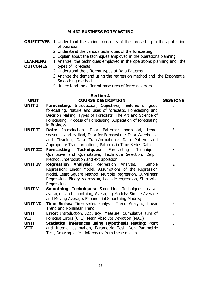#### **M-462 BUSINESS FORECASTING**

- **OBJECTIVES** 1. Understand the various concepts of the forecasting in the application of business
	- 2. Understand the various techniques of the forecasting
	- 3. Explain about the techniques employed in the operations planning
- **LEARNING OUTCOMES** 1. Analyze the techniques employed in the operations planning and the types of Forecasts
	- 2. Understand the different types of Data Patterns.
	- 3. Analyze the demand using the regression method and the Exponential Smoothing method
	- 4. Understand the different measures of forecast errors.

#### **Section A UNIT COURSE DESCRIPTION SESSIONS**

3

- **UNIT I Forecasting:** Introduction, Objectives, Features of good forecasting, Nature and uses of forecasts, Forecasting and Decision Making, Types of Forecasts, The Art and Science of Forecasting, Process of Forecasting, Application of forecasting in Business 3 3
- **UNIT II Data:** Introduction, Data Patterns: horizontal, trend, seasonal, and cyclical, Data for Forecasting: Data Warehouse and Cleaning, Data Transformations: Data Pattern and Appropriate Transformations, Patterns in Time Series Data
- **UNIT III Forecasting Techniques:** Forecasting Techniques: Qualitative and Quantitative, Technique Selection, Delphi Method, Interpolation and extrapolation
- **UNIT IV Regression Analysis:** Regression Analysis, Simple Regression: Linear Model, Assumptions of the Regression Model, Least Square Method, Multiple Regression, Curvilinear Regression, Binary regression, Logistic regression, Step wise Regression. 2
- **UNIT V Smoothing Techniques:** Smoothing Techniques: naive, averaging and smoothing, Averaging Models: Simple Average and Moving Average, Exponential Smoothing Models;
- **UNIT VI Time Series:** Time series analysis, Trend Analysis, Linear Trend and Nonlinear Trend 3
- **UNIT VII Error:** Introduction, Accuracy, Measure, Cumulative sum of Forecast Errors (CFE), Mean Absolute Deviation (MAD) 3
- **UNIT VIII Statistical inferences using Hypothesis testing:** Point and Interval estimation, Parametric Test, Non Parametric Test, Drawing logical inferences from these results 3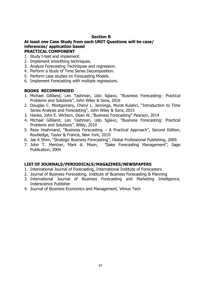#### **Section B**

#### **At least one Case Study from each UNIT Questions will be case/ inferences/ application based PRACTICAL COMPONENT**

- 1. Study t-test and implement.
- 2. Implement smoothing techniques.
- 3. Analyze Forecasting Techniques and regression.
- 4. Perform a study of Time Series Decomposition.
- 5. Perform case studies on Forecasting Models.
- 6. Implement Forecasting with multiple regressions.

#### **BOOKS RECOMMENDED**

- 1. Michael Gilliland, Len Tashman, Udo Sglavo, "Business Forecasting: Practical Problems and Solutions", John Wiley & Sons, 2016
- 2. Douglas C. Montgomery, Cheryl L. Jennings, Murat Kulahci, "Introduction to Time Series Analysis and Forecasting", John Wiley & Sons, 2015
- 3. Hanke, John E. Wichern, Dean W.,"Business Forecasting" Pearson, 2014
- 4. Michael Gilliland, Len Tashman, Udo Sglavo, "Business Forecasting: Practical Problems and Solutions", Wiley, 2010
- 5. Reza Hoshmand, "Business Forecasting A Practical Approach", Second Edition, Routledge, Taylor & Francis, New York, 2010
- 6. Jae K Shim, "Strategic Business Forecasting", Global Professional Publishing, 2009.
- 7. John T. Mentzer, [Mark A. Moon](https://us.sagepub.com/en-us/nam/author/mark-a-moon), "Sales Forecasting Management", Sage Publication, 2004

- 1. International Journal of Forecasting, International Institute of Forecasters
- 2. Journal of Business Forecasting, Institute of Business Forecasting & Planning
- 3. International Journal of Business Forecasting and Marketing Intelligence, Inderscience Publisher
- 4. Journal of Business Economics and Management, Vilnius Tech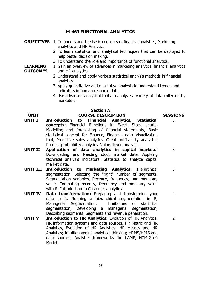### **M-463 FUNCTIONAL ANALYTICS**

#### **OBJECTIVES** 1. To understand the basic concepts of financial analytics, Marketing analytics and HR Analytics.

- 2. To learn statistical and analytical techniques that can be deployed to help better decision making.
- 3. To understand the role and importance of functional analytics.

#### **LEARNING OUTCOMES** 1. Gain an overview of advances in marketing analytics, financial analytics and HR analytics.

- 2. Understand and apply various statistical analysis methods in financial analytics.
- 3. Apply quantitative and qualitative analysis to understand trends and indicators in human resource data.
- 4. Use advanced analytical tools to analyze a variety of data collected by marketers.

3

3

3

4

## **Section A**

#### **UNIT COURSE DESCRIPTION SESSIONS**

- **UNIT I Introduction to Financial Analytics, Statistical concepts:** Financial Functions in Excel, Stock charts, Modelling and forecasting of financial statements, Basic statistical concept for Finance, Financial data Visualization tool, Predictive sales analytics, Client profitability analytics, Product profitability analytics, Value-driven analytics.
- **UNIT II Application of data analytics in capital markets**: Downloading and Reading stock market data, Applying technical analysis indicators. Statistics to analyze capital market data.
- **UNIT III Introduction to Marketing Analytics:** Hierarchical segmentation, Selecting the "right" number of segments, Segmentation variables, Recency, frequency, and monetary value, Computing recency, frequency and monetary value with R, Introduction to Customer analytics
- **UNIT IV Data transformation:** Preparing and transforming your data in R, Running a hierarchical segmentation in R, Managerial Segmentation: [Limitations of statistical](https://www.coursera.org/lecture/foundations-marketing-analytics/limitations-of-statistical-segmentation-jNGtn)  [segmentation,](https://www.coursera.org/lecture/foundations-marketing-analytics/limitations-of-statistical-segmentation-jNGtn) Developing a managerial segmentation, Describing segments, Segments and revenue generation.
- **UNIT V Introduction to HR Analytics:** Evolution of HR Analytics, HR information systems and data sources, HR Metric and HR Analytics, Evolution of HR Analytics; HR Metrics and HR Analytics; Intuition versus analytical thinking; HRMS/HRIS and data sources; Analytics frameworks like LAMP, HCM:21(r) Model. 2